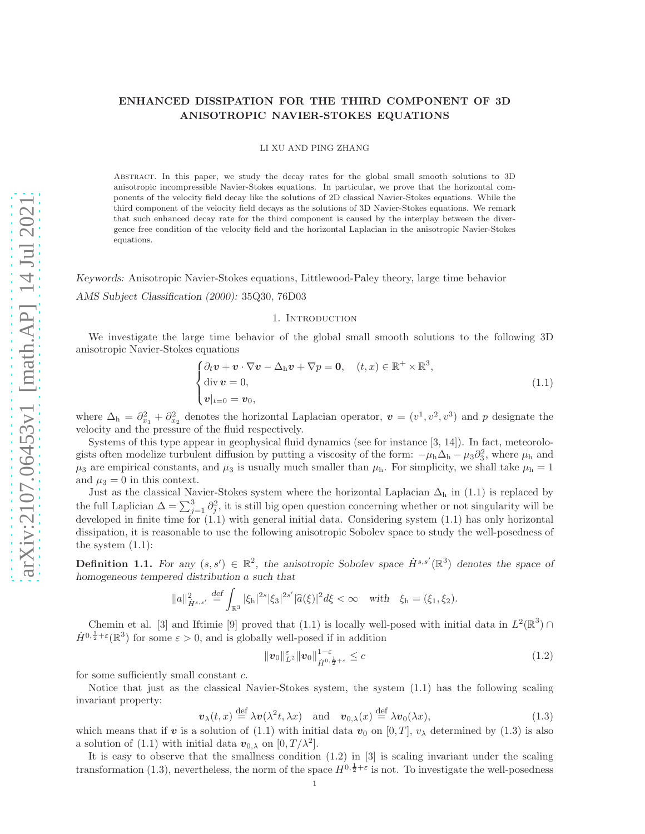# ENHANCED DISSIPATION FOR THE THIRD COMPONENT OF 3D ANISOTROPIC NAVIER-STOKES EQUATIONS

LI XU AND PING ZHANG

Abstract. In this paper, we study the decay rates for the global small smooth solutions to 3D anisotropic incompressible Navier-Stokes equations. In particular, we prove that the horizontal components of the velocity field decay like the solutions of 2D classical Navier-Stokes equations. While the third component of the velocity field decays as the solutions of 3D Navier-Stokes equations. We remark that such enhanced decay rate for the third component is caused by the interplay between the divergence free condition of the velocity field and the horizontal Laplacian in the anisotropic Navier-Stokes equations.

Keywords: Anisotropic Navier-Stokes equations, Littlewood-Paley theory, large time behavior

AMS Subject Classification (2000): 35Q30, 76D03

### 1. INTRODUCTION

We investigate the large time behavior of the global small smooth solutions to the following 3D anisotropic Navier-Stokes equations

$$
\begin{cases} \partial_t \mathbf{v} + \mathbf{v} \cdot \nabla \mathbf{v} - \Delta_{\mathrm{h}} \mathbf{v} + \nabla p = \mathbf{0}, & (t, x) \in \mathbb{R}^+ \times \mathbb{R}^3, \\ \text{div } \mathbf{v} = 0, \\ \mathbf{v}|_{t=0} = \mathbf{v}_0, \end{cases}
$$
(1.1)

where  $\Delta_h = \partial_{x_1}^2 + \partial_{x_2}^2$  denotes the horizontal Laplacian operator,  $\mathbf{v} = (v^1, v^2, v^3)$  and p designate the velocity and the pressure of the fluid respectively.

Systems of this type appear in geophysical fluid dynamics (see for instance [3, 14]). In fact, meteorologists often modelize turbulent diffusion by putting a viscosity of the form:  $-\mu_h\Delta_h - \mu_3\partial_3^2$ , where  $\mu_h$  and  $\mu_3$  are empirical constants, and  $\mu_3$  is usually much smaller than  $\mu_h$ . For simplicity, we shall take  $\mu_h = 1$ and  $\mu_3 = 0$  in this context.

Just as the classical Navier-Stokes system where the horizontal Laplacian  $\Delta_h$  in (1.1) is replaced by the full Laplician  $\Delta = \sum_{j=1}^3 \partial_j^2$ , it is still big open question concerning whether or not singularity will be developed in finite time for  $(1.1)$  with general initial data. Considering system  $(1.1)$  has only horizontal dissipation, it is reasonable to use the following anisotropic Sobolev space to study the well-posedness of the system  $(1.1)$ :

**Definition 1.1.** For any  $(s, s') \in \mathbb{R}^2$ , the anisotropic Sobolev space  $\dot{H}^{s,s'}(\mathbb{R}^3)$  denotes the space of homogeneous tempered distribution a such that

$$
||a||_{\dot{H}^{s,s'}}^2 \stackrel{\text{def}}{=} \int_{\mathbb{R}^3} |\xi_h|^{2s} |\xi_3|^{2s'} |\widehat{a}(\xi)|^2 d\xi < \infty \quad \text{with} \quad \xi_h = (\xi_1, \xi_2).
$$

Chemin et al. [3] and Iftimie [9] proved that (1.1) is locally well-posed with initial data in  $L^2(\mathbb{R}^3)$  $\dot{H}^{0,\frac{1}{2}+\varepsilon}(\mathbb{R}^3)$  for some  $\varepsilon > 0$ , and is globally well-posed if in addition

$$
\|\boldsymbol{v}_0\|_{\boldsymbol{L}^2}^{\varepsilon} \|\boldsymbol{v}_0\|_{\dot{H}^{0,\frac{1}{2}+\varepsilon}}^{1-\varepsilon} \leq c \tag{1.2}
$$

for some sufficiently small constant c.

Notice that just as the classical Navier-Stokes system, the system (1.1) has the following scaling invariant property:

$$
\boldsymbol{v}_{\lambda}(t,x) \stackrel{\text{def}}{=} \lambda \boldsymbol{v}(\lambda^2 t, \lambda x) \quad \text{and} \quad \boldsymbol{v}_{0,\lambda}(x) \stackrel{\text{def}}{=} \lambda \boldsymbol{v}_0(\lambda x), \tag{1.3}
$$

which means that if v is a solution of (1.1) with initial data  $v_0$  on [0, T],  $v_\lambda$  determined by (1.3) is also a solution of (1.1) with initial data  $\mathbf{v}_{0,\lambda}$  on  $[0, T/\lambda^2]$ .

It is easy to observe that the smallness condition  $(1.2)$  in [3] is scaling invariant under the scaling transformation (1.3), nevertheless, the norm of the space  $H^{0,\frac{1}{2}+\varepsilon}$  is not. To investigate the well-posedness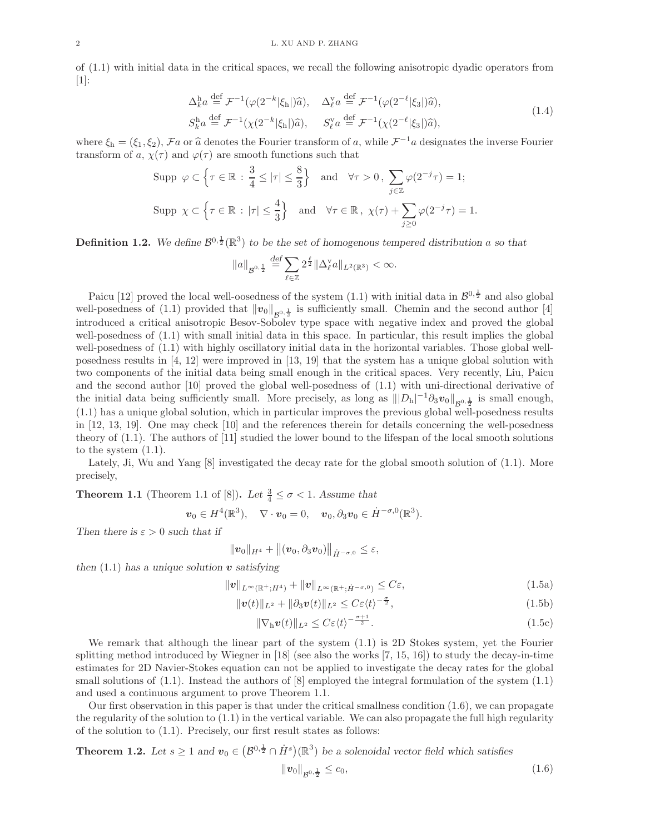of (1.1) with initial data in the critical spaces, we recall the following anisotropic dyadic operators from [1]:

$$
\Delta_k^{\mathbf{h}} a \stackrel{\text{def}}{=} \mathcal{F}^{-1}(\varphi(2^{-k}|\xi_{\mathbf{h}}|)\hat{a}), \quad \Delta_\ell^{\mathbf{v}} a \stackrel{\text{def}}{=} \mathcal{F}^{-1}(\varphi(2^{-\ell}|\xi_3|)\hat{a}),
$$
  
\n
$$
S_k^{\mathbf{h}} a \stackrel{\text{def}}{=} \mathcal{F}^{-1}(\chi(2^{-k}|\xi_{\mathbf{h}}|)\hat{a}), \quad S_\ell^{\mathbf{v}} a \stackrel{\text{def}}{=} \mathcal{F}^{-1}(\chi(2^{-\ell}|\xi_3|)\hat{a}),
$$
\n(1.4)

where  $\xi_h = (\xi_1, \xi_2), \mathcal{F}a$  or  $\hat{a}$  denotes the Fourier transform of a, while  $\mathcal{F}^{-1}a$  designates the inverse Fourier transform of a,  $\chi(\tau)$  and  $\varphi(\tau)$  are smooth functions such that

Supp 
$$
\varphi \subset \left\{ \tau \in \mathbb{R} : \frac{3}{4} \leq |\tau| \leq \frac{8}{3} \right\}
$$
 and  $\forall \tau > 0$ ,  $\sum_{j \in \mathbb{Z}} \varphi(2^{-j}\tau) = 1$ ;  
\nSupp  $\chi \subset \left\{ \tau \in \mathbb{R} : |\tau| \leq \frac{4}{3} \right\}$  and  $\forall \tau \in \mathbb{R}$ ,  $\chi(\tau) + \sum_{j \geq 0} \varphi(2^{-j}\tau) = 1$ .

**Definition 1.2.** We define  $\mathcal{B}^{0,\frac{1}{2}}(\mathbb{R}^3)$  to be the set of homogenous tempered distribution a so that

$$
\|a\|_{\mathcal{B}^{0,\frac{1}{2}}}\overset{\text{def}}{=}\sum_{\ell\in\mathbb{Z}}2^{\frac{\ell}{2}}\|\Delta_\ell^\mathrm{v} a\|_{L^2(\mathbb{R}^3)}<\infty.
$$

Paicu [12] proved the local well-oosedness of the system (1.1) with initial data in  $\mathcal{B}^{0,\frac{1}{2}}$  and also global well-posedness of (1.1) provided that  $||v_0||_{\mathcal{B}^{0,\frac{1}{2}}}$  is sufficiently small. Chemin and the second author [4] introduced a critical anisotropic Besov-Sobolev type space with negative index and proved the global well-posedness of (1.1) with small initial data in this space. In particular, this result implies the global well-posedness of  $(1.1)$  with highly oscillatory initial data in the horizontal variables. Those global wellposedness results in [4, 12] were improved in [13, 19] that the system has a unique global solution with two components of the initial data being small enough in the critical spaces. Very recently, Liu, Paicu and the second author [10] proved the global well-posedness of (1.1) with uni-directional derivative of the initial data being sufficiently small. More precisely, as long as  $|||D_h|^{-1}\partial_3v_0||_{\mathcal{B}^{0,\frac{1}{2}}}$  is small enough, (1.1) has a unique global solution, which in particular improves the previous global well-posedness results in [12, 13, 19]. One may check [10] and the references therein for details concerning the well-posedness theory of (1.1). The authors of [11] studied the lower bound to the lifespan of the local smooth solutions to the system (1.1).

Lately, Ji, Wu and Yang [8] investigated the decay rate for the global smooth solution of (1.1). More precisely,

**Theorem 1.1** (Theorem 1.1 of [8]). Let  $\frac{3}{4} \leq \sigma < 1$ . Assume that

$$
\boldsymbol{v}_0\in H^4(\mathbb{R}^3),\quad \nabla\cdot\boldsymbol{v}_0=0,\quad \boldsymbol{v}_0,\partial_3\boldsymbol{v}_0\in \dot{H}^{-\sigma,0}(\mathbb{R}^3).
$$

Then there is  $\varepsilon > 0$  such that if

$$
\|\boldsymbol{v}_0\|_{H^4}+\big\|(\boldsymbol{v}_0,\partial_3\boldsymbol{v}_0)\big\|_{\dot{H}^{-\sigma,0}}\leq\varepsilon,
$$

then  $(1.1)$  has a unique solution  $\boldsymbol{v}$  satisfying

$$
||v||_{L^{\infty}(\mathbb{R}^+;H^4)} + ||v||_{L^{\infty}(\mathbb{R}^+;\dot{H}^{-\sigma,0})} \leq C\varepsilon,
$$
\n(1.5a)

$$
\|\mathbf{v}(t)\|_{L^2} + \|\partial_3\mathbf{v}(t)\|_{L^2} \leq C\varepsilon \langle t \rangle^{-\frac{\sigma}{2}},\tag{1.5b}
$$

$$
\|\nabla_{\mathbf{h}}\mathbf{v}(t)\|_{L^2} \leq C\varepsilon \langle t \rangle^{-\frac{\sigma+1}{2}}.\tag{1.5c}
$$

We remark that although the linear part of the system (1.1) is 2D Stokes system, yet the Fourier splitting method introduced by Wiegner in  $[18]$  (see also the works  $[7, 15, 16]$ ) to study the decay-in-time estimates for 2D Navier-Stokes equation can not be applied to investigate the decay rates for the global small solutions of  $(1.1)$ . Instead the authors of  $[8]$  employed the integral formulation of the system  $(1.1)$ and used a continuous argument to prove Theorem 1.1.

Our first observation in this paper is that under the critical smallness condition (1.6), we can propagate the regularity of the solution to (1.1) in the vertical variable. We can also propagate the full high regularity of the solution to (1.1). Precisely, our first result states as follows:

**Theorem 1.2.** Let  $s \geq 1$  and  $\mathbf{v}_0 \in (B^{0,\frac{1}{2}} \cap \dot{H}^s)(\mathbb{R}^3)$  be a solenoidal vector field which satisfies

$$
||v_0||_{\mathcal{B}^{0,\frac{1}{2}}} \leq c_0,\tag{1.6}
$$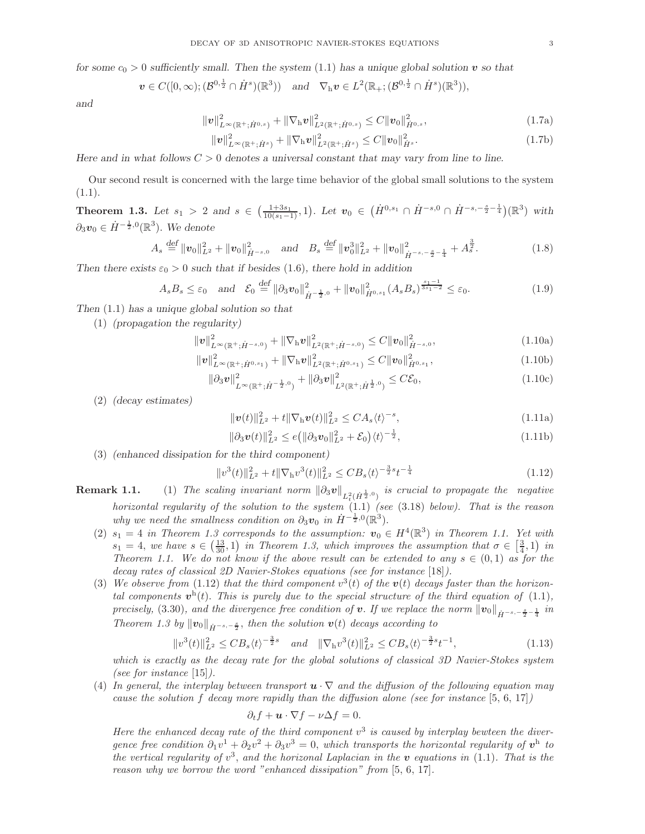for some  $c_0 > 0$  sufficiently small. Then the system (1.1) has a unique global solution v so that

$$
\boldsymbol{v}\in C([0,\infty);(\mathcal{B}^{0,\frac{1}{2}}\cap\dot{H}^s)(\mathbb{R}^3))\quad\text{and}\quad\nabla_{\mathrm{h}}\boldsymbol{v}\in L^2(\mathbb{R}_+;(\mathcal{B}^{0,\frac{1}{2}}\cap\dot{H}^s)(\mathbb{R}^3)),
$$

and

$$
\|\mathbf{v}\|_{L^{\infty}(\mathbb{R}^+;\dot{H}^{0,s})}^2 + \|\nabla_{\mathbf{h}}\mathbf{v}\|_{L^2(\mathbb{R}^+;\dot{H}^{0,s})}^2 \leq C \|\mathbf{v}_0\|_{\dot{H}^{0,s}}^2,
$$
\n(1.7a)

$$
\|\mathbf{v}\|_{L^{\infty}(\mathbb{R}^+; \dot{H}^s)}^2 + \|\nabla_{\mathbf{h}} \mathbf{v}\|_{L^2(\mathbb{R}^+; \dot{H}^s)}^2 \leq C \|\mathbf{v}_0\|_{\dot{H}^s}^2.
$$
\n(1.7b)

Here and in what follows  $C > 0$  denotes a universal constant that may vary from line to line.

Our second result is concerned with the large time behavior of the global small solutions to the system  $(1.1).$ 

**Theorem 1.3.** Let  $s_1 > 2$  and  $s \in (\frac{1+3s_1}{10(s_1-1)}, 1)$ . Let  $v_0 \in (\dot{H}^{0,s_1} \cap \dot{H}^{-s,0} \cap \dot{H}^{-s,-\frac{s}{2}-\frac{1}{4}})(\mathbb{R}^3)$  with  $\partial_3 v_0 \in \dot{H}^{-\frac{1}{2},0}(\mathbb{R}^3)$ . We denote

$$
A_s \stackrel{\text{def}}{=} ||v_0||_{L^2}^2 + ||v_0||_{\dot{H}^{-s,0}}^2 \quad \text{and} \quad B_s \stackrel{\text{def}}{=} ||v_0^3||_{L^2}^2 + ||v_0||_{\dot{H}^{-s,-\frac{s}{2}-\frac{1}{4}}}^2 + A_s^{\frac{3}{2}}.
$$
 (1.8)

Then there exists  $\varepsilon_0 > 0$  such that if besides (1.6), there hold in addition

$$
A_s B_s \leq \varepsilon_0 \quad \text{and} \quad \mathcal{E}_0 \stackrel{\text{def}}{=} \|\partial_3 \mathbf{v}_0\|_{\dot{H}^{-\frac{1}{2},0}}^2 + \|\mathbf{v}_0\|_{\dot{H}^{0,s_1}}^2 (A_s B_s)^{\frac{s_1-1}{3s_1-2}} \leq \varepsilon_0. \tag{1.9}
$$

Then (1.1) has a unique global solution so that

(1) (propagation the regularity)

$$
\|\mathbf{v}\|_{L^{\infty}(\mathbb{R}^+;\dot{H}^{-s,0})}^2 + \|\nabla_{\mathbf{h}}\mathbf{v}\|_{L^2(\mathbb{R}^+;\dot{H}^{-s,0})}^2 \leq C \|\mathbf{v}_0\|_{\dot{H}^{-s,0}}^2,
$$
\n(1.10a)

$$
\|\boldsymbol{v}\|_{L^{\infty}(\mathbb{R}^+; \dot{H}^{0,s_1})}^{2} + \|\nabla_{\mathbf{h}} \boldsymbol{v}\|_{L^{2}(\mathbb{R}^+; \dot{H}^{0,s_1})}^{2} \leq C \|\boldsymbol{v}_0\|_{\dot{H}^{0,s_1}}^{2},\tag{1.10b}
$$

$$
\|\partial_3 v\|_{L^{\infty}(\mathbb{R}^+;\dot{H}^{-\frac{1}{2},0})}^2 + \|\partial_3 v\|_{L^2(\mathbb{R}^+;\dot{H}^{\frac{1}{2},0})}^2 \leq C\mathcal{E}_0,
$$
\n(1.10c)

(2) (decay estimates)

$$
\|\mathbf{v}(t)\|_{L^2}^2 + t\|\nabla_{\mathbf{h}}\mathbf{v}(t)\|_{L^2}^2 \le C A_s \langle t \rangle^{-s},\tag{1.11a}
$$

$$
\|\partial_3 \boldsymbol{v}(t)\|_{L^2}^2 \le e \big( \|\partial_3 \boldsymbol{v}_0\|_{L^2}^2 + \mathcal{E}_0 \big) \langle t \rangle^{-\frac{1}{2}},\tag{1.11b}
$$

(3) (enhanced dissipation for the third component)

$$
||v^{3}(t)||_{L^{2}}^{2} + t||\nabla_{h}v^{3}(t)||_{L^{2}}^{2} \leq CB_{s}\langle t\rangle^{-\frac{3}{2}s}t^{-\frac{1}{4}}
$$
\n(1.12)

- **Remark 1.1.** (1) The scaling invariant norm  $\|\partial_3 v\|_{L^2_t(\dot{H}^{\frac{1}{2},0})}$  is crucial to propagate the negative horizontal regularity of the solution to the system  $(1.1)$  (see  $(3.18)$  below). That is the reason why we need the smallness condition on  $\partial_3 v_0$  in  $\dot{H}^{-\frac{1}{2},0}(\mathbb{R}^3)$ .
	- (2)  $s_1 = 4$  in Theorem 1.3 corresponds to the assumption:  $v_0 \in H^4(\mathbb{R}^3)$  in Theorem 1.1. Yet with  $s_1 = 4$ , we have  $s \in (\frac{13}{30}, 1)$  in Theorem 1.3, which improves the assumption that  $\sigma \in (\frac{3}{4}, 1)$  in Theorem 1.1. We do not know if the above result can be extended to any  $s \in (0,1)$  as for the decay rates of classical 2D Navier-Stokes equations (see for instance [18]).
	- (3) We observe from (1.12) that the third component  $v^3(t)$  of the  $v(t)$  decays faster than the horizontal components  $\mathbf{v}^h(t)$ . This is purely due to the special structure of the third equation of (1.1), precisely, (3.30), and the divergence free condition of **v**. If we replace the norm  $\Vert v_0 \Vert_{\dot{H}^{-s,-\frac{s}{2}-\frac{1}{4}}}$  in Theorem 1.3 by  $||\mathbf{v}_0||_{\dot{H}^{-s,-\frac{s}{2}}}$ , then the solution  $\mathbf{v}(t)$  decays according to

$$
||v^{3}(t)||_{L^{2}}^{2} \leq CB_{s}\langle t\rangle^{-\frac{3}{2}s} \quad \text{and} \quad ||\nabla_{h}v^{3}(t)||_{L^{2}}^{2} \leq CB_{s}\langle t\rangle^{-\frac{3}{2}s}t^{-1},\tag{1.13}
$$

which is exactly as the decay rate for the global solutions of classical 3D Navier-Stokes system (see for instance  $[15]$ ).

(4) In general, the interplay between transport  $u \cdot \nabla$  and the diffusion of the following equation may cause the solution f decay more rapidly than the diffusion alone (see for instance  $[5, 6, 17]$ )

$$
\partial_t f + \mathbf{u} \cdot \nabla f - \nu \Delta f = 0.
$$

Here the enhanced decay rate of the third component  $v^3$  is caused by interplay bewteen the divergence free condition  $\partial_1 v^1 + \partial_2 v^2 + \partial_3 v^3 = 0$ , which transports the horizontal regularity of  $v^h$  to the vertical regularity of  $v^3$ , and the horizonal Laplacian in the v equations in (1.1). That is the reason why we borrow the word "enhanced dissipation" from [5, 6, 17].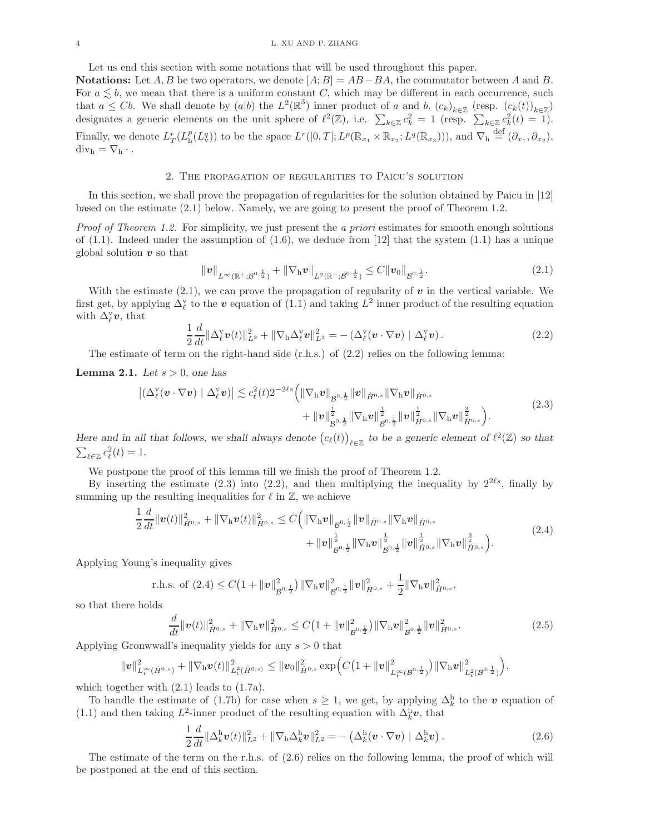Let us end this section with some notations that will be used throughout this paper.

Notations: Let A, B be two operators, we denote  $[A; B] = AB - BA$ , the commutator between A and B. For  $a \leq b$ , we mean that there is a uniform constant C, which may be different in each occurrence, such that  $a \leq Cb$ . We shall denote by  $(a|b)$  the  $L^2(\mathbb{R}^3)$  inner product of a and b.  $(c_k)_{k\in\mathbb{Z}}$  (resp.  $(c_k(t))_{k\in\mathbb{Z}}$ ) designates a generic elements on the unit sphere of  $\ell^2(\mathbb{Z})$ , i.e.  $\sum_{k\in\mathbb{Z}}c_k^2=1$  (resp.  $\sum_{k\in\mathbb{Z}}c_k^2(t)=1$ ). Finally, we denote  $L^r_T(L^p_h(L^q_v))$  to be the space  $L^r([0,T];L^p(\mathbb{R}_{x_1}\times\mathbb{R}_{x_2};L^q(\mathbb{R}_{x_3}))),$  and  $\nabla_h\stackrel{\text{def}}{=}(\partial_{x_1},\partial_{x_2}),$  $div_h = \nabla_h \cdot$ .

#### 2. The propagation of regularities to Paicu's solution

In this section, we shall prove the propagation of regularities for the solution obtained by Paicu in [12] based on the estimate (2.1) below. Namely, we are going to present the proof of Theorem 1.2.

Proof of Theorem 1.2. For simplicity, we just present the a priori estimates for smooth enough solutions of  $(1.1)$ . Indeed under the assumption of  $(1.6)$ , we deduce from [12] that the system  $(1.1)$  has a unique global solution  $v$  so that

$$
\|v\|_{L^{\infty}(\mathbb{R}^+;\mathcal{B}^{0,\frac{1}{2}})} + \|\nabla_{\mathbf{h}}v\|_{L^2(\mathbb{R}^+;\mathcal{B}^{0,\frac{1}{2}})} \leq C\|v_0\|_{\mathcal{B}^{0,\frac{1}{2}}}.
$$
\n(2.1)

With the estimate (2.1), we can prove the propagation of regularity of  $v$  in the vertical variable. We first get, by applying  $\Delta_{\ell}^{\rm y}$  to the v equation of  $(1.1)$  and taking  $L^2$  inner product of the resulting equation with  $\Delta_{\ell}^{\mathrm{v}}\mathbf{v}$ , that

$$
\frac{1}{2}\frac{d}{dt}\|\Delta_{\ell}^{\mathrm{v}}v(t)\|_{L^{2}}^{2}+\|\nabla_{\mathrm{h}}\Delta_{\ell}^{\mathrm{v}}v\|_{L^{2}}^{2}=-\left(\Delta_{\ell}^{\mathrm{v}}(v\cdot\nabla v)\mid\Delta_{\ell}^{\mathrm{v}}v\right).
$$
\n(2.2)

The estimate of term on the right-hand side (r.h.s.) of (2.2) relies on the following lemma:

**Lemma 2.1.** Let  $s > 0$ , one has

$$
\left| \left( \Delta^{\mathbf{v}}_{\ell} (\boldsymbol{v} \cdot \nabla \boldsymbol{v}) \mid \Delta^{\mathbf{v}}_{\ell} \boldsymbol{v} \right) \right| \lesssim c_{\ell}^{2} (t) 2^{-2\ell s} \Big( \|\nabla_{\mathbf{h}} \boldsymbol{v}\|_{\mathcal{B}^{0, \frac{1}{2}}} \|\boldsymbol{v}\|_{\dot{H}^{0, s}} \|\nabla_{\mathbf{h}} \boldsymbol{v}\|_{\dot{H}^{0, s}} + \|\boldsymbol{v}\|_{\mathcal{B}^{0, \frac{1}{2}}}^{\frac{1}{2}} \|\nabla_{\mathbf{h}} \boldsymbol{v}\|_{\mathcal{B}^{0, \frac{1}{2}}}^{\frac{1}{2}} \|\mathbf{v}\|_{\dot{H}^{0, s}}^{\frac{1}{2}} \|\nabla_{\mathbf{h}} \boldsymbol{v}\|_{\dot{H}^{0, s}}^{\frac{3}{2}} \Big).
$$
\n(2.3)

Here and in all that follows, we shall always denote  $(c_{\ell}(t))_{\ell \in \mathbb{Z}}$  to be a generic element of  $\ell^2(\mathbb{Z})$  so that  $\sum_{\ell \in \mathbb{Z}} c_{\ell}^2(t) = 1.$ 

We postpone the proof of this lemma till we finish the proof of Theorem 1.2.

By inserting the estimate (2.3) into (2.2), and then multiplying the inequality by  $2^{2\ell s}$ , finally by summing up the resulting inequalities for  $\ell$  in  $\mathbb{Z}$ , we achieve

$$
\frac{1}{2}\frac{d}{dt}\|\mathbf{v}(t)\|_{\dot{H}^{0,s}}^2 + \|\nabla_{\mathbf{h}}\mathbf{v}(t)\|_{\dot{H}^{0,s}}^2 \leq C\Big(\|\nabla_{\mathbf{h}}\mathbf{v}\|_{\mathcal{B}^{0,\frac{1}{2}}}\|\mathbf{v}\|_{\dot{H}^{0,s}}\|\nabla_{\mathbf{h}}\mathbf{v}\|_{\dot{H}^{0,s}} + \|\mathbf{v}\|_{\mathcal{B}^{0,\frac{1}{2}}}\|\nabla_{\mathbf{h}}\mathbf{v}\|_{\mathcal{B}^{0,\frac{1}{2}}}\|\mathbf{v}\|_{\dot{H}^{0,s}}^{\frac{1}{2}}\|\nabla_{\mathbf{h}}\mathbf{v}\|_{\dot{H}^{0,s}}^{\frac{1}{2}}\Big).
$$
\n(2.4)

Applying Young's inequality gives

$$
\text{r.h.s. of } (2.4) \leq C\left(1 + \|\mathbf{v}\|_{\mathcal{B}^{0,\frac{1}{2}}}^{2}\right) \|\nabla_{\mathbf{h}}\mathbf{v}\|_{\mathcal{B}^{0,\frac{1}{2}}}^{2} \|\mathbf{v}\|_{\dot{H}^{0,s}}^{2} + \frac{1}{2} \|\nabla_{\mathbf{h}}\mathbf{v}\|_{\dot{H}^{0,s}}^{2},
$$

so that there holds

$$
\frac{d}{dt} \|\mathbf{v}(t)\|_{\dot{H}^{0,s}}^2 + \|\nabla_{\mathbf{h}}\mathbf{v}\|_{\dot{H}^{0,s}}^2 \leq C \big(1 + \|\mathbf{v}\|_{\mathcal{B}^{0,\frac{1}{2}}}^2\big) \|\nabla_{\mathbf{h}}\mathbf{v}\|_{\mathcal{B}^{0,\frac{1}{2}}}^2 \|\mathbf{v}\|_{\dot{H}^{0,s}}^2.
$$
\n(2.5)

Applying Gronwwall's inequality yields for any  $s > 0$  that

$$
\|{\pmb v}\|^2_{L^\infty_t(\dot{H}^{0,s})} + \|\nabla_\mathrm{h} {\pmb v}(t)\|^2_{L^2_t(\dot{H}^{0,s})} \leq \|{\pmb v}_0\|^2_{\dot{H}^{0,s}} \exp\Bigl( C\bigl(1+\|{\pmb v}\|^2_{L^\infty_t(\mathcal{B}^{0,\frac{1}{2}})}\bigr) \|\nabla_\mathrm{h} {\pmb v}\|^2_{L^2_t(\mathcal{B}^{0,\frac{1}{2}})}\Bigr),
$$

which together with  $(2.1)$  leads to  $(1.7a)$ .

To handle the estimate of (1.7b) for case when  $s \geq 1$ , we get, by applying  $\Delta_k^h$  to the v equation of (1.1) and then taking  $L^2$ -inner product of the resulting equation with  $\Delta_k^{\text{h}}\mathbf{v}$ , that

$$
\frac{1}{2}\frac{d}{dt}\|\Delta_k^{\mathrm{h}}v(t)\|_{L^2}^2 + \|\nabla_{\mathrm{h}}\Delta_k^{\mathrm{h}}v\|_{L^2}^2 = -\left(\Delta_k^{\mathrm{h}}(v\cdot\nabla v) \mid \Delta_k^{\mathrm{h}}v\right). \tag{2.6}
$$

The estimate of the term on the r.h.s. of (2.6) relies on the following lemma, the proof of which will be postponed at the end of this section.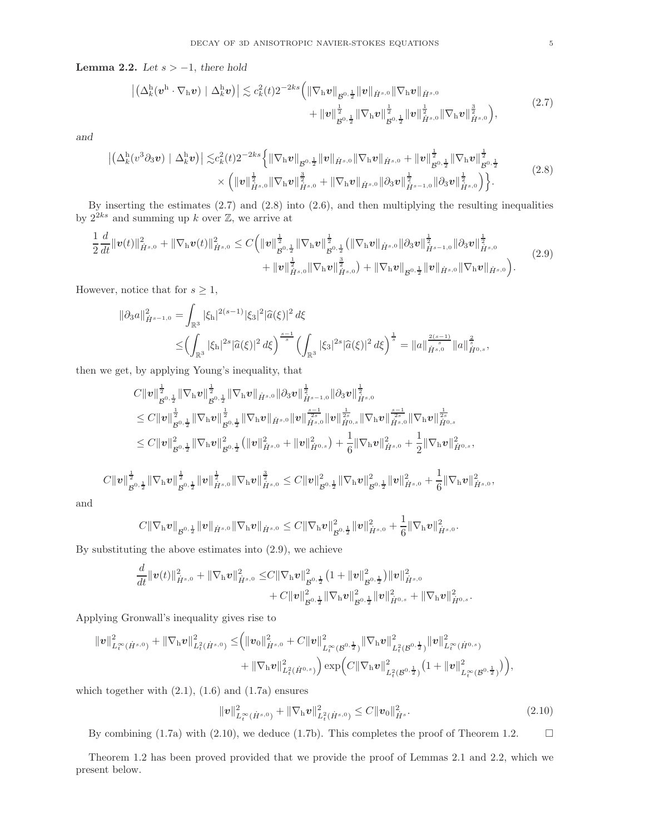Lemma 2.2. Let  $s > -1$ , there hold

$$
\left| \left( \Delta_k^{\mathrm{h}}(\mathbf{v}^{\mathrm{h}} \cdot \nabla_{\mathrm{h}} \mathbf{v}) \mid \Delta_k^{\mathrm{h}} \mathbf{v} \right) \right| \lesssim c_k^2(t) 2^{-2ks} \left( \|\nabla_{\mathrm{h}} \mathbf{v}\|_{\mathcal{B}^{0,\frac{1}{2}}} \|\mathbf{v}\|_{\dot{H}^{s,0}} \|\nabla_{\mathrm{h}} \mathbf{v}\|_{\dot{H}^{s,0}} + \|\mathbf{v}\|_{\mathcal{B}^{0,\frac{1}{2}}}^{\frac{1}{2}} \|\nabla_{\mathrm{h}} \mathbf{v}\|_{\mathcal{B}^{0,\frac{1}{2}}}^{\frac{1}{2}} \|\mathbf{v}\|_{\dot{H}^{s,0}}^{\frac{1}{2}} \|\nabla_{\mathrm{h}} \mathbf{v}\|_{\dot{H}^{s,0}}^{\frac{1}{2}} \right), \tag{2.7}
$$

and

$$
\left| \left( \Delta_{k}^{\mathrm{h}}(v^{3}\partial_{3}v) \mid \Delta_{k}^{\mathrm{h}}v \right) \right| \lesssim c_{k}^{2}(t) 2^{-2ks} \left\{ \left\| \nabla_{\mathrm{h}}v \right\|_{\mathcal{B}^{0,\frac{1}{2}}} \left\| v \right\|_{\dot{H}^{s,0}} \left\| \nabla_{\mathrm{h}}v \right\|_{\dot{H}^{s,0}} + \left\| v \right\|_{\mathcal{B}^{0,\frac{1}{2}}}^{\frac{1}{2}} \left\| \nabla_{\mathrm{h}}v \right\|_{\mathcal{B}^{0,\frac{1}{2}}}^{\frac{1}{2}} \right\| \left\| v \right\|_{\dot{H}^{s,0}} \right\}
$$
\n
$$
\times \left( \left\| v \right\|_{\dot{H}^{s,0}}^{\frac{1}{2}} \left\| \nabla_{\mathrm{h}}v \right\|_{\dot{H}^{s,0}}^{\frac{3}{2}} + \left\| \nabla_{\mathrm{h}}v \right\|_{\dot{H}^{s,0}} \left\| \partial_{3}v \right\|_{\dot{H}^{s-1,0}}^{\frac{1}{2}} \left\| \partial_{3}v \right\|_{\dot{H}^{s,0}}^{\frac{1}{2}} \right\} . \tag{2.8}
$$

By inserting the estimates (2.7) and (2.8) into (2.6), and then multiplying the resulting inequalities by  $2^{2ks}$  and summing up k over  $\mathbb{Z}$ , we arrive at

$$
\frac{1}{2}\frac{d}{dt}\|\mathbf{v}(t)\|_{\dot{H}^{s,0}}^{2} + \|\nabla_{\mathbf{h}}\mathbf{v}(t)\|_{\dot{H}^{s,0}}^{2} \leq C\Big(\|\mathbf{v}\|_{\mathcal{B}^{0,\frac{1}{2}}}^{\frac{1}{2}}\|\nabla_{\mathbf{h}}\mathbf{v}\|_{\mathcal{B}^{0,\frac{1}{2}}}^{\frac{1}{2}}\big(\|\nabla_{\mathbf{h}}\mathbf{v}\|_{\dot{H}^{s,0}}\|\partial_{3}\mathbf{v}\|_{\dot{H}^{s-1,0}}^{\frac{1}{2}}\|\partial_{3}\mathbf{v}\|_{\dot{H}^{s,0}}^{\frac{1}{2}} + \|\mathbf{v}\|_{\mathcal{H}^{s,0}}^{\frac{1}{2}}\|\nabla_{\mathbf{h}}\mathbf{v}\|_{\dot{H}^{s,0}}^{\frac{3}{2}}\big) + \|\nabla_{\mathbf{h}}\mathbf{v}\|_{\mathcal{B}^{0,\frac{1}{2}}}\|\mathbf{v}\|_{\dot{H}^{s,0}}\|\nabla_{\mathbf{h}}\mathbf{v}\|_{\dot{H}^{s,0}}\Big). \tag{2.9}
$$

However, notice that for  $s \geq 1$ ,

$$
\|\partial_3 a\|_{\dot{H}^{s-1,0}}^2 = \int_{\mathbb{R}^3} |\xi_{\mathbf{h}}|^{2(s-1)} |\xi_3|^2 |\widehat{a}(\xi)|^2 d\xi
$$
  

$$
\leq \left( \int_{\mathbb{R}^3} |\xi_{\mathbf{h}}|^{2s} |\widehat{a}(\xi)|^2 d\xi \right)^{\frac{s-1}{s}} \left( \int_{\mathbb{R}^3} |\xi_3|^{2s} |\widehat{a}(\xi)|^2 d\xi \right)^{\frac{1}{s}} = \|a\|_{\dot{H}^{s,0}}^{\frac{2(s-1)}{s}} \|a\|_{\dot{H}^{0,s}}^{\frac{2}{s}},
$$

then we get, by applying Young's inequality, that

$$
C\|\boldsymbol{v}\|_{\mathcal{B}^{0,\frac{1}{2}}}^{\frac{1}{2}}\|\nabla_{\mathrm{h}}\boldsymbol{v}\|_{\mathcal{B}^{0,\frac{1}{2}}}^{\frac{1}{2}}\|\nabla_{\mathrm{h}}\boldsymbol{v}\|_{\dot{H}^{s,0}}\|\partial_{3}\boldsymbol{v}\|_{\dot{H}^{s-1,0}}^{\frac{1}{2}}\|\partial_{3}\boldsymbol{v}\|_{\dot{H}^{s,0}}^{\frac{1}{2}}\\ \leq C\|\boldsymbol{v}\|_{\mathcal{B}^{0,\frac{1}{2}}}^{\frac{1}{2}}\|\nabla_{\mathrm{h}}\boldsymbol{v}\|_{\mathcal{B}^{0,\frac{1}{2}}}^{\frac{1}{2}}\|\nabla_{\mathrm{h}}\boldsymbol{v}\|_{\dot{H}^{s,0}}\|\boldsymbol{v}\|_{\dot{H}^{s,0}}^{\frac{s-1}{2s}}\|\boldsymbol{v}\|_{\dot{H}^{s,0}}^{\frac{s-1}{2s}}\|\nabla_{\mathrm{h}}\boldsymbol{v}\|_{\dot{H}^{s,0}}^{\frac{s-1}{2s}}\|\nabla_{\mathrm{h}}\boldsymbol{v}\|_{\dot{H}^{s,0}}^{\frac{s-1}{2s}}\|\nabla_{\mathrm{h}}\boldsymbol{v}\|_{\dot{H}^{s,0}}^{\frac{s-1}{2s}}\|\nabla_{\mathrm{h}}\boldsymbol{v}\|_{\dot{H}^{s,0}}^{\frac{s-1}{2s}}\|\nabla_{\mathrm{h}}\boldsymbol{v}\|_{\dot{H}^{s,0}}^{\frac{s-1}{2}}\|\nabla_{\mathrm{h}}\boldsymbol{v}\|_{\dot{H}^{s,0}}^{\frac{s-1}{2}}\|\nabla_{\mathrm{h}}\boldsymbol{v}\|_{\dot{H}^{s,0}}^{\frac{s-1}{2}}\|\nabla_{\mathrm{h}}\boldsymbol{v}\|_{\dot{H}^{s,0}}^{\frac{s-1}{2s}}\,,
$$
  

$$
C\|\boldsymbol{v}\|_{\mathcal{B}^{0,\frac{1}{2}}}^{\frac{1}{2}}\|\nabla_{\mathrm{h}}\boldsymbol{v}\|_{\mathcal{B}^{0,\frac{1}{2}}}^{\frac{s}{2}}\|\boldsymbol{v}\|_{\dot{H}^{s,0}}^{\frac{s}{2}}\|\nab
$$

and

$$
C\|\nabla_{\mathrm{h}} v\|_{\mathcal{B}^{0,\frac{1}{2}}}\|v\|_{\dot{H}^{s,0}}\|\nabla_{\mathrm{h}} v\|_{\dot{H}^{s,0}}\leq C\|\nabla_{\mathrm{h}} v\|_{\mathcal{B}^{0,\frac{1}{2}}}^2\|v\|_{\dot{H}^{s,0}}^2+\frac{1}{6}\|\nabla_{\mathrm{h}} v\|_{\dot{H}^{s,0}}^2.
$$

By substituting the above estimates into (2.9), we achieve

$$
\frac{d}{dt} \|v(t)\|_{\dot{H}^{s,0}}^2 + \|\nabla_{\mathbf{h}}v\|_{\dot{H}^{s,0}}^2 \leq C \|\nabla_{\mathbf{h}}v\|_{B^{0,\frac{1}{2}}}^2 \left(1 + \|v\|_{B^{0,\frac{1}{2}}}^2\right) \|v\|_{\dot{H}^{s,0}}^2 \n+ C \|v\|_{B^{0,\frac{1}{2}}}^2 \|\nabla_{\mathbf{h}}v\|_{B^{0,\frac{1}{2}}}^2 \|v\|_{\dot{H}^{0,s}}^2 + \|\nabla_{\mathbf{h}}v\|_{\dot{H}^{0,s}}^2.
$$

Applying Gronwall's inequality gives rise to

$$
\begin{aligned} \|\boldsymbol{v}\|_{L^{\infty}_{t}(\dot{H}^{s,0})}^{2}+\|\nabla_{\boldsymbol{h}}\boldsymbol{v}\|_{L^{2}_{t}(\dot{H}^{s,0})}^{2} \leq & \Big(\|\boldsymbol{v}_{0}\|_{\dot{H}^{s,0}}^{2}+C\|\boldsymbol{v}\|_{L^{\infty}_{t}(\mathcal{B}^{0,\frac{1}{2}})}^{2}\|\nabla_{\boldsymbol{h}}\boldsymbol{v}\|_{L^{2}_{t}(\mathcal{B}^{0,\frac{1}{2}})}^{2}\|\boldsymbol{v}\|_{L^{\infty}_{t}(\dot{H}^{0,s})}^{2}\\ &+\|\nabla_{\boldsymbol{h}}\boldsymbol{v}\|_{L^{2}_{t}(\dot{H}^{0,s})}^{2}\Big)\exp\Big(C\|\nabla_{\boldsymbol{h}}\boldsymbol{v}\|_{L^{2}_{t}(\mathcal{B}^{0,\frac{1}{2}})}^{2}\big(1+\|\boldsymbol{v}\|_{L^{\infty}_{t}(\mathcal{B}^{0,\frac{1}{2}})}^{2}\Big)\Big), \end{aligned}
$$

which together with  $(2.1)$ ,  $(1.6)$  and  $(1.7a)$  ensures

$$
\|\mathbf{v}\|_{L_t^{\infty}(\dot{H}^{s,0})}^2 + \|\nabla_{\mathbf{h}}\mathbf{v}\|_{L_t^2(\dot{H}^{s,0})}^2 \leq C \|\mathbf{v}_0\|_{\dot{H}^s}^2.
$$
\n(2.10)

By combining (1.7a) with (2.10), we deduce (1.7b). This completes the proof of Theorem 1.2.

Theorem 1.2 has been proved provided that we provide the proof of Lemmas 2.1 and 2.2, which we present below.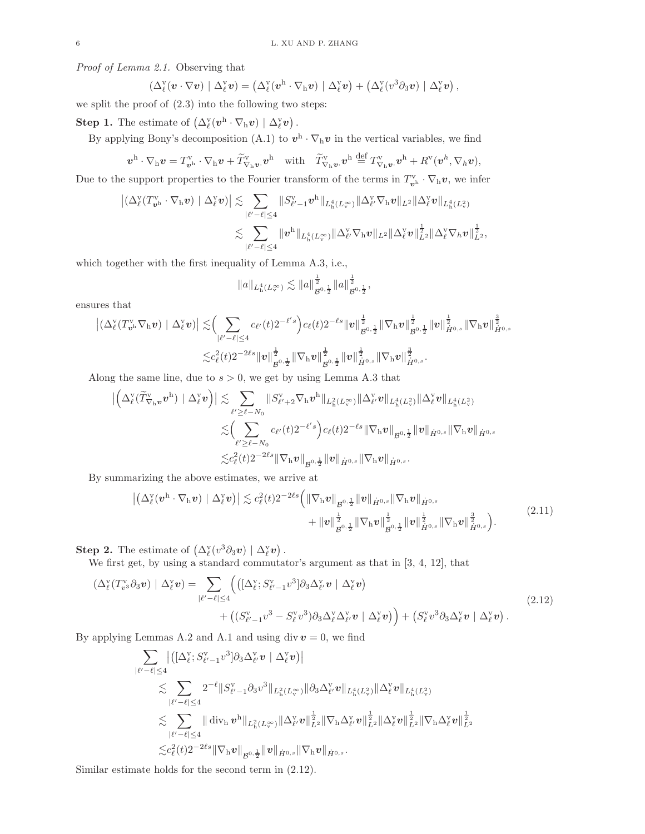Proof of Lemma 2.1. Observing that

$$
\left(\Delta^{\mathrm{v}}_{\ell}(\boldsymbol{v}\cdot\nabla\boldsymbol{v})\mid\Delta^{\mathrm{v}}_{\ell}\boldsymbol{v}\right)=\left(\Delta^{\mathrm{v}}_{\ell}(\boldsymbol{v}^{\mathrm{h}}\cdot\nabla_{\mathrm{h}}\boldsymbol{v})\mid\Delta^{\mathrm{v}}_{\ell}\boldsymbol{v}\right)+\left(\Delta^{\mathrm{v}}_{\ell}(\boldsymbol{v}^3\partial_3\boldsymbol{v})\mid\Delta^{\mathrm{v}}_{\ell}\boldsymbol{v}\right),
$$

we split the proof of (2.3) into the following two steps:

**Step 1.** The estimate of  $(\Delta^{\mathbf{v}}_{\ell}(\mathbf{v}^{\mathbf{h}}\cdot\nabla_{\mathbf{h}}\mathbf{v}) | \Delta^{\mathbf{v}}_{\ell}\mathbf{v})$ .

By applying Bony's decomposition (A.1) to  $v^{\text{h}} \cdot \nabla_{\text{h}} v$  in the vertical variables, we find

$$
\boldsymbol{v}^{\mathrm{h}}\cdot\nabla_{\mathrm{h}}\boldsymbol{v} = T_{\boldsymbol{v}^{\mathrm{h}}}^{\mathrm{v}}\cdot\nabla_{\mathrm{h}}\boldsymbol{v} + \widetilde{T}_{\nabla_{\mathrm{h}}\boldsymbol{v}}^{\mathrm{v}}\cdot\boldsymbol{v}^{\mathrm{h}} \quad\text{with}\quad \widetilde{T}_{\nabla_{\mathrm{h}}\boldsymbol{v}}^{\mathrm{v}}\cdot\boldsymbol{v}^{\mathrm{h}} \stackrel{\mathrm{def}}{=} T_{\nabla_{\mathrm{h}}\boldsymbol{v}}^{\mathrm{v}}\cdot\boldsymbol{v}^{\mathrm{h}} + R^{\mathrm{v}}(\boldsymbol{v}^{\mathrm{h}},\nabla_{\mathrm{h}}\boldsymbol{v}),
$$

Due to the support properties to the Fourier transform of the terms in  $T_{v^h}^{\mathbf{v}} \cdot \nabla_h \boldsymbol{v}$ , we infer

$$
\begin{aligned} \left| \left( \Delta^{\mathrm{v}}_\ell(T^{\mathrm{v}}_{\bm{v}^{\mathrm{h}}}\cdot\nabla_{\mathrm{h}}\bm{v}) \mid \Delta^{\mathrm{v}}_\ell \bm{v} \right) \right| \lesssim & \sum_{|\ell' - \ell| \leq 4} \left\|S^{\mathrm{v}}_{\ell' - 1} \bm{v}^{\mathrm{h}} \right\|_{L^4_\mathrm{h}(L^\infty_v)} \left\| \Delta^{\mathrm{v}}_\ell \nabla_{\mathrm{h}} \bm{v} \right\|_{L^2} \left\| \Delta^{\mathrm{v}}_\ell \bm{v} \right\|_{L^4_\mathrm{h}(L^\infty_v)} \\ \lesssim & \sum_{|\ell' - \ell| \leq 4} \|\bm{v}^{\mathrm{h}}\|_{L^4_\mathrm{h}(L^\infty_v)} \|\Delta^{\mathrm{v}}_\ell \nabla_{\mathrm{h}}\bm{v} \|_{L^2} \|\Delta^{\mathrm{v}}_\ell \bm{v} \|^{\frac{1}{2}}_{L^2} \|\Delta^{\mathrm{v}}_\ell \nabla_{\hbar} \bm{v} \|^{\frac{1}{2}}_{L^2}, \end{aligned}
$$

which together with the first inequality of Lemma A.3, i.e.,

$$
||a||_{L_{{\rm h}}^4(L_v^{\infty})}\lesssim ||a||_{\mathcal{B}^{0,\frac{1}{2}}}^{\frac{1}{2}}||a||_{\mathcal{B}^{0,\frac{1}{2}}}^{\frac{1}{2}},
$$

ensures that

$$
\left| \left( \Delta^{\mathbf{v}}_{\ell} (T^{\mathbf{v}}_{\mathbf{v}^{\mathbf{h}}}\nabla_{\mathbf{h}} \mathbf{v}) \mid \Delta^{\mathbf{v}}_{\ell} \mathbf{v} \right) \right| \lesssim \left( \sum_{|\ell' - \ell| \leq 4} c_{\ell'}(t) 2^{-\ell' s} \right) c_{\ell}(t) 2^{-\ell s} \| \mathbf{v} \|_{\mathcal{B}^{0, \frac{1}{2}}}^{\frac{1}{2}} \| \nabla_{\mathbf{h}} \mathbf{v} \|_{\mathcal{B}^{0, \frac{1}{2}}}^{\frac{1}{2}} \| \mathbf{v} \|_{\dot{H}^{0, s}}^{\frac{1}{2}} \| \nabla_{\mathbf{h}} \mathbf{v} \|_{\dot{H}^{0, s}}^{\frac{1}{2}} \| \nabla_{\mathbf{h}} \mathbf{v} \|_{\dot{H}^{0, s}}^{\frac{1}{2}} \| \nabla_{\mathbf{h}} \mathbf{v} \|_{\dot{H}^{0, s}}^{\frac{1}{2}}.
$$

Along the same line, due to  $s > 0$ , we get by using Lemma A.3 that

 ∆ v ℓ (Te<sup>v</sup> <sup>∇</sup>h<sup>v</sup><sup>v</sup> h ) | ∆ v ℓ v  . X ℓ ′≥ℓ−N<sup>0</sup> kS v ℓ ′+2∇hv h kL<sup>2</sup> h (L∞<sup>v</sup> )k∆ v ℓ ′vkL<sup>4</sup> h (L<sup>2</sup> v )k∆ v <sup>ℓ</sup> vkL<sup>4</sup> h (L<sup>2</sup> v ) . X ℓ ′≥ℓ−N<sup>0</sup> cℓ ′ (t)2<sup>−</sup><sup>ℓ</sup> ′ s cℓ(t)2<sup>−</sup>ℓsk∇hvk B 0, 1 2 <sup>k</sup>vkH˙ <sup>0</sup>,s k∇hvkH˙ <sup>0</sup>,s .c 2 ℓ (t)2<sup>−</sup>2ℓsk∇hvk B 0, 1 2 <sup>k</sup>vkH˙ <sup>0</sup>,s k∇hvkH˙ <sup>0</sup>,s .

By summarizing the above estimates, we arrive at

$$
\left| \left( \Delta_{\ell}^{v} (\boldsymbol{v}^{h} \cdot \nabla_{h} \boldsymbol{v}) \mid \Delta_{\ell}^{v} \boldsymbol{v} \right) \right| \lesssim c_{\ell}^{2} (t) 2^{-2\ell s} \left( \|\nabla_{h} \boldsymbol{v}\|_{\mathcal{B}^{0,\frac{1}{2}}} \|\boldsymbol{v}\|_{\dot{H}^{0,s}} \|\nabla_{h} \boldsymbol{v}\|_{\dot{H}^{0,s}} + \|\boldsymbol{v}\|_{\mathcal{B}^{0,\frac{1}{2}}}^{\frac{1}{2}} \|\nabla_{h} \boldsymbol{v}\|_{\mathcal{B}^{0,\frac{1}{2}}}^{\frac{1}{2}} \|\boldsymbol{v}\|_{\dot{H}^{0,s}}^{\frac{1}{2}} \|\nabla_{h} \boldsymbol{v}\|_{\dot{H}^{0,s}}^{\frac{1}{2}} \right).
$$
\n(2.11)

**Step 2.** The estimate of  $(\Delta^{\mathbf{v}}_{\ell}(v^3 \partial_3 v) | \Delta^{\mathbf{v}}_{\ell} v)$ .

We first get, by using a standard commutator's argument as that in [3, 4, 12], that

$$
\left(\Delta_{\ell}^{\mathbf{v}}(T_{v^3}^{\mathbf{v}}\partial_3\mathbf{v})\mid \Delta_{\ell}^{\mathbf{v}}\mathbf{v}\right) = \sum_{|\ell'-\ell|\leq 4} \left(\left(\left[\Delta_{\ell}^{\mathbf{v}};S_{\ell'-1}^{\mathbf{v}}v^3\right]\partial_3\Delta_{\ell'}^{\mathbf{v}}\mathbf{v}\mid \Delta_{\ell}^{\mathbf{v}}\mathbf{v}\right)\right) + \left(\left(S_{\ell'-1}^{\mathbf{v}}v^3 - S_{\ell}^{\mathbf{v}}v^3\partial_3\Delta_{\ell'}^{\mathbf{v}}\mathbf{v}\mid \Delta_{\ell}^{\mathbf{v}}\mathbf{v}\right)\right) + \left(S_{\ell}^{\mathbf{v}}v^3\partial_3\Delta_{\ell}^{\mathbf{v}}\mathbf{v}\mid \Delta_{\ell}^{\mathbf{v}}\mathbf{v}\right).
$$
\n(2.12)

By applying Lemmas A.2 and A.1 and using div  $v = 0$ , we find

$$
\begin{aligned} &\sum_{|\ell'-\ell|\leq 4}\big|\big([\Delta_\ell^{\texttt{v}}; S_{\ell'-1}^{\texttt{v}}v^3]\partial_3\Delta_{\ell'}^{\texttt{v}}\, \boldsymbol{v}\mid \Delta_\ell^{\texttt{v}}\boldsymbol{v}\big)\big|\\ &\lesssim \sum_{|\ell'-\ell|\leq 4} 2^{-\ell}\|S_{\ell'-1}^{\texttt{v}}\partial_3v^3\|_{L_h^2(L_\mathrm{v}^\infty)}\|\partial_3\Delta_{\ell'}^{\texttt{v}}\boldsymbol{v}\|_{L_h^4(L_v^2)}\|\Delta_\ell^{\texttt{v}}\boldsymbol{v}\|_{L_h^4(L_v^2)}\\ &\lesssim \sum_{|\ell'-\ell|\leq 4}\|\operatorname{div}_\mathbf{h}\boldsymbol{v}^\mathbf{h}\|_{L_h^2(L_\mathrm{v}^\infty)}\|\Delta_{\ell'}^{\texttt{v}}\boldsymbol{v}\|_{L^2}^\frac{1}{2}\|\nabla_\mathbf{h}\Delta_{\ell'}^{\texttt{v}}\boldsymbol{v}\|_{L^2}^\frac{1}{2}\|\Delta_\ell^{\texttt{v}}\boldsymbol{v}\|_{L^2}^\frac{1}{2}\|\nabla_\mathbf{h}\Delta_\ell^{\texttt{v}}\boldsymbol{v}\|_{L^2}^\frac{1}{2}\|\nabla_\mathbf{h}\Delta_\ell^{\texttt{v}}\boldsymbol{v}\|_{L^2}^\frac{1}{2}\|\nabla_\mathbf{h}\Delta_\ell^{\texttt{v}}\boldsymbol{v}\|_{L^2}^\frac{1}{2} \end{aligned}
$$

Similar estimate holds for the second term in (2.12).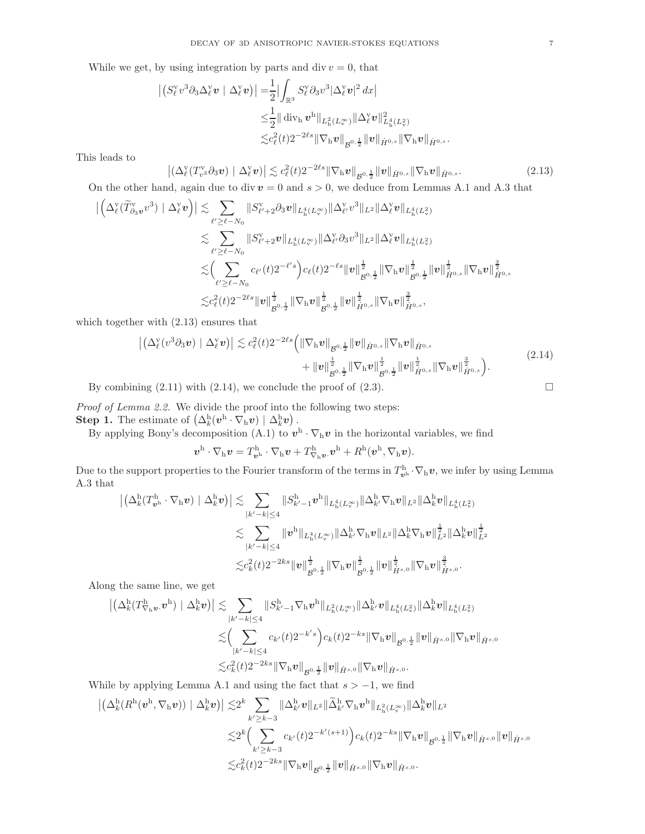While we get, by using integration by parts and div  $v = 0$ , that

$$
\begin{aligned} \left| \left( S_{\ell}^{v} v^{3} \partial_{3} \Delta_{\ell}^{v} \boldsymbol{v} \mid \Delta_{\ell}^{v} \boldsymbol{v} \right) \right|=&\frac{1}{2} \Big| \int_{\mathbb{R}^{3}} S_{\ell}^{v} \partial_{3} v^{3} |\Delta_{\ell}^{v} \boldsymbol{v}|^{2} \, dx \Big| \\ \leq & \frac{1}{2} \|\operatorname{div}_{\mathbf{h}} \boldsymbol{v}^{\mathbf{h}} \|_{L_{\mathbf{h}}^{2}(L_{\infty}^{\infty})} \|\Delta_{\ell}^{v} \boldsymbol{v} \|_{L_{\mathbf{h}}^{4}(L_{\infty}^{2})}^{2} \\ \lesssim & c_{\ell}^{2}(t) 2^{-2\ell s} \|\nabla_{\mathbf{h}} \boldsymbol{v} \|_{\mathcal{B}^{0,\frac{1}{2}}} \|\boldsymbol{v} \|_{\dot{H}^{0,s}} \|\nabla_{\mathbf{h}} \boldsymbol{v} \|_{\dot{H}^{0,s}}. \end{aligned}
$$

This leads to

$$
\left| \left( \Delta^{\mathbf{v}}_{\ell} (T^{\mathbf{v}}_{v^3} \partial_3 v) \mid \Delta^{\mathbf{v}}_{\ell} v \right) \right| \lesssim c_{\ell}^2(t) 2^{-2\ell s} \|\nabla_{\mathbf{h}} v\|_{\mathcal{B}^{0,\frac{1}{2}}} \|v\|_{\dot{H}^{0,s}} \|\nabla_{\mathbf{h}} v\|_{\dot{H}^{0,s}}.
$$
\n(2.13)

On the other hand, again due to div  $v = 0$  and  $s > 0$ , we deduce from Lemmas A.1 and A.3 that

$$
\begin{split} \big|\Big(\Delta^{\mathrm{v}}_{\ell}(\widetilde{T}^{\mathrm{v}}_{\partial_3}v^{3})\mid\Delta^{\mathrm{v}}_{\ell}v\Big)\big| &\lesssim \sum_{\ell'\geq \ell-N_0}\|S^{\mathrm{v}}_{\ell'+2}\partial_3 v\|_{L_{{\mathrm{h}}}^4(L^\infty_{\mathrm{v}})}\|\Delta^{\mathrm{v}}_{\ell'}v^{3}\|_{L^2}\|\Delta^{\mathrm{v}}_{\ell}v\|_{L_{{\mathrm{h}}}^4(L^\infty_{\mathrm{v}})}\\ &\lesssim \sum_{\ell'\geq \ell-N_0}\|S^{\mathrm{v}}_{\ell'+2}v\|_{L_{{\mathrm{h}}}^4(L^\infty_{\mathrm{v}})}\|\Delta^{\mathrm{v}}_{\ell'}\partial_3 v^{3}\|_{L^2}\|\Delta^{\mathrm{v}}_{\ell}v\|_{L_{{\mathrm{h}}}^4(L^\infty_{\mathrm{v}})}\\ &\lesssim \Big(\sum_{\ell'\geq \ell-N_0}c_{\ell'}(t)2^{-\ell's}\Big)c_{\ell}(t)2^{-\ell s}\|v\|_{\mathcal{B}^{0,\frac{1}{2}}}^{\frac{1}{2}}\|\nabla_{\mathrm{h}}v\|_{\mathcal{B}^{0,\frac{1}{2}}}^{\frac{1}{2}}\|v\|_{\dot{H}^{0,s}}^{\frac{1}{2}}\|\nabla_{\mathrm{h}}v\|_{\dot{H}^{0,s}}^{\frac{1}{2}}\|\nabla_{\mathrm{h}}v\|_{\dot{H}^{0,s}}^{\frac{3}{2}}, \end{split}
$$

which together with (2.13) ensures that

$$
\left| \left( \Delta_{\ell}^{\mathbf{v}}(v^3 \partial_3 v) \mid \Delta_{\ell}^{\mathbf{v}} v \right) \right| \lesssim c_{\ell}^2(t) 2^{-2\ell s} \left( \|\nabla_{\mathbf{h}} v\|_{\mathcal{B}^{0,\frac{1}{2}}} \|v\|_{\dot{H}^{0,s}} \|\nabla_{\mathbf{h}} v\|_{\dot{H}^{0,s}} + \|v\|_{\dot{H}^{0,\frac{1}{2}}}^{\frac{1}{2}} \|\nabla_{\mathbf{h}} v\|_{\dot{H}^{0,\frac{1}{2}}}^{\frac{1}{2}} \|v\|_{\dot{H}^{0,s}}^{\frac{1}{2}} \|\nabla_{\mathbf{h}} v\|_{\dot{H}^{0,s}}^{\frac{3}{2}} \right).
$$
\n(2.14)

By combining  $(2.11)$  with  $(2.14)$ , we conclude the proof of  $(2.3)$ .

Proof of Lemma 2.2. We divide the proof into the following two steps: **Step 1.** The estimate of  $(\Delta_k^{\text{h}}(\mathbf{v}^{\text{h}}\cdot \nabla_{\text{h}}\mathbf{v}) | \Delta_k^{\text{h}}\mathbf{v})$ .

By applying Bony's decomposition (A.1) to  $v^h \cdot \nabla_h v$  in the horizontal variables, we find

 $\boldsymbol{v}^{\text{h}}\cdot\nabla_{\text{h}}\boldsymbol{v}=T^{\text{h}}_{\boldsymbol{v}^{\text{h}}}\cdot\nabla_{\text{h}}\boldsymbol{v}+T^{\text{h}}_{\nabla_{\text{h}}\boldsymbol{v}}\boldsymbol{v}^{\text{h}}+R^{\text{h}}(\boldsymbol{v}^{\text{h}},\nabla_{\text{h}}\boldsymbol{v}).$ 

Due to the support properties to the Fourier transform of the terms in  $T^h_{\mathbf{v}^h} \cdot \nabla_h \mathbf{v}$ , we infer by using Lemma A.3 that

$$
\begin{aligned} \left| \left( \Delta^{\mathrm{h}}_k(T^{\mathrm{h}}_{\bm{v}^{\mathrm{h}}}\cdot\nabla_{\mathrm{h}}\bm{v}) \mid \Delta^{\mathrm{h}}_k\bm{v} \right) \right| \lesssim & \sum_{|k'-k| \leq 4} \|S^{\mathrm{h}}_{k'-1}\bm{v}^{\mathrm{h}}\|_{L^4_\mathrm{h}(L^\infty_v)} \|\Delta^{\mathrm{h}}_{k'}\nabla_{\mathrm{h}}\bm{v} \|_{L^2} \|\Delta^{\mathrm{h}}_k\bm{v} \|_{L^4_\mathrm{h}(L^2_v)} \\ & \lesssim \sum_{|k'-k| \leq 4} \|\bm{v}^{\mathrm{h}}\|_{L^4_\mathrm{h}(L^\infty_v)} \|\Delta^{\mathrm{h}}_k\nabla_{\mathrm{h}}\bm{v} \|_{L^2} \|\Delta^{\mathrm{h}}_k\nabla_{\mathrm{h}}\bm{v} \|_{L^2}^{\frac{1}{2}} \|\Delta^{\mathrm{h}}_k\bm{v} \|_{L^2}^{\frac{1}{2}} \\ & \lesssim c_k^2(t) 2^{-2ks} \|\bm{v}\|_{\mathcal{B}^{0,\frac{1}{2}}}^{\frac{1}{2}} \|\nabla_{\mathrm{h}}\bm{v} \|_{\mathcal{B}^{0,\frac{1}{2}}}^{\frac{1}{2}} \|\bm{v}\|_{\dot{H}^{s,0}}^{\frac{1}{2}} \|\nabla_{\mathrm{h}}\bm{v} \|_{\dot{H}^{s,0}}^{\frac{3}{2}}. \end{aligned}
$$

Along the same line, we get

$$
\begin{aligned} \left| \left( \Delta^{\rm h}_k (T^{\rm h}_{\nabla_{\rm h} \bm v} . \bm v^{\rm h}) \mid \Delta^{\rm h}_{k} \bm v \right) \right| \lesssim & \sum_{|k'-k| \leq 4} \| S^{\rm h}_{k'-1} \nabla_{\rm h} \bm v^{\rm h} \|_{L^2_{\rm h} (L^\infty_v)} \| \Delta^{\rm h}_{k'} \bm v \|_{L^4_{\rm h} (L^2_v)} \| \Delta^{\rm h}_{k} \bm v \|_{L^4_{\rm h} (L^2_v)} \\ \lesssim & \left( \sum_{|k'-k| \leq 4} c_{k'}(t) 2^{-k' s} \right) c_{k}(t) 2^{-k s} \| \nabla_{\rm h} \bm v \|_{\mathcal{B}^{0,\frac{1}{2}}} \| \bm v \|_{\dot H^{s,0}} \| \nabla_{\rm h} \bm v \|_{\dot H^{s,0}} \end{aligned}
$$

While by applying Lemma A.1 and using the fact that  $s > -1$ , we find

$$
\begin{aligned} \left| \left( \Delta^{\mathrm{h}}_k (R^{\mathrm{h}}(\bm{v}^{\mathrm{h}}, \nabla_{\mathrm{h}} \bm{v}) ) \mid \Delta^{\mathrm{h}}_k \bm{v} \right) \right| \lesssim & 2^k \sum_{k' \geq k-3} \|\Delta^{\mathrm{h}}_{k'} \bm{v} \|_{L^2} \|\widetilde{\Delta}^{\mathrm{h}}_{k'} \nabla_{\mathrm{h}} \bm{v}^{\mathrm{h}} \|_{L^2_{\mathrm{h}}(L^\infty_v)} \|\Delta^{\mathrm{h}}_k \bm{v} \|_{L^2} \\ \lesssim & 2^k \Big( \sum_{k' \geq k-3} c_{k'}(t) 2^{-k'(s+1)} \Big) c_k(t) 2^{-ks} \|\nabla_{\mathrm{h}} \bm{v} \|_{\mathcal{B}^{0,\frac{1}{2}}} \|\nabla_{\mathrm{h}} \bm{v} \|_{\dot{H}^{s,0}} \|\bm{v} \|_{\dot{H}^{s,0}} \|\bm{v} \|_{\dot{H}^{s,0}} \end{aligned}
$$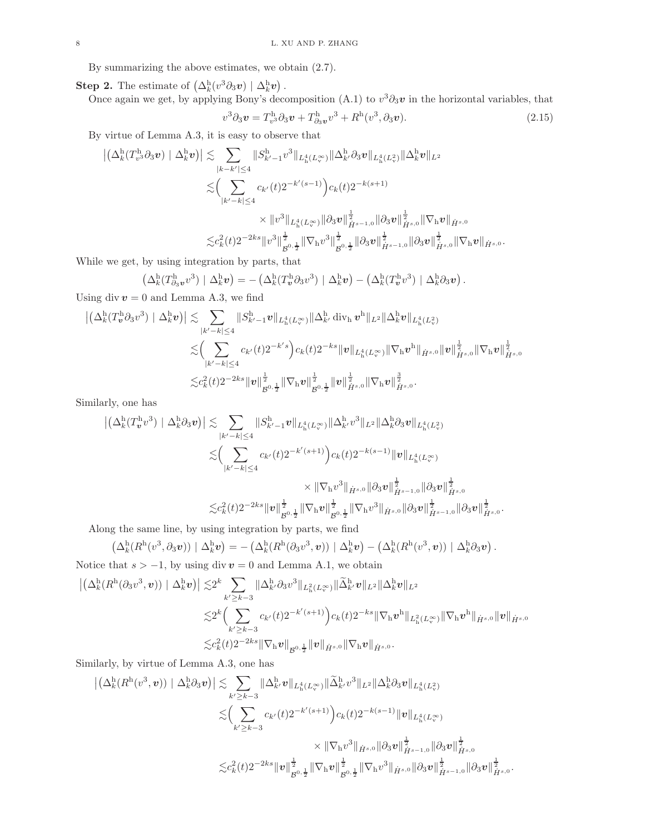By summarizing the above estimates, we obtain (2.7).

**Step 2.** The estimate of  $(\Delta_k^h(v^3 \partial_3 v) | \Delta_k^h v)$ .

Once again we get, by applying Bony's decomposition (A.1) to  $v^3 \partial_3 v$  in the horizontal variables, that  $v^3 \partial_3 v = T^{\text{h}}_{v^3} \partial_3 v + T^{\text{h}}_{\partial_3 v} v^3 + R^{\text{h}} (v^3, \partial_3 v).$  (2.15)

By virtue of Lemma A.3, it is easy to observe that

$$
\begin{aligned} \left| \left( \Delta^{\mathrm{h}}_k(T^{\mathrm{h}}_{v^3} \partial_3 v) \mid \Delta^{\mathrm{h}}_k v \right) \right| &\lesssim \sum_{|k-k'| \leq 4} \| S^{\mathrm{h}}_{k'-1} v^3 \|_{L^4_\mathrm{h}(L^\infty_v)} \| \Delta^{\mathrm{h}}_k \partial_3 v \|_{L^4_\mathrm{h}(L^2_v)} \| \Delta^{\mathrm{h}}_k v \|_{L^2} \\ &\lesssim \Big( \sum_{|k'-k| \leq 4} c_{k'}(t) 2^{-k'(s-1)} \Big) c_k(t) 2^{-k(s+1)} \\ &\times \| v^3 \|_{L^4_\mathrm{h}(L^\infty_v)} \| \partial_3 v \|_{\dot H^{s-1,0}}^{\frac{1}{2}} \| \partial_3 v \|_{\dot H^{s,0}}^{\frac{1}{2}} \| \nabla_\mathrm{h} v \|_{\dot H^{s,0}} \\ &\lesssim c_k^2(t) 2^{-2ks} \| v^3 \|_{\mathcal B^{0,\frac{1}{2}}}^{\frac{1}{2}} \| \nabla_\mathrm{h} v^3 \|_{\mathcal B^{0,\frac{1}{2}}}^{\frac{1}{2}} \| \partial_3 v \|_{\dot H^{s-1,0}}^{\frac{1}{2}} \| \partial_3 v \|_{\dot H^{s,0}}^{\frac{1}{2}} \| \nabla_\mathrm{h} v \|_{\dot H^{s,0}}. \end{aligned}
$$

While we get, by using integration by parts, that

$$
\left(\Delta_k^{\mathrm{h}}(T^{\mathrm{h}}_{\partial_3}v^{3})\mid \Delta_k^{\mathrm{h}}v\right) = -\left(\Delta_k^{\mathrm{h}}(T^{\mathrm{h}}_v\partial_3v^{3})\mid \Delta_k^{\mathrm{h}}v\right) - \left(\Delta_k^{\mathrm{h}}(T^{\mathrm{h}}_vv^{3})\mid \Delta_k^{\mathrm{h}}\partial_3v\right).
$$

Using div  $v = 0$  and Lemma A.3, we find

$$
\begin{aligned} \left| \left( \Delta^{\mathrm{h}}_k (T^\mathrm{h}_v \partial_3 v^3) \mid \Delta^{\mathrm{h}}_k v \right) \right| &\lesssim & \sum_{|k'-k| \leq 4} \| S^{\mathrm{h}}_{k'-1} v \|_{L^4_\mathrm{h}(L^\infty_v)} \| \Delta^{\mathrm{h}}_{k'} \operatorname{div}_\mathrm{h} v^\mathrm{h} \|_{L^2} \| \Delta^{\mathrm{h}}_k v \|_{L^4_\mathrm{h}(L^2_v)} \\ & \lesssim & \left( \sum_{|k'-k| \leq 4} c_{k'}(t) 2^{-k's} \right) c_k(t) 2^{-ks} \| v \|_{L^4_\mathrm{h}(L^\infty_v)} \| \nabla_\mathrm{h} v^\mathrm{h} \|_{\dot{H}^{s,0}} \| v \|_{\dot{H}^{s,0}}^{\frac12} \| \nabla_\mathrm{h} v \|^{\frac12}_{\dot{H}^{s,0}} \end{aligned}
$$

$$
\lesssim & c_k^2(t) 2^{-2ks} \| v \|_{\mathcal{B}^{0,\frac12}}^{\frac12} \| \nabla_\mathrm{h} v \|_{\dot{H}^{s,0}}^{\frac12} \| \nabla_\mathrm{h} v \|_{\dot{H}^{s,0}}^{\frac12}.
$$

Similarly, one has

$$
\begin{split} \left| \left( \Delta^{\mathrm{h}}_k(T^{\mathrm{h}}_v v^3) \mid \Delta^{\mathrm{h}}_k \partial_3 v \right) \right| &\lesssim \sum_{|k'-k| \leq 4} \| S^{\mathrm{h}}_{k'-1} v \|_{L^4_\mathrm{h}(L^\infty_v)} \| \Delta^{\mathrm{h}}_{k'} v^3 \|_{L^2} \| \Delta^{\mathrm{h}}_k \partial_3 v \|_{L^4_\mathrm{h}(L^2_v)} \\ &\lesssim \Bigl( \sum_{|k'-k| \leq 4} c_{k'}(t) 2^{-k'(s+1)} \Bigr) c_k(t) 2^{-k(s-1)} \| v \|_{L^4_\mathrm{h}(L^\infty_v)} \\ &\times \| \nabla_{\mathrm{h}} v^3 \|_{\dot H^{s,0}} \| \partial_3 v \|_{\dot H^{s-1,0}}^{\frac{1}{2}} \| \partial_3 v \|_{\dot H^{s,0}}^{\frac{1}{2}} \\ &\lesssim c_k^2(t) 2^{-2ks} \| v \|_{\mathcal{B}^{0,\frac{1}{2}}}^{\frac{1}{2}} \| \nabla_{\mathrm{h}} v \|_{\mathcal{B}^{0,\frac{1}{2}}}^{\frac{1}{2}} \| \nabla_{\mathrm{h}} v^3 \|_{\dot H^{s,0}} \| \partial_3 v \|_{\dot H^{s-1,0}}^{\frac{1}{2}} \| \partial_3 v \|_{\dot H^{s,0}}^{\frac{1}{2}} \end{split}
$$

Along the same line, by using integration by parts, we find

$$
\left(\Delta_k^{\mathrm{h}}(R^{\mathrm{h}}(v^3,\partial_3 v))\mid \Delta_k^{\mathrm{h}}v\right) = -\left(\Delta_k^{\mathrm{h}}(R^{\mathrm{h}}(\partial_3 v^3,v))\mid \Delta_k^{\mathrm{h}}v\right) - \left(\Delta_k^{\mathrm{h}}(R^{\mathrm{h}}(v^3,v))\mid \Delta_k^{\mathrm{h}}\partial_3v\right).
$$

.

Notice that  $s > -1$ , by using div  $v = 0$  and Lemma A.1, we obtain

$$
\begin{aligned} \left| \left( \Delta^{\mathrm{h}}_k (R^{\mathrm{h}}(\partial_3 v^3, \bm{v})) \mid \Delta^{\mathrm{h}}_k \bm{v} \right) \right| \lesssim & 2^k \sum_{k' \geq k-3} \|\Delta^{\mathrm{h}}_{k'} \partial_3 v^3 \|_{L^2_{\mathrm{h}}(L^\infty_v)} \| \widetilde{\Delta}^{\mathrm{h}}_{k'} \bm{v} \|_{L^2} \|\Delta^{\mathrm{h}}_k \bm{v} \|_{L^2} \\ \lesssim & 2^k \Big( \sum_{k' \geq k-3} c_{k'}(t) 2^{-k'(s+1)} \Big) c_k(t) 2^{-ks} \| \nabla_{\mathrm{h}} \bm{v}^{\mathrm{h}} \|_{L^2_{\mathrm{h}}(L^\infty_v)} \| \nabla_{\mathrm{h}} \bm{v}^{\mathrm{h}} \|_{\dot{H}^{s,0}} \| \bm{v} \|_{\dot{H}^{s,0}} \\ \lesssim & c_k^2(t) 2^{-2ks} \| \nabla_{\mathrm{h}} \bm{v} \|_{\dot{H}^{s,0}} \| \nabla_{\mathrm{h}} \bm{v} \|_{\dot{H}^{s,0}} . \end{aligned}
$$

Similarly, by virtue of Lemma A.3, one has

$$
\begin{split} \left| \left( \Delta^{\mathrm{h}}_k (R^{\mathrm{h}} (v^3, \boldsymbol{v})) \mid \Delta^{\mathrm{h}}_k \partial_3 \boldsymbol{v} \right) \right| &\lesssim \sum_{k' \geq k-3} \|\Delta^{\mathrm{h}}_{k'} v\|_{L^4_\mathrm{h}(L^\infty_v)} \| \widetilde{\Delta}^{\mathrm{h}}_{k'} v^3 \|_{L^2} \|\Delta^{\mathrm{h}}_k \partial_3 v\|_{L^4_\mathrm{h}(L^2_v)} \\ &\lesssim \Bigl( \sum_{k' \geq k-3} c_{k'}(t) 2^{-k'(s+1)} \Bigr) c_k(t) 2^{-k(s-1)} \| \boldsymbol{v} \|_{L^4_\mathrm{h}(L^\infty_v)} \\ &\times \| \nabla_{\mathrm{h}} v^3 \|_{\dot{H}^{s,0}} \| \partial_3 v \|_{\dot{H}^{s-1,0}}^{\frac{1}{2}} \| \partial_3 v \|_{\dot{H}^{s,0}}^{\frac{1}{2}} \\ &\lesssim c_k^2(t) 2^{-2ks} \| \boldsymbol{v} \|_{\mathcal{B}^{0,\frac{1}{2}}}^{\frac{1}{2}} \| \nabla_{\mathrm{h}} v \|_{\mathcal{B}^{0,\frac{1}{2}}}^{\frac{1}{2}} \| \nabla_{\mathrm{h}} v^3 \|_{\dot{H}^{s,0}} \| \partial_3 v \|_{\dot{H}^{s-1,0}}^{\frac{1}{2}} \| \partial_3 v \|_{\dot{H}^{s,0}}^{\frac{1}{2}} . \end{split}
$$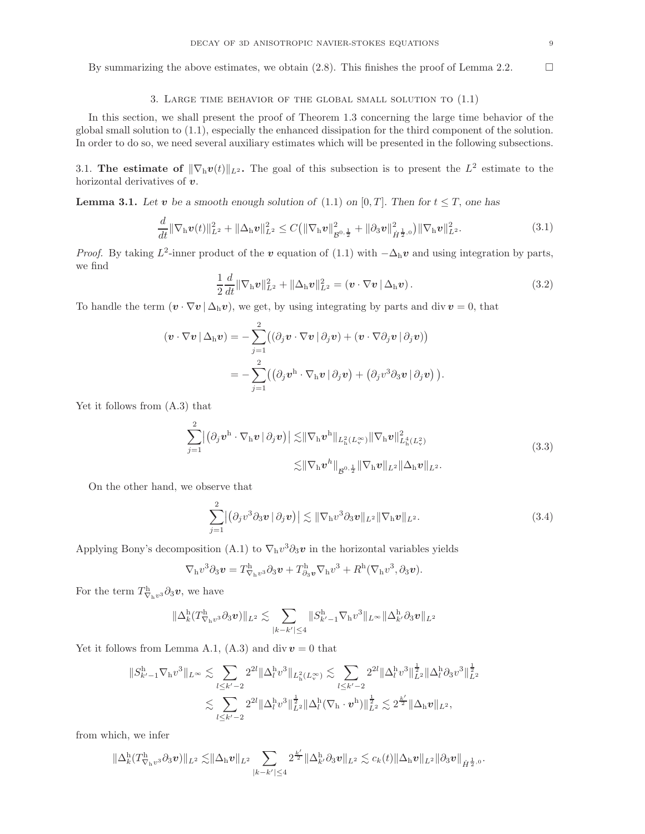By summarizing the above estimates, we obtain  $(2.8)$ . This finishes the proof of Lemma 2.2.

### 3. LARGE TIME BEHAVIOR OF THE GLOBAL SMALL SOLUTION TO  $(1.1)$

In this section, we shall present the proof of Theorem 1.3 concerning the large time behavior of the global small solution to (1.1), especially the enhanced dissipation for the third component of the solution. In order to do so, we need several auxiliary estimates which will be presented in the following subsections.

3.1. The estimate of  $\|\nabla_h v(t)\|_{L^2}$ . The goal of this subsection is to present the  $L^2$  estimate to the horizontal derivatives of v.

**Lemma 3.1.** Let v be a smooth enough solution of (1.1) on [0, T]. Then for  $t \leq T$ , one has

$$
\frac{d}{dt} \|\nabla_{\mathbf{h}} \mathbf{v}(t)\|_{L^2}^2 + \|\Delta_{\mathbf{h}} \mathbf{v}\|_{L^2}^2 \leq C \big(\|\nabla_{\mathbf{h}} \mathbf{v}\|_{\mathcal{B}^{0,\frac{1}{2}}}^2 + \|\partial_3 \mathbf{v}\|_{\dot{H}^{\frac{1}{2},0}}^2\big) \|\nabla_{\mathbf{h}} \mathbf{v}\|_{L^2}^2. \tag{3.1}
$$

*Proof.* By taking  $L^2$ -inner product of the v equation of (1.1) with  $-\Delta_h v$  and using integration by parts, we find

$$
\frac{1}{2}\frac{d}{dt}\|\nabla_{\mathbf{h}}\boldsymbol{v}\|_{L^{2}}^{2}+\|\Delta_{\mathbf{h}}\boldsymbol{v}\|_{L^{2}}^{2}=\left(\boldsymbol{v}\cdot\nabla\boldsymbol{v}\,|\,\Delta_{\mathbf{h}}\boldsymbol{v}\right).
$$
\n(3.2)

To handle the term  $(v \cdot \nabla v | \Delta_h v)$ , we get, by using integrating by parts and div  $v = 0$ , that

$$
(\boldsymbol{v} \cdot \nabla \boldsymbol{v} \,|\, \Delta_{\mathrm{h}} \boldsymbol{v}) = -\sum_{j=1}^{2} ((\partial_j \boldsymbol{v} \cdot \nabla \boldsymbol{v} \,|\, \partial_j \boldsymbol{v}) + (\boldsymbol{v} \cdot \nabla \partial_j \boldsymbol{v} \,|\, \partial_j \boldsymbol{v}))
$$
  
= 
$$
-\sum_{j=1}^{2} ((\partial_j \boldsymbol{v}^{\mathrm{h}} \cdot \nabla_{\mathrm{h}} \boldsymbol{v} \,|\, \partial_j \boldsymbol{v}) + (\partial_j \boldsymbol{v}^3 \partial_3 \boldsymbol{v} \,|\, \partial_j \boldsymbol{v})).
$$

Yet it follows from (A.3) that

$$
\sum_{j=1}^{2} |(\partial_j \boldsymbol{v}^{\mathrm{h}} \cdot \nabla_{\mathrm{h}} \boldsymbol{v} | \partial_j \boldsymbol{v})| \lesssim ||\nabla_{\mathrm{h}} \boldsymbol{v}^{\mathrm{h}}||_{L^2_{\mathrm{h}}(L^\infty_v)} ||\nabla_{\mathrm{h}} \boldsymbol{v}||_{L^4_{\mathrm{h}}(L^2_v)}^2
$$
\n
$$
\lesssim ||\nabla_{\mathrm{h}} \boldsymbol{v}^{\mathrm{h}}||_{\mathcal{B}^{0,\frac{1}{2}}} ||\nabla_{\mathrm{h}} \boldsymbol{v}||_{L^2} ||\Delta_{\mathrm{h}} \boldsymbol{v}||_{L^2}.
$$
\n(3.3)

On the other hand, we observe that

$$
\sum_{j=1}^{2} |(\partial_j v^3 \partial_3 v | \partial_j v)| \lesssim ||\nabla_h v^3 \partial_3 v||_{L^2} ||\nabla_h v||_{L^2}.
$$
\n(3.4)

Applying Bony's decomposition (A.1) to  $\nabla_h v^3 \partial_3 v$  in the horizontal variables yields

$$
\nabla_{\mathbf{h}} v^3 \partial_3 \mathbf{v} = T^{\mathbf{h}}_{\nabla_{\mathbf{h}} v^3} \partial_3 \mathbf{v} + T^{\mathbf{h}}_{\partial_3 \mathbf{v}} \nabla_{\mathbf{h}} v^3 + R^{\mathbf{h}} (\nabla_{\mathbf{h}} v^3, \partial_3 \mathbf{v}).
$$

For the term  $T^{\mathrm{h}}_{\nabla_{\mathrm{h}}v^3}\partial_3\boldsymbol{v}$ , we have

$$
\|\Delta_k^\mathrm{h}(T^\mathrm{h}_{\nabla_\mathrm{h} v^3}\partial_3\bm{v})\|_{L^2}\lesssim \sum_{|k-k'|\leq 4}\|S^\mathrm{h}_{k'-1}\nabla_\mathrm{h} v^3\|_{L^\infty}\|\Delta_{k'}^\mathrm{h}\partial_3\bm{v}\|_{L^2}
$$

Yet it follows from Lemma A.1, (A.3) and div  $v = 0$  that

$$
||S^{\rm h}_{k'-1}\nabla_{\rm h}v^3||_{L^{\infty}} \lesssim \sum_{l\leq k'-2} 2^{2l} ||\Delta^{\rm h}_{l}v^3||_{L^2_{\rm h}(L^{\infty}_{\rm v})} \lesssim \sum_{l\leq k'-2} 2^{2l} ||\Delta^{\rm h}_{l}v^3||_{L^2}^{\frac{1}{2}} ||\Delta^{\rm h}_{l}v^3||_{L^2}^{\frac{1}{2}} \lesssim \sum_{l\leq k'-2} 2^{2l} ||\Delta^{\rm h}_{l}v^3||_{L^2}^{\frac{1}{2}} ||\Delta^{\rm h}_{l}(\nabla_{\rm h}\cdot v^{\rm h})||_{L^2}^{\frac{1}{2}} \lesssim 2^{\frac{k'}{2}} ||\Delta_{\rm h}v||_{L^2},
$$

from which, we infer

$$
\|\Delta_k^{\rm h}(T^{\rm h}_{\nabla_{\rm h} v^3}\partial_3\bm v)\|_{L^2}\lesssim\!\|\Delta_{\rm h}\bm v\|_{L^2}\sum_{|k-k'|\leq 4}2^{\frac{k'}{2}}\|\Delta_{k'}^{\rm h}\partial_3\bm v\|_{L^2}\lesssim c_k(t)\|\Delta_{\rm h}\bm v\|_{L^2}\|\partial_3\bm v\|_{\dot H^{\frac{1}{2},0}}.
$$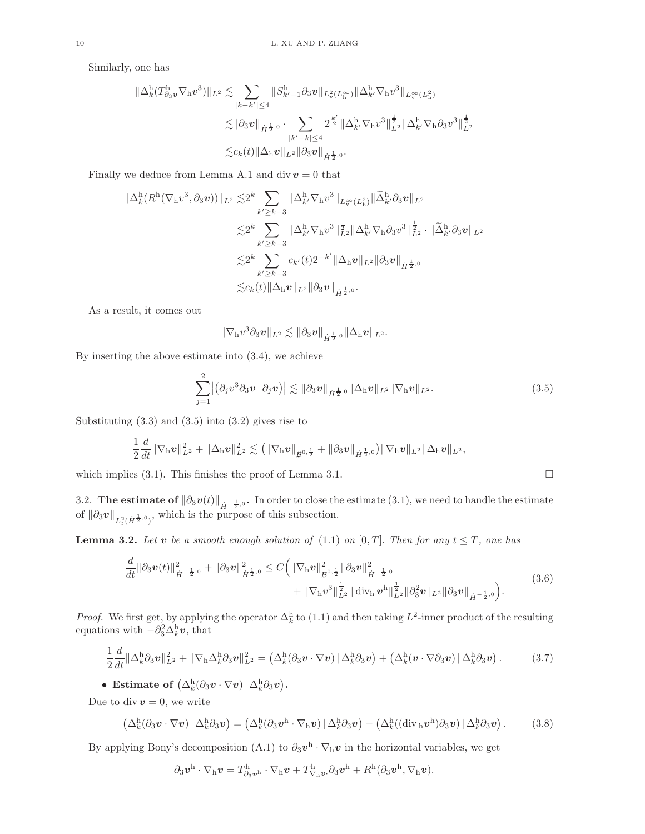Similarly, one has

$$
\begin{split} \|\Delta^{\mathrm{h}}_k (T^\mathrm{h}_{\partial_3 v} \nabla_\mathrm{h} v^3)\|_{L^2} &\lesssim \sum_{|k-k'| \leq 4} \|S^\mathrm{h}_{k'-1} \partial_3 v\|_{L^2_v (L^\infty_\mathrm{h})} \|\Delta^{\mathrm{h}}_{k'} \nabla_\mathrm{h} v^3\|_{L^\infty_v (L^\mathrm{2}_\mathrm{h})} \\ &\lesssim \|\partial_3 v\|_{\dot H^{\frac{1}{2},0}} \cdot \sum_{|k'-k| \leq 4} 2^{\frac{k'}{2}} \|\Delta^{\mathrm{h}}_{k'} \nabla_\mathrm{h} v^3\|_{L^2}^{\frac{1}{2}} \|\Delta^{\mathrm{h}}_{k'} \nabla_\mathrm{h} \partial_3 v^3\|_{L^2}^{\frac{1}{2}} \\ &\lesssim c_k(t) \|\Delta_{\mathrm{h}} v\|_{L^2} \|\partial_3 v\|_{\dot H^{\frac{1}{2},0}}. \end{split}
$$

Finally we deduce from Lemma A.1 and div  $v = 0$  that

$$
\begin{split} \|\Delta^{\mathrm{h}}_k(R^{\mathrm{h}}(\nabla_{\mathrm{h}} v^3, \partial_3 v))\|_{L^2} \lesssim & 2^k \sum_{k' \geq k-3} \|\Delta^{\mathrm{h}}_{k'} \nabla_{\mathrm{h}} v^3\|_{L^\infty_v(L^2_{\mathrm{h}})} \|\widetilde{\Delta}^{\mathrm{h}}_{k'} \partial_3 v\|_{L^2} \\ \lesssim & 2^k \sum_{k' \geq k-3} \|\Delta^{\mathrm{h}}_{k'} \nabla_{\mathrm{h}} v^3\|_{L^2}^{\frac{1}{2}} \|\Delta^{\mathrm{h}}_{k'} \nabla_{\mathrm{h}} \partial_3 v^3\|_{L^2}^{\frac{1}{2}} \cdot \|\widetilde{\Delta}^{\mathrm{h}}_{k'} \partial_3 v\|_{L^2} \\ \lesssim & 2^k \sum_{k' \geq k-3} c_{k'}(t) 2^{-k'} \|\Delta_{\mathrm{h}} v\|_{L^2} \|\partial_3 v\|_{\dot{H}^{\frac{1}{2},0}} \\ \lesssim & c_k(t) \|\Delta_{\mathrm{h}} v\|_{L^2} \|\partial_3 v\|_{\dot{H}^{\frac{1}{2},0}}. \end{split}
$$

As a result, it comes out

$$
\|\nabla_{\mathrm{h}} v^3 \partial_3 \boldsymbol{v}\|_{L^2} \lesssim \|\partial_3 \boldsymbol{v}\|_{\dot{H}^{\frac{1}{2},0}} \|\Delta_{\mathrm{h}} \boldsymbol{v}\|_{L^2}.
$$

By inserting the above estimate into (3.4), we achieve

$$
\sum_{j=1}^2 |(\partial_j v^3 \partial_3 v | \partial_j v)| \lesssim ||\partial_3 v||_{\dot{H}^{\frac{1}{2},0}} ||\Delta_h v||_{L^2} ||\nabla_h v||_{L^2}.
$$
\n(3.5)

Substituting  $(3.3)$  and  $(3.5)$  into  $(3.2)$  gives rise to

$$
\frac{1}{2}\frac{d}{dt}\|\nabla_\mathrm{h} \bm{v}\|_{L^2}^2 + \|\Delta_\mathrm{h} \bm{v}\|_{L^2}^2 \lesssim \left(\|\nabla_\mathrm{h} \bm{v}\|_{\mathcal{B}^{0,\frac{1}{2}}} + \|\partial_3 \bm{v}\|_{\dot{H}^{\frac{1}{2},0}}\right) \|\nabla_\mathrm{h} \bm{v}\|_{L^2}\|\Delta_\mathrm{h} \bm{v}\|_{L^2},
$$

which implies (3.1). This finishes the proof of Lemma 3.1.  $\Box$ 

3.2. The estimate of  $\|\partial_3 v(t)\|_{\dot{H}^{-\frac{1}{2},0}}$ . In order to close the estimate (3.1), we need to handle the estimate of  $\|\partial_3 v\|_{L^2_t(\dot{H}^{\frac{1}{2},0})}$ , which is the purpose of this subsection.

**Lemma 3.2.** Let v be a smooth enough solution of (1.1) on [0, T]. Then for any  $t \leq T$ , one has

$$
\frac{d}{dt} \|\partial_3 v(t)\|_{\dot{H}^{-\frac{1}{2},0}}^2 + \|\partial_3 v\|_{\dot{H}^{\frac{1}{2},0}}^2 \leq C \Big( \|\nabla_h v\|_{\mathcal{B}^{0,\frac{1}{2}}}^2 \|\partial_3 v\|_{\dot{H}^{-\frac{1}{2},0}}^2 + \|\nabla_h v^3\|_{L^2}^{\frac{1}{2}} \|\operatorname{div}_h v^h\|_{L^2}^{\frac{1}{2}} \|\partial_3^2 v\|_{L^2} \|\partial_3 v\|_{\dot{H}^{-\frac{1}{2},0}} \Big). \tag{3.6}
$$

*Proof.* We first get, by applying the operator  $\Delta_k^h$  to (1.1) and then taking  $L^2$ -inner product of the resulting equations with  $-\partial_3^2 \Delta_k^{\mathrm{h}} \boldsymbol{v}$ , that

$$
\frac{1}{2}\frac{d}{dt}\|\Delta_k^{\mathrm{h}}\partial_3\mathbf{v}\|_{L^2}^2 + \|\nabla_{\mathrm{h}}\Delta_k^{\mathrm{h}}\partial_3\mathbf{v}\|_{L^2}^2 = \left(\Delta_k^{\mathrm{h}}(\partial_3\mathbf{v}\cdot\nabla\mathbf{v})\,|\,\Delta_k^{\mathrm{h}}\partial_3\mathbf{v}\right) + \left(\Delta_k^{\mathrm{h}}(\mathbf{v}\cdot\nabla\partial_3\mathbf{v})\,|\,\Delta_k^{\mathrm{h}}\partial_3\mathbf{v}\right). \tag{3.7}
$$

• Estimate of  $\left(\Delta_k^{\text{h}}(\partial_3 v \cdot \nabla v) \,|\, \Delta_k^{\text{h}} \partial_3 v\right)$ .

Due to div  $v = 0$ , we write

$$
\left(\Delta_k^{\mathrm{h}}(\partial_3\boldsymbol{v}\cdot\nabla\boldsymbol{v})\,|\,\Delta_k^{\mathrm{h}}\partial_3\boldsymbol{v}\right) = \left(\Delta_k^{\mathrm{h}}(\partial_3\boldsymbol{v}^{\mathrm{h}}\cdot\nabla_{\mathrm{h}}\boldsymbol{v})\,|\,\Delta_k^{\mathrm{h}}\partial_3\boldsymbol{v}\right) - \left(\Delta_k^{\mathrm{h}}((\mathrm{div}_{\mathrm{h}}\boldsymbol{v}^{\mathrm{h}})\partial_3\boldsymbol{v})\,|\,\Delta_k^{\mathrm{h}}\partial_3\boldsymbol{v}\right). \tag{3.8}
$$

By applying Bony's decomposition (A.1) to  $\partial_3 v^h \cdot \nabla_h v$  in the horizontal variables, we get

$$
\partial_3 \boldsymbol{v}^{\mathrm{h}}\cdot\nabla_{\mathrm{h}}\boldsymbol{v}=T_{\partial_3\boldsymbol{v}^{\mathrm{h}}}\cdot\nabla_{\mathrm{h}}\boldsymbol{v}+T_{\nabla_{\mathrm{h}}\boldsymbol{v}}^{\mathrm{h}}\cdot\partial_3\boldsymbol{v}^{\mathrm{h}}+R^{\mathrm{h}}(\partial_3\boldsymbol{v}^{\mathrm{h}},\nabla_{\mathrm{h}}\boldsymbol{v}).
$$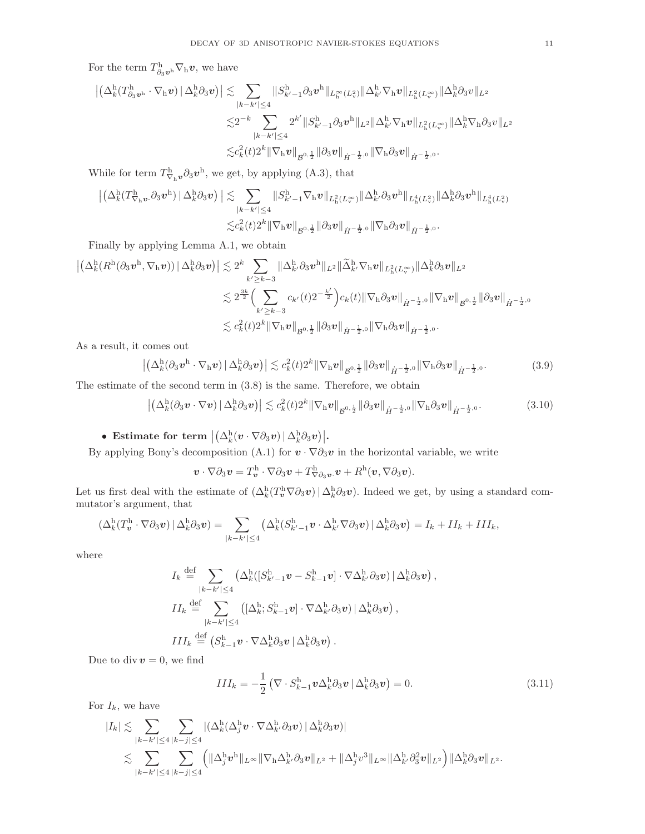For the term  $T^{\mathrm{h}}_{\partial_3 v^{\mathrm{h}}} \nabla_{\mathrm{h}} v$ , we have

 ∆<sup>h</sup> k (T h <sup>∂</sup>3v<sup>h</sup> · ∇hv)<sup>|</sup> <sup>∆</sup><sup>h</sup> <sup>k</sup>∂3v  . X |k−k′ |≤4 kS h <sup>k</sup>′−<sup>1</sup>∂3v h kL∞<sup>h</sup> (L<sup>2</sup> v )k∆<sup>h</sup> <sup>k</sup>′∇hvkL<sup>2</sup> h (L∞<sup>v</sup> )k∆<sup>h</sup> <sup>k</sup>∂3vkL<sup>2</sup> .2 −k X |k−k′ |≤4 2 k ′ kS h <sup>k</sup>′−<sup>1</sup>∂3v h kL2k∆<sup>h</sup> <sup>k</sup>′∇hvkL<sup>2</sup> h (L∞<sup>v</sup> )k∆<sup>h</sup> <sup>k</sup>∇h∂3vkL<sup>2</sup> .c 2 k (t)2<sup>k</sup> k∇hvk B 0, 1 2 k∂3vk <sup>H</sup>˙ <sup>−</sup> <sup>1</sup> 2 ,<sup>0</sup> k∇h∂3vk <sup>H</sup>˙ <sup>−</sup> <sup>1</sup> 2 ,0 .

While for term  $T^{\mathrm{h}}_{\nabla_{\mathrm{h}}\mathbf{v}} \partial_3 \mathbf{v}^{\mathrm{h}}$ , we get, by applying (A.3), that

$$
\begin{aligned} \left|\left(\Delta^{\boldsymbol{h}}_{k}(T^{\boldsymbol{h}}_{\nabla_{\boldsymbol{h}}\boldsymbol{v}}.\partial_3\boldsymbol{v}^{\boldsymbol{h}})\,|\,\Delta^{\boldsymbol{h}}_{k}\partial_3\boldsymbol{v}\right)\right|&\lesssim&\sum_{|k-k'|\leq 4}\|S^{\boldsymbol{h}}_{k'-1}\nabla_{\boldsymbol{h}}\boldsymbol{v}\|_{L^2_{\boldsymbol{h}}(L^\infty_v)}\|\Delta^{\boldsymbol{h}}_{k'}\partial_3\boldsymbol{v}^{\boldsymbol{h}}\|_{L^4_{\boldsymbol{h}}(L^2_v)}\|\Delta^{\boldsymbol{h}}_{k}\partial_3\boldsymbol{v}^{\boldsymbol{h}}\|_{L^4_{\boldsymbol{h}}(L^2_v)}\\&\lesssim&c^2_k(t)2^k\|\nabla_{\boldsymbol{h}}\boldsymbol{v}\|_{\mathcal{B}^{0,\frac{1}{2}}}\|\partial_3\boldsymbol{v}\|_{\dot{H}^{-\frac{1}{2},0}}\|\nabla_{\boldsymbol{h}}\partial_3\boldsymbol{v}\|_{\dot{H}^{-\frac{1}{2},0}}.\end{aligned}
$$

Finally by applying Lemma A.1, we obtain

$$
\begin{aligned} \left| \left( \Delta^{\mathrm{h}}_k (R^{\mathrm{h}}(\partial_3\boldsymbol{v}^{\mathrm{h}},\nabla_{\mathrm{h}}\boldsymbol{v}) ) \, |\, \Delta^{\mathrm{h}}_k \partial_3\boldsymbol{v} \right) \right| &\lesssim 2^k \sum_{k'\geq k-3} \|\Delta^{\mathrm{h}}_{k'} \partial_3\boldsymbol{v}^{\mathrm{h}}\|_{L^2} \|\widetilde{\Delta}^{\mathrm{h}}_{k'} \nabla_{\mathrm{h}}\boldsymbol{v} \|_{L^2_{\mathrm{h}}(L^\infty_v)} \|\Delta^{\mathrm{h}}_k \partial_3\boldsymbol{v} \|_{L^2} \\ &\lesssim 2^{\frac{3k}{2}} \Bigl(\sum_{k'\geq k-3} c_{k'}(t) 2^{-\frac{k'}{2}}\Bigr) c_k(t) \|\nabla_{\mathrm{h}} \partial_3\boldsymbol{v} \|_{\dot{H}^{-\frac{1}{2},0}} \|\nabla_{\mathrm{h}}\boldsymbol{v} \|_{\mathcal{B}^{0,\frac{1}{2}}} \|\partial_3\boldsymbol{v} \|_{\dot{H}^{-\frac{1}{2},0}} . \end{aligned}
$$

As a result, it comes out

$$
\left| \left( \Delta_k^{\mathrm{h}} (\partial_3 v^{\mathrm{h}} \cdot \nabla_{\mathrm{h}} v) \, \middle| \, \Delta_k^{\mathrm{h}} \partial_3 v \right) \right| \lesssim c_k^2(t) 2^k \|\nabla_{\mathrm{h}} v\|_{\mathcal{B}^{0,\frac{1}{2}}} \|\partial_3 v\|_{\dot{H}^{-\frac{1}{2},0}} \|\nabla_{\mathrm{h}} \partial_3 v\|_{\dot{H}^{-\frac{1}{2},0}}. \tag{3.9}
$$

The estimate of the second term in (3.8) is the same. Therefore, we obtain

$$
\left| \left( \Delta_k^{\mathrm{h}} (\partial_3 \boldsymbol{v} \cdot \nabla \boldsymbol{v}) \, \middle| \, \Delta_k^{\mathrm{h}} \partial_3 \boldsymbol{v} \right) \right| \lesssim c_k^2(t) 2^k \|\nabla_{\mathrm{h}} \boldsymbol{v}\|_{\mathcal{B}^{0,\frac{1}{2}}} \|\partial_3 \boldsymbol{v}\|_{\dot{H}^{-\frac{1}{2},0}} \|\nabla_{\mathrm{h}} \partial_3 \boldsymbol{v}\|_{\dot{H}^{-\frac{1}{2},0}}. \tag{3.10}
$$

 $\bullet \text{ Estimate for term } \big| \big( \Delta_k^{\text{h}}(v \cdot \nabla \partial_3 v) \, | \, \Delta_k^{\text{h}} \partial_3 v \big) \big|.$ 

By applying Bony's decomposition (A.1) for  $v \cdot \nabla \partial_3 v$  in the horizontal variable, we write

 $\boldsymbol{v}\cdot\nabla\partial_3\boldsymbol{v}=T^{\rm h}_{\boldsymbol{v}}\cdot\nabla\partial_3\boldsymbol{v}+T^{\rm h}_{\nabla\partial_3\boldsymbol{v}}\boldsymbol{v}+R^{\rm h}(\boldsymbol{v},\nabla\partial_3\boldsymbol{v}).$ 

Let us first deal with the estimate of  $(\Delta_k^{\text{h}}(T_v^{\text{h}} \nabla \partial_3 v) | \Delta_k^{\text{h}} \partial_3 v)$ . Indeed we get, by using a standard commutator's argument, that

$$
\left(\Delta_{k}^{\mathrm{h}}(T_{\boldsymbol{v}}^{\mathrm{h}}\cdot\nabla\partial_{3}\boldsymbol{v})\,|\,\Delta_{k}^{\mathrm{h}}\partial_{3}\boldsymbol{v}\right)=\sum_{|k-k'|\leq 4}\left(\Delta_{k}^{\mathrm{h}}(S_{k'-1}^{\mathrm{h}}\boldsymbol{v}\cdot\Delta_{k'}^{\mathrm{h}}\nabla\partial_{3}\boldsymbol{v})\,|\,\Delta_{k}^{\mathrm{h}}\partial_{3}\boldsymbol{v}\right)=I_{k}+II_{k}+III_{k},
$$

where

$$
I_k \stackrel{\text{def}}{=} \sum_{|k-k'| \leq 4} \left( \Delta_k^{\text{h}} \left( [S_{k'-1}^{\text{h}} \boldsymbol{v} - S_{k-1}^{\text{h}} \boldsymbol{v}] \cdot \nabla \Delta_{k'}^{\text{h}} \partial_3 \boldsymbol{v} \right) | \Delta_k^{\text{h}} \partial_3 \boldsymbol{v} \right),
$$
  
\n
$$
II_k \stackrel{\text{def}}{=} \sum_{|k-k'| \leq 4} \left( [\Delta_k^{\text{h}}; S_{k-1}^{\text{h}} \boldsymbol{v}] \cdot \nabla \Delta_{k'}^{\text{h}} \partial_3 \boldsymbol{v} \right) | \Delta_k^{\text{h}} \partial_3 \boldsymbol{v} \right),
$$
  
\n
$$
III_k \stackrel{\text{def}}{=} \left( S_{k-1}^{\text{h}} \boldsymbol{v} \cdot \nabla \Delta_k^{\text{h}} \partial_3 \boldsymbol{v} | \Delta_k^{\text{h}} \partial_3 \boldsymbol{v} \right).
$$

Due to div  $v = 0$ , we find

$$
III_k = -\frac{1}{2} \left( \nabla \cdot S_{k-1}^{\mathrm{h}} \boldsymbol{v} \Delta_k^{\mathrm{h}} \partial_3 \boldsymbol{v} \, | \, \Delta_k^{\mathrm{h}} \partial_3 \boldsymbol{v} \right) = 0. \tag{3.11}
$$

For  $I_k$ , we have

$$
\begin{aligned} |I_k|&\lesssim \sum_{|k-k'|\leq 4}\sum_{|k-j|\leq 4}\left|(\Delta_k^\mathrm{h}(\Delta_j^\mathrm{h} \boldsymbol{v}\cdot\nabla\Delta_k^\mathrm{h} \partial_3\boldsymbol{v})\,|\,\Delta_k^\mathrm{h} \partial_3\boldsymbol{v})\right|\\ &\lesssim \sum_{|k-k'|\leq 4}\sum_{|k-j|\leq 4}\left(\|\Delta_j^\mathrm{h} \boldsymbol{v}^\mathrm{h}\|_{L^\infty}\|\nabla_\mathrm{h} \Delta_{k'}^\mathrm{h} \partial_3\boldsymbol{v}\|_{L^2}+\|\Delta_j^\mathrm{h} \boldsymbol{v}^3\|_{L^\infty}\|\Delta_k^\mathrm{h} \partial_3^2\boldsymbol{v}\|_{L^2}\right)\|\Delta_k^\mathrm{h} \partial_3\boldsymbol{v}\|_{L^2}.\end{aligned}
$$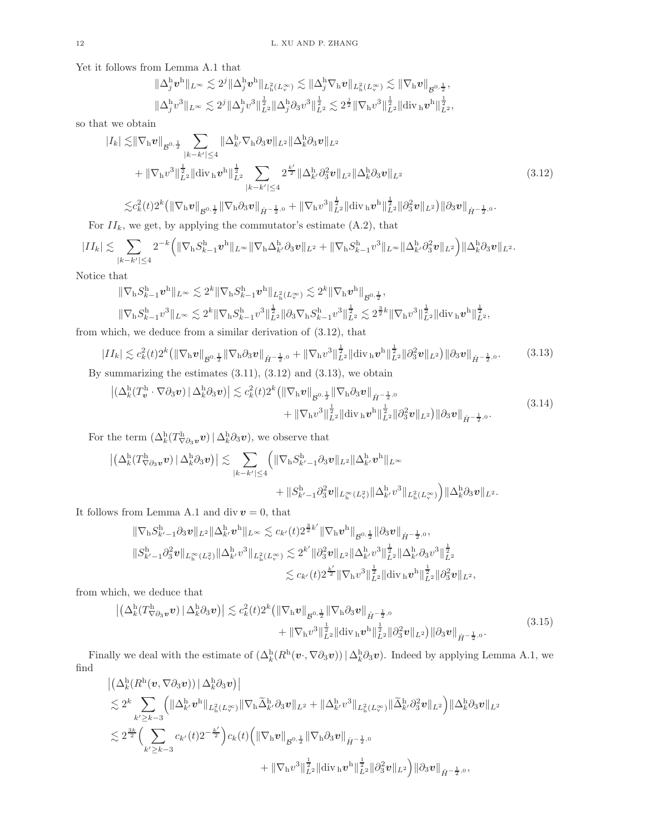Yet it follows from Lemma A.1 that

$$
\|\Delta_j^{\mathbf{h}} \mathbf{v}^{\mathbf{h}}\|_{L^{\infty}} \lesssim 2^j \|\Delta_j^{\mathbf{h}} \mathbf{v}^{\mathbf{h}}\|_{L^2_{\mathbf{h}}(L^{\infty}_{\mathbf{v}})} \lesssim \|\Delta_j^{\mathbf{h}} \nabla_{\mathbf{h}} \mathbf{v}\|_{L^2_{\mathbf{h}}(L^{\infty}_{\mathbf{v}})} \lesssim \|\nabla_{\mathbf{h}} \mathbf{v}\|_{\mathcal{B}^{0,\frac{1}{2}}},
$$
  

$$
\|\Delta_j^{\mathbf{h}} \mathbf{v}^3\|_{L^{\infty}} \lesssim 2^j \|\Delta_j^{\mathbf{h}} \mathbf{v}^3\|_{L^2}^{\frac{1}{2}} \|\Delta_j^{\mathbf{h}} \partial_3 \mathbf{v}^3\|_{L^2}^{\frac{1}{2}} \lesssim 2^{\frac{j}{2}} \|\nabla_{\mathbf{h}} \mathbf{v}^3\|_{L^2}^{\frac{1}{2}} \|\text{div}_{\mathbf{h}} \mathbf{v}^{\mathbf{h}}\|_{L^2}^{\frac{1}{2}},
$$

so that we obtain

$$
|I_{k}| \lesssim ||\nabla_{\mathbf{h}} v||_{\mathcal{B}^{0,\frac{1}{2}}} \sum_{|k-k'| \leq 4} ||\Delta_{k'}^{\mathbf{h}} \nabla_{\mathbf{h}} \partial_{3} v||_{L^{2}} ||\Delta_{k}^{\mathbf{h}} \partial_{3} v||_{L^{2}}+ ||\nabla_{\mathbf{h}} v^{3}||_{L^{2}}^{\frac{1}{2}} ||\text{div}_{\mathbf{h}} v^{\mathbf{h}}||_{L^{2}}^{\frac{1}{2}} \sum_{|k-k'| \leq 4} 2^{\frac{k'}{2}} ||\Delta_{k'}^{\mathbf{h}} \partial_{3}^{2} v||_{L^{2}} ||\Delta_{k}^{\mathbf{h}} \partial_{3} v||_{L^{2}}\lesssim c_{k}^{2}(t) 2^{k} (||\nabla_{\mathbf{h}} v||_{\mathcal{B}^{0,\frac{1}{2}}} ||\nabla_{\mathbf{h}} \partial_{3} v||_{\dot{H}^{-\frac{1}{2},0}} + ||\nabla_{\mathbf{h}} v^{3}||_{L^{2}}^{\frac{1}{2}} ||\text{div}_{\mathbf{h}} v^{\mathbf{h}}||_{L^{2}}^{\frac{1}{2}} ||\partial_{3}^{2} v||_{L^{2}}) ||\partial_{3} v||_{\dot{H}^{-\frac{1}{2},0}}.
$$
\n(3.12)

$$
\lesssim c_k^2(t)2^k \left( \|\nabla_\mathbf{h} \mathbf{v}\|_{\mathcal{B}^{0,\frac{1}{2}}} \|\nabla_\mathbf{h} \partial_3 \mathbf{v}\|_{\dot{H}^{-\frac{1}{2},0}} + \|\nabla_\mathbf{h} v^3\|_{L^2}^{\frac{1}{2}} \|\text{div}_\mathbf{h} \mathbf{v}^{\mathbf{h}}\|_{L^2}^{\frac{1}{2}} \|\partial_3^2 \mathbf{v}\|_{L^2} \right) \|\partial_3 \mathbf{v}\|_{\dot{H}^{-\frac{1}{2}}},
$$

For  $II_k$ , we get, by applying the commutator's estimate  $(A.2)$ , that

$$
|II_k| \lesssim \sum_{|k-k'|\leq 4} 2^{-k} \Big( \|\nabla_\mathbf{h} S^\mathbf{h}_{k-1} \boldsymbol{v}^\mathbf{h}\|_{L^\infty} \|\nabla_\mathbf{h} \Delta^\mathbf{h}_{k'} \partial_3 \boldsymbol{v}\|_{L^2} + \|\nabla_\mathbf{h} S^\mathbf{h}_{k-1} \boldsymbol{v}^3\|_{L^\infty} \|\Delta^\mathbf{h}_{k'} \partial_3^2 \boldsymbol{v}\|_{L^2} \Big) \|\Delta^\mathbf{h}_{k} \partial_3 \boldsymbol{v}\|_{L^2}.
$$

Notice that

$$
\begin{split} &\|\nabla_{\mathbf{h}}S_{k-1}^{\mathbf{h}}\boldsymbol{v}^{\mathbf{h}}\|_{L^{\infty}}\lesssim 2^{k}\|\nabla_{\mathbf{h}}S_{k-1}^{\mathbf{h}}\boldsymbol{v}^{\mathbf{h}}\|_{L^{2}_{\mathbf{h}}(L^{\infty}_{v})}\lesssim 2^{k}\|\nabla_{\mathbf{h}}\boldsymbol{v}^{\mathbf{h}}\|_{\mathcal{B}^{0,\frac{1}{2}}},\\ &\|\nabla_{\mathbf{h}}S_{k-1}^{\mathbf{h}}\boldsymbol{v}^{3}\|_{L^{\infty}}\lesssim 2^{k}\|\nabla_{\mathbf{h}}S_{k-1}^{\mathbf{h}}\boldsymbol{v}^{3}\|_{L^{2}}^{\frac{1}{2}}\|\partial_{3}\nabla_{\mathbf{h}}S_{k-1}^{\mathbf{h}}\boldsymbol{v}^{3}\|_{L^{2}}^{\frac{1}{2}}\lesssim 2^{\frac{3}{2}k}\|\nabla_{\mathbf{h}}\boldsymbol{v}^{3}\|_{L^{2}}^{\frac{1}{2}}\|\mathrm{div}_{\mathbf{h}}\boldsymbol{v}^{\mathbf{h}}\|_{L^{2}}^{\frac{1}{2}}, \end{split}
$$

from which, we deduce from a similar derivation of (3.12), that

$$
|II_k| \lesssim c_k^2(t) 2^k \left( \|\nabla_\mathbf{h} \mathbf{v}\|_{\mathcal{B}^{0,\frac{1}{2}}} \|\nabla_\mathbf{h} \partial_3 \mathbf{v}\|_{\dot{H}^{-\frac{1}{2},0}} + \|\nabla_\mathbf{h} v^3\|_{L^2}^{\frac{1}{2}} \|\text{div}_\mathbf{h} \mathbf{v}^{\mathbf{h}}\|_{L^2}^{\frac{1}{2}} \|\partial_3^2 \mathbf{v}\|_{L^2} \right) \|\partial_3 \mathbf{v}\|_{\dot{H}^{-\frac{1}{2},0}}. \tag{3.13}
$$

By summarizing the estimates  $(3.11)$ ,  $(3.12)$  and  $(3.13)$ , we obtain

$$
\left| \left( \Delta_k^{\mathrm{h}}(T_v^{\mathrm{h}} \cdot \nabla \partial_3 v) \, \middle| \, \Delta_k^{\mathrm{h}} \partial_3 v \right) \right| \lesssim c_k^2(t) 2^k \left( \left\| \nabla_{\mathrm{h}} v \right\|_{\mathcal{B}^{0,\frac{1}{2}}} \left\| \nabla_{\mathrm{h}} \partial_3 v \right\|_{\dot{H}^{-\frac{1}{2},0}} + \left\| \nabla_{\mathrm{h}} v^3 \right\|_{\dot{L}^2}^{\frac{1}{2}} \left\| \mathrm{div}_{\mathrm{h}} v^{\mathrm{h}} \right\|_{\dot{L}^2}^{\frac{1}{2}} \left\| \partial_3^2 v \right\|_{L^2} \left\| \partial_3 v \right\|_{\dot{H}^{-\frac{1}{2},0}}. \tag{3.14}
$$

For the term  $(\Delta_k^{\mathrm{h}}(T^{\mathrm{h}}_{\nabla\partial_3\boldsymbol{v}}\boldsymbol{v})\,|\,\Delta_k^{\mathrm{h}}\partial_3\boldsymbol{v}),$  we observe that

$$
\begin{aligned} \left| \left( \Delta_k^{\mathrm{h}}(T^\mathrm{h}_{\nabla \partial_3 \pmb{v}} \pmb{v}) \, | \, \Delta_k^{\mathrm{h}} \partial_3 \pmb{v} \right) \right| &\lesssim \sum_{|k-k'| \leq 4} \left( \| \nabla_{\mathrm{h}} S^{\mathrm{h}}_{k'-1} \partial_3 \pmb{v} \|_{L^2} \| \Delta_{k'}^{\mathrm{h}} \pmb{v}^{\mathrm{h}} \|_{L^\infty} \right. \\ & \qquad \qquad \left. + \| S^{\mathrm{h}}_{k'-1} \partial_3^2 \pmb{v} \|_{L^\infty_{\mathrm{h}}(L^2_v)} \| \Delta_{k'}^{\mathrm{h}} v^3 \|_{L^2_{\mathrm{h}}(L^\infty_v)} \right) \| \Delta_k^{\mathrm{h}} \partial_3 \pmb{v} \|_{L^2} . \end{aligned}
$$

It follows from Lemma A.1 and div $\boldsymbol{v}=0,$  that

$$
\begin{aligned}\n\|\nabla_{\mathbf{h}}S_{k'-1}^{\mathbf{h}}\partial_{3}\mathbf{v}\|_{L^{2}}\|\Delta_{k'}^{\mathbf{h}}\mathbf{v}^{\mathbf{h}}\|_{L^{\infty}} &\lesssim c_{k'}(t)2^{\frac{3}{2}k'}\|\nabla_{\mathbf{h}}\mathbf{v}^{\mathbf{h}}\|_{\mathcal{B}^{0,\frac{1}{2}}}\|\partial_{3}\mathbf{v}\|_{\dot{H}^{-\frac{1}{2},0}},\\
\|S_{k'-1}^{\mathbf{h}}\partial_{3}^{2}\mathbf{v}\|_{L^{\infty}_{\mathbf{h}}(L^{2}_{v})}\|\Delta_{k'}^{\mathbf{h}}\mathbf{v}^{3}\|_{L^{2}(L^{\infty}_{v})}^{2} &\lesssim 2^{k'}\|\partial_{3}^{2}\mathbf{v}\|_{L^{2}}\|\Delta_{k'}^{\mathbf{h}}\mathbf{v}^{3}\|_{L^{2}}^{\frac{1}{2}}\|\Delta_{k'}^{\mathbf{h}}\partial_{3}\mathbf{v}^{3}\|_{L^{2}}^{\frac{1}{2}}\\
&\lesssim c_{k'}(t)2^{\frac{k'}{2}}\|\nabla_{\mathbf{h}}\mathbf{v}^{3}\|_{L^{2}}^{\frac{1}{2}}\|\text{div}_{\mathbf{h}}\mathbf{v}^{\mathbf{h}}\|_{L^{2}}^{\frac{1}{2}}\|\partial_{3}^{2}\mathbf{v}\|_{L^{2}},\n\end{aligned}
$$

from which, we deduce that

$$
\left| \left( \Delta_k^{\mathrm{h}}(T^{\mathrm{h}}_{\nabla \partial_3 \mathbf{v}} \mathbf{v}) \, | \, \Delta_k^{\mathrm{h}} \partial_3 \mathbf{v} \right) \right| \lesssim c_k^2(t) 2^k \left( \|\nabla_{\mathrm{h}} \mathbf{v}\|_{\mathcal{B}^{0,\frac{1}{2}}} \|\nabla_{\mathrm{h}} \partial_3 \mathbf{v}\|_{\dot{H}^{-\frac{1}{2},0}} \right. \\ \left. + \|\nabla_{\mathrm{h}} v^3\|_{L^2}^{\frac{1}{2}} \|\mathrm{div}_{\mathrm{h}} \mathbf{v}^{\mathrm{h}}\|_{L^2}^{\frac{1}{2}} \|\partial_3^2 \mathbf{v}\|_{L^2} \right) \|\partial_3 \mathbf{v}\|_{\dot{H}^{-\frac{1}{2},0}}. \tag{3.15}
$$

Finally we deal with the estimate of  $(\Delta_k^{\text{h}}(R^{\text{h}}(\nu,\nabla\partial_3\nu)) | \Delta_k^{\text{h}}\partial_3\nu)$ . Indeed by applying Lemma A.1, we find

$$
\begin{split} &\left| \left( \Delta^{\rm h}_k (R^{\rm h}(\bm{v}, \nabla \partial_3 \bm{v})) \, \big| \, \Delta^{\rm h}_k \partial_3 \bm{v} \right) \right| \\ &\lesssim 2^k \sum_{k' \geq k-3} \left( \| \Delta^{\rm h}_{k'} \bm{v}^{\rm h} \|_{L^2_{\rm h}(L^\infty_v)} \| \nabla_{\rm h} \widetilde{\Delta}^{\rm h}_{k'} \partial_3 \bm{v} \|_{L^2} + \| \Delta^{\rm h}_{k'} \bm{v}^3 \|_{L^2_{\rm h}(L^\infty_v)} \| \widetilde{\Delta}^{\rm h}_{k'} \partial_3^2 \bm{v} \|_{L^2} \right) \| \Delta^{\rm h}_k \partial_3 \bm{v} \|_{L^2} \\ &\lesssim 2^{\frac{3k}{2}} \Big( \sum_{k' \geq k-3} c_{k'}(t) 2^{-\frac{k'}{2}} \Big) c_k(t) \Big( \| \nabla_{\rm h} \bm{v} \|_{\mathcal{B}^{0,\frac{1}{2}}} \| \nabla_{\rm h} \partial_3 \bm{v} \|_{\dot{H}^{-\frac{1}{2},0}} \\ &\qquad \qquad + \| \nabla_{\rm h} \bm{v}^3 \|_{L^2}^{\frac{1}{2}} \| \text{div}_{\rm h} \bm{v}^{\rm h} \|_{L^2}^{\frac{1}{2}} \| \partial_3^2 \bm{v} \|_{L^2} \Big) \| \partial_3 \bm{v} \|_{\dot{H}^{-\frac{1}{2},0}}, \end{split}
$$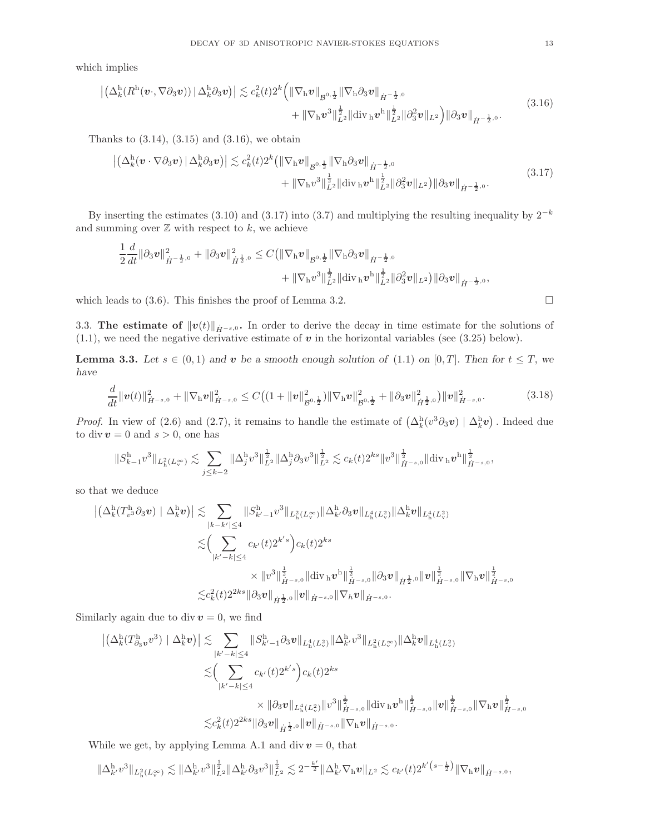which implies

$$
\left| \left( \Delta_k^{\mathrm{h}}(R^{\mathrm{h}}(\boldsymbol{v}, \nabla \partial_3 \boldsymbol{v})) \, \|\, \Delta_k^{\mathrm{h}} \partial_3 \boldsymbol{v} \right) \right| \lesssim c_k^2(t) 2^k \left( \|\nabla_{\mathrm{h}} \boldsymbol{v} \|_{\mathcal{B}^{0,\frac{1}{2}}} \|\nabla_{\mathrm{h}} \partial_3 \boldsymbol{v} \|_{\dot{H}^{-\frac{1}{2},0}} \right. \\ \left. + \|\nabla_{\mathrm{h}} \boldsymbol{v}^3 \|_{L^2}^{\frac{1}{2}} \|\mathrm{div}_{\mathrm{h}} \boldsymbol{v}^{\mathrm{h}} \|_{L^2}^{\frac{1}{2}} \|\partial_3^2 \boldsymbol{v} \|_{L^2} \right) \|\partial_3 \boldsymbol{v} \|_{\dot{H}^{-\frac{1}{2},0}}. \tag{3.16}
$$

Thanks to  $(3.14)$ ,  $(3.15)$  and  $(3.16)$ , we obtain

$$
\left| \left( \Delta_k^{\mathrm{h}} (\boldsymbol{v} \cdot \nabla \partial_3 \boldsymbol{v}) \, \middle| \, \Delta_k^{\mathrm{h}} \partial_3 \boldsymbol{v} \right) \right| \lesssim c_k^2(t) 2^k \left( \|\nabla_{\mathrm{h}} \boldsymbol{v} \|_{\mathcal{B}^{0,\frac{1}{2}}} \|\nabla_{\mathrm{h}} \partial_3 \boldsymbol{v} \|_{\dot{H}^{-\frac{1}{2},0}} \right. \\ \left. + \|\nabla_{\mathrm{h}} \boldsymbol{v}^3 \|_{L^2}^{\frac{1}{2}} \|\mathrm{div}_{\mathrm{h}} \boldsymbol{v}^{\mathrm{h}} \|_{L^2}^{\frac{1}{2}} \|\partial_3^2 \boldsymbol{v} \|_{L^2} \right) \|\partial_3 \boldsymbol{v} \|_{\dot{H}^{-\frac{1}{2},0}}. \tag{3.17}
$$

By inserting the estimates (3.10) and (3.17) into (3.7) and multiplying the resulting inequality by  $2^{-k}$ and summing over  $\mathbb Z$  with respect to  $k$ , we achieve

$$
\frac{1}{2}\frac{d}{dt}\|\partial_3 v\|_{\dot{H}^{-\frac{1}{2},0}}^2 + \|\partial_3 v\|_{\dot{H}^{\frac{1}{2},0}}^2 \leq C \big( \|\nabla_\mathbf{h} v\|_{\mathcal{B}^{0,\frac{1}{2}}} \|\nabla_\mathbf{h}\partial_3 v\|_{\dot{H}^{-\frac{1}{2},0}} + \|\nabla_\mathbf{h} v^3\|_{L^2}^{\frac{1}{2}} \|\mathrm{div}_\mathbf{h} v^{\mathbf{h}}\|_{L^2}^{\frac{1}{2}} \|\partial_3^2 v\|_{L^2} \big) \|\partial_3 v\|_{\dot{H}^{-\frac{1}{2},0}},
$$

which leads to  $(3.6)$ . This finishes the proof of Lemma 3.2.

3.3. The estimate of  $||v(t)||_{\dot{H}^{-s,0}}$ . In order to derive the decay in time estimate for the solutions of  $(1.1)$ , we need the negative derivative estimate of v in the horizontal variables (see  $(3.25)$  below).

**Lemma 3.3.** Let  $s \in (0,1)$  and v be a smooth enough solution of (1.1) on [0, T]. Then for  $t \leq T$ , we have

$$
\frac{d}{dt} \|\mathbf{v}(t)\|_{\dot{H}^{-s,0}}^2 + \|\nabla_{\mathbf{h}}\mathbf{v}\|_{\dot{H}^{-s,0}}^2 \leq C \big( (1 + \|\mathbf{v}\|_{\mathcal{B}^{0,\frac{1}{2}}}^2) \|\nabla_{\mathbf{h}}\mathbf{v}\|_{\mathcal{B}^{0,\frac{1}{2}}}^2 + \|\partial_3\mathbf{v}\|_{\dot{H}^{\frac{1}{2},0}}^2 \big) \|\mathbf{v}\|_{\dot{H}^{-s,0}}^2. \tag{3.18}
$$

*Proof.* In view of (2.6) and (2.7), it remains to handle the estimate of  $(\Delta_k^h(v^3 \partial_3 v) | \Delta_k^h v)$ . Indeed due to div  $v = 0$  and  $s > 0$ , one has

$$
||S_{k-1}^{\mathrm{h}}v^{3}||_{L_{\mathrm{h}}^{2}(L_{\mathrm{v}}^{\infty})} \lesssim \sum_{j \leq k-2} ||\Delta_{j}^{\mathrm{h}}v^{3}||_{L^{2}}^{\frac{1}{2}} ||\Delta_{j}^{\mathrm{h}}\partial_{3}v^{3}||_{L^{2}}^{\frac{1}{2}} \lesssim c_{k}(t)2^{ks}||v^{3}||_{\dot{H}^{-s,0}}^{\frac{1}{2}} ||\mathrm{div}_{\mathrm{h}}v^{\mathrm{h}}||_{\dot{H}^{-s,0}}^{\frac{1}{2}},
$$

so that we deduce

$$
\begin{split} \left| \left( \Delta^{\mathrm{h}}_k(T^{\mathrm{h}}_{v^3} \partial_3 v) \mid \Delta^{\mathrm{h}}_k v \right) \right| &\lesssim \sum_{|k-k'| \leq 4} \| S^{\mathrm{h}}_{k'-1} v^3 \|_{L^2_\mathrm{h}(L^\infty_v)} \| \Delta^{\mathrm{h}}_{k'} \partial_3 v \|_{L^4_\mathrm{h}(L^2_v)} \| \Delta^{\mathrm{h}}_k v \|_{L^4_\mathrm{h}(L^2_v)} \\ &\lesssim \Bigl( \sum_{|k'-k| \leq 4} c_{k'}(t) 2^{k's} \Bigr) c_k(t) 2^{ks} \\ &\times \| v^3 \|_{\dot H^{-s,0}}^{\frac{1}{2}} \| \mathrm{div}_\mathrm{h} v^\mathrm{h} \|_{\dot H^{-s,0}}^{\frac{1}{2}} \| \partial_3 v \|_{\dot H^{\frac{1}{2},0}} \| v \|_{\dot H^{-s,0}}^{\frac{1}{2}} \| \nabla_\mathrm{h} v \|_{\dot H^{-s,0}}^{\frac{1}{2}} \end{split}
$$

Similarly again due to div  $v = 0$ , we find

$$
\begin{split} \left| \left( \Delta^{\mathrm{h}}_k (T^{\mathrm{h}}_{\partial_3 \bm{v}} v^3) \mid \Delta^{\mathrm{h}}_k \bm{v} \right) \right| &\lesssim \sum_{|k'-k| \leq 4} \| S^{\mathrm{h}}_{k'-1} \partial_3 \bm{v} \|_{L^4_\mathrm{h}(L^2_v)} \| \Delta^{\mathrm{h}}_{k'} v^3 \|_{L^2_\mathrm{h}(L^\infty_v)} \| \Delta^{\mathrm{h}}_k \bm{v} \|_{L^4_\mathrm{h}(L^2_v)} \\ &\lesssim \Bigl( \sum_{|k'-k| \leq 4} c_{k'}(t) 2^{k's} \Bigr) c_k(t) 2^{ks} \\ &\times \| \partial_3 \bm{v} \|_{L^4_\mathrm{h}(L^2_v)} \| v^3 \|_{\dot{H}^{-s,0}}^{\frac{1}{2}} \| \text{div}_{\mathrm{h}} \bm{v}^{\mathrm{h}} \|_{\dot{H}^{-s,0}}^{\frac{1}{2}} \| \bm{v} \|_{\dot{H}^{-s,0}}^{\frac{1}{2}} \| \nabla_{\mathrm{h}} \bm{v} \|_{\dot{H}^{-s,0}}^{\frac{1}{2}} \\ &\lesssim c_k^2(t) 2^{2ks} \| \partial_3 \bm{v} \|_{\dot{H}^{-s,0}} \| \bm{v} \|_{\dot{H}^{-s,0}} \| \nabla_{\mathrm{h}} \bm{v} \|_{\dot{H}^{-s,0}}. \end{split}
$$

While we get, by applying Lemma A.1 and div  $v = 0$ , that

$$
\|\Delta_{k'}^{\rm h}v^3\|_{L^2_{\rm h}(L^\infty_{\rm v})}\lesssim \|\Delta_{k'}^{\rm h}v^3\|_{L^2}^{\frac{1}{2}}\|\Delta_{k'}^{\rm h}\partial_3v^3\|_{L^2}^{\frac{1}{2}}\lesssim 2^{-\frac{k'}{2}}\|\Delta_{k'}^{\rm h}\nabla_{\rm h}v\|_{L^2}\lesssim c_{k'}(t)2^{k'\left(s-\frac{1}{2}\right)}\|\nabla_{\rm h}v\|_{\dot{H}^{-s,0}},
$$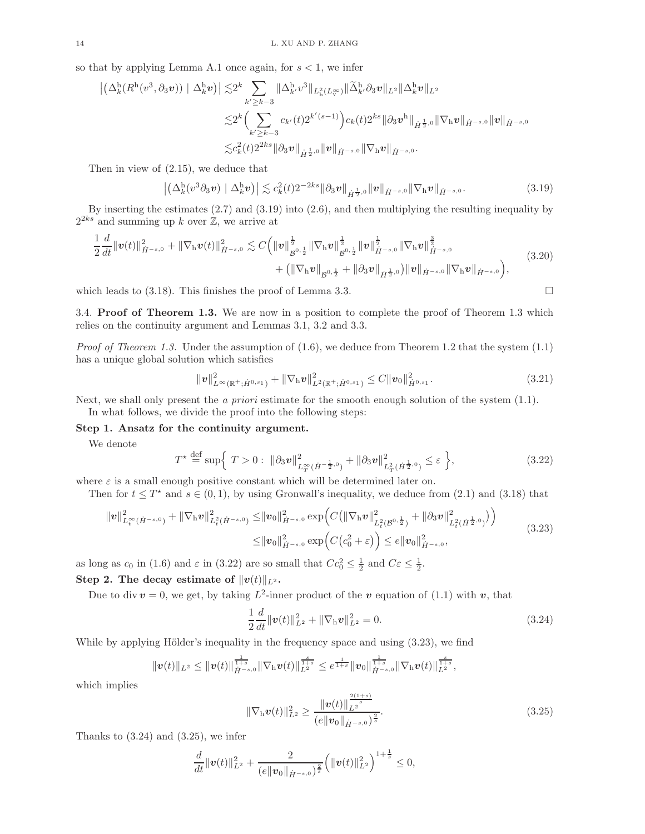so that by applying Lemma A.1 once again, for  $s < 1$ , we infer

$$
\begin{aligned} \left| \left( \Delta^{\mathrm{h}}_k (R^{\mathrm{h}} (v^3,\partial_3 v)) \mid \Delta^{\mathrm{h}}_k v \right) \right| \lesssim & 2^k \sum_{k' \geq k-3} \| \Delta^{\mathrm{h}}_{k'} v^3 \|_{L^2_\mathrm{h}(L^\infty_v)} \| \widetilde{\Delta}^{\mathrm{h}}_{k'} \partial_3 v \|_{L^2} \| \Delta^{\mathrm{h}}_k v \|_{L^2} \\ \lesssim & 2^k \Big( \sum_{k' \geq k-3} c_{k'}(t) 2^{k'(s-1)} \Big) c_k(t) 2^{ks} \| \partial_3 v^{\mathrm{h}} \|_{\dot{H}^{\frac{1}{2},0}} \| \nabla_\mathrm{h} v \|_{\dot{H}^{-s,0}} \| v \|_{\dot{H}^{-s,0}} \end{aligned}
$$

Then in view of (2.15), we deduce that

$$
\left| \left( \Delta_k^{\mathbf{h}} (v^3 \partial_3 v) \mid \Delta_k^{\mathbf{h}} v \right) \right| \lesssim c_k^2(t) 2^{-2ks} \|\partial_3 v\|_{\dot{H}^{\frac{1}{2},0}} \|v\|_{\dot{H}^{-s,0}} \|\nabla_{\mathbf{h}} v\|_{\dot{H}^{-s,0}}. \tag{3.19}
$$

By inserting the estimates (2.7) and (3.19) into (2.6), and then multiplying the resulting inequality by  $2^{2ks}$  and summing up k over  $\mathbb{Z}$ , we arrive at

$$
\frac{1}{2}\frac{d}{dt}\|\mathbf{v}(t)\|_{\dot{H}^{-s,0}}^2 + \|\nabla_{\mathbf{h}}\mathbf{v}(t)\|_{\dot{H}^{-s,0}}^2 \lesssim C\Big(\|\mathbf{v}\|_{\mathcal{B}^{0,\frac{1}{2}}}^{\frac{1}{2}}\|\nabla_{\mathbf{h}}\mathbf{v}\|_{\mathcal{B}^{0,\frac{1}{2}}}^{\frac{1}{2}}\|\mathbf{v}\|_{\dot{H}^{-s,0}}^{\frac{1}{2}}\|\nabla_{\mathbf{h}}\mathbf{v}\|_{\dot{H}^{-s,0}}^{\frac{3}{2}}\|\nabla_{\mathbf{h}}\mathbf{v}\|_{\dot{H}^{-s,0}}^{\frac{3}{2}}\Big(\|\nabla_{\mathbf{h}}\mathbf{v}\|_{\dot{H}^{-s,0}}\Big)\Big(\nabla_{\mathbf{h}}\mathbf{v}\|_{\dot{H}^{-s,0}}\Big)\Big(\nabla_{\mathbf{h}}\mathbf{v}\|_{\dot{H}^{-s,0}}\Big)\Big(\nabla_{\mathbf{h}}\mathbf{v}\|_{\dot{H}^{-s,0}}\Big)\Big(\nabla_{\mathbf{h}}\mathbf{v}\|_{\dot{H}^{-s,0}}\Big)\Big(\nabla_{\mathbf{h}}\mathbf{v}\|_{\dot{H}^{-s,0}}\Big)\Big(\nabla_{\mathbf{h}}\mathbf{v}\|_{\dot{H}^{-s,0}}\Big)\Big(\nabla_{\mathbf{h}}\mathbf{v}\|_{\dot{H}^{-s,0}}\Big)\Big(\nabla_{\mathbf{h}}\mathbf{v}\|_{\dot{H}^{-s,0}}\Big)\Big(\nabla_{\mathbf{h}}\mathbf{v}\|_{\dot{H}^{-s,0}}\Big)\Big(\nabla_{\mathbf{h}}\mathbf{v}\|_{\dot{H}^{-s,0}}\Big)\Big(\nabla_{\mathbf{h}}\mathbf{v}\|_{\dot{H}^{-s,0}}\Big)\Big(\nabla_{\mathbf{h}}\mathbf{v}\|_{\dot{H}^{-s,0}}\Big)\Big(\nabla_{\mathbf{h}}\mathbf{v}\|_{\dot{H}^{-s,0}}\Big)\Big(\nabla_{\mathbf{h}}\mathbf{v}\|_{\dot{H}^{-s,0}}\Big)\Big(\nabla_{\math
$$

which leads to  $(3.18)$ . This finishes the proof of Lemma 3.3.

3.4. Proof of Theorem 1.3. We are now in a position to complete the proof of Theorem 1.3 which relies on the continuity argument and Lemmas 3.1, 3.2 and 3.3.

*Proof of Theorem 1.3.* Under the assumption of  $(1.6)$ , we deduce from Theorem 1.2 that the system  $(1.1)$ has a unique global solution which satisfies

$$
\|\mathbf{v}\|_{L^{\infty}(\mathbb{R}^+;\dot{H}^{0,s_1})}^2 + \|\nabla_{\mathbf{h}}\mathbf{v}\|_{L^2(\mathbb{R}^+;\dot{H}^{0,s_1})}^2 \leq C \|\mathbf{v}_0\|_{\dot{H}^{0,s_1}}^2.
$$
\n(3.21)

Next, we shall only present the a priori estimate for the smooth enough solution of the system  $(1.1)$ . In what follows, we divide the proof into the following steps:

Step 1. Ansatz for the continuity argument.

We denote

$$
T^* \stackrel{\text{def}}{=} \sup \Big\{ T > 0 : \ \|\partial_3 v\|_{L_T^\infty(\dot{H}^{-\frac{1}{2},0})}^2 + \|\partial_3 v\|_{L_T^2(\dot{H}^{\frac{1}{2},0})}^2 \le \varepsilon \Big\},\tag{3.22}
$$

where  $\varepsilon$  is a small enough positive constant which will be determined later on.

Then for  $t \leq T^*$  and  $s \in (0,1)$ , by using Gronwall's inequality, we deduce from  $(2.1)$  and  $(3.18)$  that

$$
\|v\|_{L_t^{\infty}(\dot{H}^{-s,0})}^2 + \|\nabla_h v\|_{L_t^2(\dot{H}^{-s,0})}^2 \leq \|v_0\|_{\dot{H}^{-s,0}}^2 \exp\Big(C\big(\|\nabla_h v\|_{L_t^2(B^{0,\frac{1}{2}})}^2 + \|\partial_3 v\|_{L_t^2(\dot{H}^{\frac{1}{2},0})}^2\big)\Big) \leq \|v_0\|_{\dot{H}^{-s,0}}^2 \exp\Big(C\big(c_0^2 + \varepsilon\big)\Big) \leq e\|v_0\|_{\dot{H}^{-s,0}}^2,
$$
\n(3.23)

as long as  $c_0$  in (1.6) and  $\varepsilon$  in (3.22) are so small that  $Cc_0^2 \leq \frac{1}{2}$  and  $C\varepsilon \leq \frac{1}{2}$ .

Step 2. The decay estimate of  $||v(t)||_{L^2}$ .

Due to div  $v = 0$ , we get, by taking  $L^2$ -inner product of the v equation of (1.1) with v, that

$$
\frac{1}{2}\frac{d}{dt}\|\mathbf{v}(t)\|_{L^2}^2 + \|\nabla_{\mathbf{h}}\mathbf{v}\|_{L^2}^2 = 0.
$$
\n(3.24)

While by applying Hölder's inequality in the frequency space and using  $(3.23)$ , we find

$$
\|\mathbf{v}(t)\|_{L^2}\leq \|\mathbf{v}(t)\|_{\dot{H}^{-s,0}}^{\frac{1}{1+s}}\|\nabla_{\mathrm{h}}\mathbf{v}(t)\|_{L^2}^{\frac{s}{1+s}}\leq e^{\frac{1}{1+s}}\|\mathbf{v}_0\|_{\dot{H}^{-s,0}}^{\frac{1}{1+s}}\|\nabla_{\mathrm{h}}\mathbf{v}(t)\|_{L^2}^{\frac{s}{1+s}},
$$

which implies

$$
\|\nabla_{\mathbf{h}}\boldsymbol{v}(t)\|_{L^2}^2 \ge \frac{\|\boldsymbol{v}(t)\|_{L^2}^{\frac{2(1+s)}{s}}}{\left(e\|\boldsymbol{v}_0\|_{\dot{H}^{-s,0}}\right)^{\frac{2}{s}}}.
$$
\n(3.25)

Thanks to  $(3.24)$  and  $(3.25)$ , we infer

$$
\frac{d}{dt} \|\boldsymbol{v}(t)\|_{L^2}^2 + \frac{2}{(e\|\boldsymbol{v}_0\|_{\dot{H}^{-s,0}})^{\frac{2}{s}}} \Big(\|\boldsymbol{v}(t)\|_{L^2}^2\Big)^{1+\frac{1}{s}} \leq 0,
$$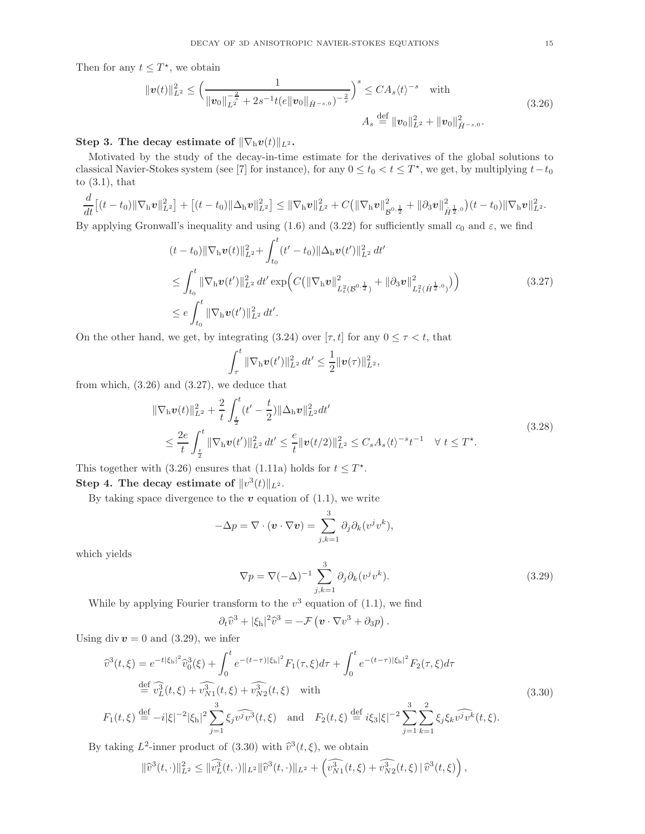Then for any  $t \leq T^*$ , we obtain

$$
\|\mathbf{v}(t)\|_{L^{2}}^{2} \leq \left(\frac{1}{\|\mathbf{v}_{0}\|_{L^{2}}^{-\frac{2}{s}} + 2s^{-1}t(e\|\mathbf{v}_{0}\|_{\dot{H}^{-s,0}})^{-\frac{2}{s}}}\right)^{s} \leq CA_{s}\langle t\rangle^{-s} \quad \text{with}
$$
\n
$$
A_{s} \stackrel{\text{def}}{=} \|\mathbf{v}_{0}\|_{L^{2}}^{2} + \|\mathbf{v}_{0}\|_{\dot{H}^{-s,0}}^{2}.
$$
\n(3.26)

# Step 3. The decay estimate of  $\|\nabla_h v(t)\|_{L^2}$ .

Motivated by the study of the decay-in-time estimate for the derivatives of the global solutions to classical Navier-Stokes system (see [7] for instance), for any  $0 \le t_0 < t \le T^*$ , we get, by multiplying  $t-t_0$ to  $(3.1)$ , that

$$
\frac{d}{dt}\left[(t-t_0)\|\nabla_{\mathbf{h}}\mathbf{v}\|_{L^2}^2\right] + \left[(t-t_0)\|\Delta_{\mathbf{h}}\mathbf{v}\|_{L^2}^2\right] \le \|\nabla_{\mathbf{h}}\mathbf{v}\|_{L^2}^2 + C\big(\|\nabla_{\mathbf{h}}\mathbf{v}\|_{\mathcal{B}^{0,\frac{1}{2}}}^2 + \|\partial_3\mathbf{v}\|_{\dot{H}^{\frac{1}{2},0}}^2\big)(t-t_0)\|\nabla_{\mathbf{h}}\mathbf{v}\|_{L^2}^2.
$$

By applying Gronwall's inequality and using (1.6) and (3.22) for sufficiently small  $c_0$  and  $\varepsilon$ , we find

$$
(t - t_0) \|\nabla_{\mathbf{h}} \mathbf{v}(t)\|_{L^2}^2 + \int_{t_0}^t (t' - t_0) \|\Delta_{\mathbf{h}} \mathbf{v}(t')\|_{L^2}^2 dt'
$$
  
\n
$$
\leq \int_{t_0}^t \|\nabla_{\mathbf{h}} \mathbf{v}(t')\|_{L^2}^2 dt' \exp\left(C(\|\nabla_{\mathbf{h}} \mathbf{v}\|_{L^2_t(\mathcal{B}^{0,\frac{1}{2}})}^2 + \|\partial_3 \mathbf{v}\|_{L^2_t(\dot{H}^{\frac{1}{2},0})}^2)\right)
$$
  
\n
$$
\leq e \int_{t_0}^t \|\nabla_{\mathbf{h}} \mathbf{v}(t')\|_{L^2}^2 dt'.
$$
\n(3.27)

On the other hand, we get, by integrating (3.24) over [ $\tau$ ,  $t$ ] for any  $0 \leq \tau \leq t$ , that

$$
\int_{\tau}^{t} \|\nabla_{\mathrm{h}} v(t')\|_{L^{2}}^{2} dt' \leq \frac{1}{2} \|v(\tau)\|_{L^{2}}^{2},
$$

from which, (3.26) and (3.27), we deduce that

$$
\|\nabla_{\mathbf{h}}\mathbf{v}(t)\|_{L^{2}}^{2} + \frac{2}{t} \int_{\frac{t}{2}}^{t} (t' - \frac{t}{2}) \|\Delta_{\mathbf{h}}\mathbf{v}\|_{L^{2}}^{2} dt'
$$
\n
$$
\leq \frac{2e}{t} \int_{\frac{t}{2}}^{t} \|\nabla_{\mathbf{h}}\mathbf{v}(t')\|_{L^{2}}^{2} dt' \leq \frac{e}{t} \|\mathbf{v}(t/2)\|_{L^{2}}^{2} \leq C_{s} A_{s} \langle t \rangle^{-s} t^{-1} \quad \forall \ t \leq T^{\star}.
$$
\n(3.28)

This together with (3.26) ensures that (1.11a) holds for  $t \leq T^*$ . Step 4. The decay estimate of  $||v^3(t)||_{L^2}$ .

By taking space divergence to the  $v$  equation of  $(1.1)$ , we write

$$
-\Delta p = \nabla \cdot (\mathbf{v} \cdot \nabla \mathbf{v}) = \sum_{j,k=1}^{3} \partial_j \partial_k (v^j v^k),
$$

which yields

$$
\nabla p = \nabla(-\Delta)^{-1} \sum_{j,k=1}^{3} \partial_j \partial_k (v^j v^k).
$$
\n(3.29)

While by applying Fourier transform to the  $v^3$  equation of (1.1), we find

$$
\partial_t \widehat{v}^3 + |\xi_h|^2 \widehat{v}^3 = -\mathcal{F} \left( \boldsymbol{v} \cdot \nabla v^3 + \partial_3 p \right).
$$

Using div  $v = 0$  and (3.29), we infer

$$
\hat{v}^{3}(t,\xi) = e^{-t|\xi_{h}|^{2}} \hat{v}_{0}^{3}(\xi) + \int_{0}^{t} e^{-(t-\tau)|\xi_{h}|^{2}} F_{1}(\tau,\xi) d\tau + \int_{0}^{t} e^{-(t-\tau)|\xi_{h}|^{2}} F_{2}(\tau,\xi) d\tau
$$
\n
$$
\stackrel{\text{def}}{=} \hat{v}_{L}^{3}(t,\xi) + \hat{v}_{N_{1}}^{3}(t,\xi) + \hat{v}_{N_{2}}^{3}(t,\xi) \quad \text{with}
$$
\n
$$
F_{1}(t,\xi) \stackrel{\text{def}}{=} -i|\xi|^{-2}|\xi_{h}|^{2} \sum_{j=1}^{3} \xi_{j} \hat{v}^{j} \hat{v}^{3}(t,\xi) \quad \text{and} \quad F_{2}(t,\xi) \stackrel{\text{def}}{=} i\xi_{3}|\xi|^{-2} \sum_{j=1}^{3} \sum_{k=1}^{2} \xi_{j} \xi_{k} \hat{v}^{j} \hat{v}^{k}(t,\xi).
$$
\n(3.30)

By taking  $L^2$ -inner product of (3.30) with  $\widehat{v}^3(t,\xi)$ , we obtain

$$
\|\widehat{v}^3(t,\cdot)\|_{L^2}^2 \le \|\widehat{v_L^3}(t,\cdot)\|_{L^2}\|\widehat{v}^3(t,\cdot)\|_{L^2} + \left(\widehat{v_{N1}^3}(t,\xi) + \widehat{v_{N2}^3}(t,\xi)\|\widehat{v}^3(t,\xi)\right),
$$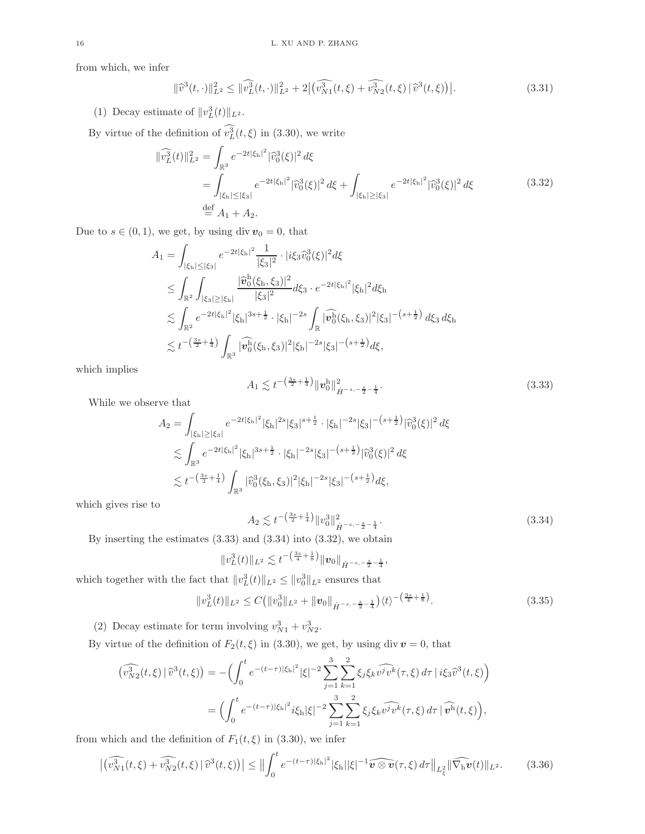from which, we infer

$$
\|\widehat{v}^{3}(t,\cdot)\|_{L^{2}}^{2} \leq \|\widehat{v_{L}^{3}}(t,\cdot)\|_{L^{2}}^{2} + 2\left|\widehat{v_{N1}^{3}}(t,\xi) + \widehat{v_{N2}^{3}}(t,\xi)\right|\widehat{v}^{3}(t,\xi)\right|.
$$
\n(3.31)

(1) Decay estimate of  $||v_L^3(t)||_{L^2}$ .

By virtue of the definition of  $v_L^3(t,\xi)$  in (3.30), we write

$$
\begin{split} \|\widehat{v_L^3}(t)\|_{L^2}^2 &= \int_{\mathbb{R}^3} e^{-2t|\xi_h|^2} |\widehat{v}_0^3(\xi)|^2 \, d\xi \\ &= \int_{|\xi_h| \le |\xi_3|} e^{-2t|\xi_h|^2} |\widehat{v}_0^3(\xi)|^2 \, d\xi + \int_{|\xi_h| \ge |\xi_3|} e^{-2t|\xi_h|^2} |\widehat{v}_0^3(\xi)|^2 \, d\xi \\ &\stackrel{\text{def}}{=} A_1 + A_2. \end{split} \tag{3.32}
$$

Due to  $s\in(0,1),$  we get, by using  $\mathrm{div}\,\pmb{v}_0=0,$  that

$$
A_1 = \int_{|\xi_h| \leq |\xi_3|} e^{-2t|\xi_h|^2} \frac{1}{|\xi_3|^2} \cdot |i\xi_3 \hat{v}_0^3(\xi)|^2 d\xi
$$
  
\n
$$
\leq \int_{\mathbb{R}^2} \int_{|\xi_3| \geq |\xi_h|} \frac{|\hat{v}_0^h(\xi_h, \xi_3)|^2}{|\xi_3|^2} d\xi_3 \cdot e^{-2t|\xi_h|^2} |\xi_h|^2 d\xi_h
$$
  
\n
$$
\lesssim \int_{\mathbb{R}^2} e^{-2t|\xi_h|^2} |\xi_h|^{3s + \frac{1}{2}} \cdot |\xi_h|^{-2s} \int_{\mathbb{R}} |\widehat{v}_0^h(\xi_h, \xi_3)|^2 |\xi_3|^{-(s + \frac{1}{2})} d\xi_3 d\xi_h
$$
  
\n
$$
\lesssim t^{-\left(\frac{3s}{2} + \frac{1}{4}\right)} \int_{\mathbb{R}^3} |\widehat{v}_0^h(\xi_h, \xi_3)|^2 |\xi_h|^{-2s} |\xi_3|^{-(s + \frac{1}{2})} d\xi,
$$

which implies

$$
A_1 \lesssim t^{-\left(\frac{3s}{2} + \frac{1}{4}\right)} \| \boldsymbol{v}_0^{\mathrm{h}} \|_{\dot{H}^{-s, -\frac{s}{2} - \frac{1}{4}}}^2.
$$
\n(3.33)

While we observe that

$$
A_2 = \int_{|\xi_h| \ge |\xi_3|} e^{-2t|\xi_h|^2} |\xi_h|^{2s} |\xi_3|^{s + \frac{1}{2}} \cdot |\xi_h|^{-2s} |\xi_3|^{-\left(s + \frac{1}{2}\right)} |\widehat{v}_0^3(\xi)|^2 d\xi
$$
  
\$\lesssim \int\_{\mathbb{R}^3} e^{-2t|\xi\_h|^2} |\xi\_h|^{3s + \frac{1}{2}} \cdot |\xi\_h|^{-2s} |\xi\_3|^{-\left(s + \frac{1}{2}\right)} |\widehat{v}\_0^3(\xi)|^2 d\xi  
\$\lesssim t^{-\left(\frac{3s}{2} + \frac{1}{4}\right)} \int\_{\mathbb{R}^3} |\widehat{v}\_0^3(\xi\_h, \xi\_3)|^2 |\xi\_h|^{-2s} |\xi\_3|^{-\left(s + \frac{1}{2}\right)} d\xi,

which gives rise to

$$
A_2 \lesssim t^{-\left(\frac{3s}{2} + \frac{1}{4}\right)} \|v_0^3\|_{\dot{H}^{-s, -\frac{s}{2} - \frac{1}{4}}}^2.
$$
\n
$$
(3.34)
$$

By inserting the estimates (3.33) and (3.34) into (3.32), we obtain

$$
||v_{L}^{3}(t)||_{L^{2}} \lesssim t^{-\left(\frac{3s}{4} + \frac{1}{8}\right)} ||v_{0}||_{\dot{H}^{-s, -\frac{s}{2} - \frac{1}{4}}},
$$

which together with the fact that  $||v_L^3(t)||_{L^2} \le ||v_0^3||_{L^2}$  ensures that

$$
||v_L^3(t)||_{L^2} \le C\big(||v_0^3||_{L^2} + ||v_0||_{\dot{H}^{-s,-\frac{s}{2}-\frac{1}{4}}}\big)\langle t\rangle^{-\left(\frac{3s}{4}+\frac{1}{8}\right)}.
$$
\n(3.35)

(2) Decay estimate for term involving  $v_{N1}^3 + v_{N2}^3$ .

By virtue of the definition of  $F_2(t, \xi)$  in (3.30), we get, by using div  $v = 0$ , that

$$
\begin{split} \left(\widehat{v_{N2}^3}(t,\xi)\,|\,\widehat{v}^3(t,\xi)\right) &= -\Big(\int_0^t e^{-(t-\tau)|\xi_{\rm h}|^2}|\xi|^{-2} \sum_{j=1}^3 \sum_{k=1}^2 \xi_j \xi_k \widehat{v^j v^k}(\tau,\xi) \,d\tau\,|\,i\xi_3 \widehat{v}^3(t,\xi)\Big) \\ &= \Big(\int_0^t e^{-(t-\tau)|\xi_{\rm h}|^2} i\xi_{\rm h}|\xi|^{-2} \sum_{j=1}^3 \sum_{k=1}^2 \xi_j \xi_k \widehat{v^j v^k}(\tau,\xi) \,d\tau\,|\,\widehat{v^{\rm h}}(t,\xi)\Big), \end{split}
$$

from which and the definition of  $F_1(t, \xi)$  in (3.30), we infer

$$
\left| \left( \widehat{v_{N1}^3}(t,\xi) + \widehat{v_{N2}^3}(t,\xi) \, \middle| \, \widehat{v}^3(t,\xi) \right) \right| \le \Big| \Big| \int_0^t e^{-(t-\tau)|\xi_h|^2} |\xi_h||\xi|^{-1} \widehat{\boldsymbol{v} \otimes \boldsymbol{v}}(\tau,\xi) \, d\tau \Big| \Big|_{L^2_{\xi}} \|\widehat{\nabla_h \boldsymbol{v}}(t)\|_{L^2}.
$$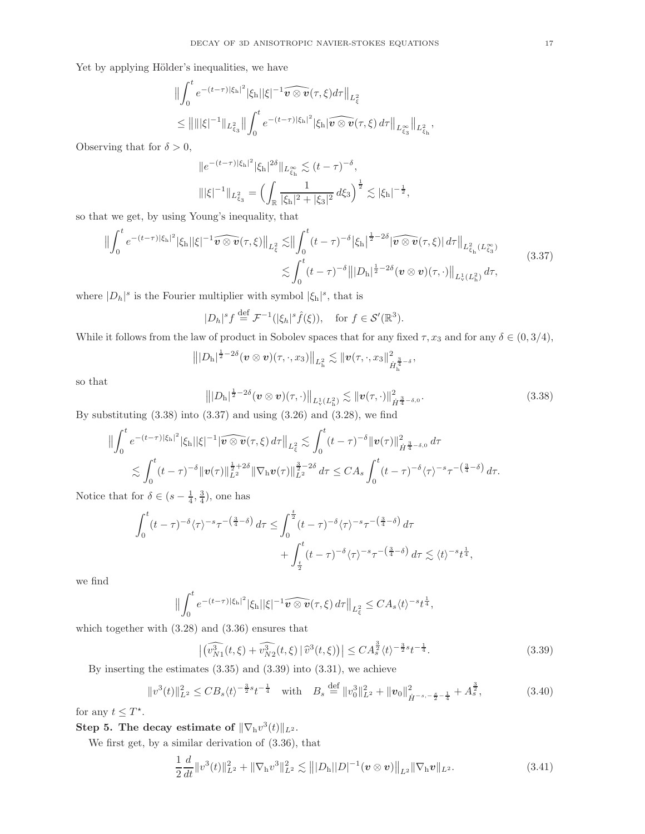Yet by applying Hölder's inequalities, we have

$$
\begin{split} &\left\| \int_{0}^{t} e^{-(t-\tau)|\xi_{\rm h}|^{2}} |\xi_{\rm h}||\xi|^{-1} \widehat{\boldsymbol{v} \otimes \boldsymbol{v}}(\tau,\xi) d\tau \right\|_{L_{\xi}^{2}} \\ &\leq \left\| \|\|\xi|^{-1} \|\mathbf{L}_{\xi_{\rm S}}^{2} \right\| \int_{0}^{t} e^{-(t-\tau)|\xi_{\rm h}|^{2}} |\xi_{\rm h}| \widehat{\boldsymbol{v} \otimes \boldsymbol{v}}(\tau,\xi) d\tau \right\|_{L_{\xi_{\rm S}}^{\infty}} \left\| \mathbf{L}_{\xi_{\rm h}}^{2}, \right\|_{L_{\xi_{\rm h}}^{2}}, \end{split}
$$

Observing that for  $\delta > 0$ ,

$$
||e^{-(t-\tau)|\xi_{\rm h}|^2}|\xi_{\rm h}|^{2\delta}||_{L^{\infty}_{\xi_{\rm h}}} \lesssim (t-\tau)^{-\delta},
$$
  

$$
|||\xi|^{-1}||_{L^{2}_{\xi_{3}}} = \left(\int_{\mathbb{R}} \frac{1}{|\xi_{\rm h}|^{2} + |\xi_{3}|^{2}} d\xi_{3}\right)^{\frac{1}{2}} \lesssim |\xi_{\rm h}|^{-\frac{1}{2}},
$$

so that we get, by using Young's inequality, that

$$
\| \int_0^t e^{-(t-\tau)|\xi_{\rm h}|^2} |\xi_{\rm h}| |\xi|^{-1} \widehat{\boldsymbol{v} \otimes \boldsymbol{v}}(\tau,\xi) \|_{L^2_{\xi}} \lesssim \| \int_0^t (t-\tau)^{-\delta} |\xi_{\rm h}|^{\frac{1}{2}-2\delta} |\widehat{\boldsymbol{v} \otimes \boldsymbol{v}}(\tau,\xi)| d\tau \|_{L^2_{\xi_{\rm h}}(L^\infty_{\xi_3})}
$$
\n
$$
\lesssim \int_0^t (t-\tau)^{-\delta} \| |D_{\rm h}|^{\frac{1}{2}-2\delta} (\boldsymbol{v} \otimes \boldsymbol{v})(\tau,\cdot) \|_{L^1_{\mathbf{v}}(L^2_{\rm h})} d\tau,
$$
\n(3.37)

where  $|D_h|^s$  is the Fourier multiplier with symbol  $|\xi_h|^s$ , that is

 $|D_h|^s f \stackrel{\text{def}}{=} \mathcal{F}^{-1}(|\xi_h|^s \hat{f}(\xi)), \text{ for } f \in \mathcal{S}'(\mathbb{R}^3).$ 

While it follows from the law of product in Sobolev spaces that for any fixed  $\tau$ ,  $x_3$  and for any  $\delta \in (0, 3/4)$ ,

$$
|||D_{\mathrm{h}}|^{\frac{1}{2}-2\delta}(\bm{v}\otimes\bm{v})(\tau,\cdot,x_3)||_{L^2_{\mathrm{h}}}\lesssim ||\bm{v}(\tau,\cdot,x_3||_{\dot{H}_{\mathrm{h}}^{\frac{3}{4}-\delta}}^2,
$$

so that

$$
\left\| |D_{\mathbf{h}}|^{\frac{1}{2} - 2\delta} (\boldsymbol{v} \otimes \boldsymbol{v}) (\tau, \cdot) \right\|_{L^1_v(L^2_{\mathbf{h}})} \lesssim \|\boldsymbol{v} (\tau, \cdot)\|_{\dot{H}^{\frac{3}{4} - \delta, 0}}^2.
$$
\n(3.38)

By substituting  $(3.38)$  into  $(3.37)$  and using  $(3.26)$  and  $(3.28)$ , we find

$$
\|\int_0^t e^{-(t-\tau)|\xi_{\rm h}|^2} |\xi_{\rm h}||\xi|^{-1} |\widehat{\boldsymbol{v} \otimes \boldsymbol{v}}(\tau,\xi) d\tau\|_{L^2_{\xi}} \lesssim \int_0^t (t-\tau)^{-\delta} \|\boldsymbol{v}(\tau)\|_{\dot{H}^{\frac{3}{4}-\delta,0}}^2 d\tau \lesssim \int_0^t (t-\tau)^{-\delta} \|\boldsymbol{v}(\tau)\|_{L^2}^{\frac{1}{2}+2\delta} \|\nabla_{\rm h} \boldsymbol{v}(\tau)\|_{L^2}^{\frac{3}{2}-2\delta} d\tau \leq C A_s \int_0^t (t-\tau)^{-\delta} \langle \tau \rangle^{-s} \tau^{-\left(\frac{3}{4}-\delta\right)} d\tau.
$$

Notice that for  $\delta \in (s - \frac{1}{4}, \frac{3}{4})$ , one has

$$
\int_0^t (t-\tau)^{-\delta} \langle \tau \rangle^{-s} \tau^{-\left(\frac{3}{4}-\delta\right)} d\tau \le \int_0^{\frac{t}{2}} (t-\tau)^{-\delta} \langle \tau \rangle^{-s} \tau^{-\left(\frac{3}{4}-\delta\right)} d\tau + \int_{\frac{t}{2}}^t (t-\tau)^{-\delta} \langle \tau \rangle^{-s} \tau^{-\left(\frac{3}{4}-\delta\right)} d\tau \lesssim \langle t \rangle^{-s} t^{\frac{1}{4}},
$$

we find

$$
\Big\|\int_0^t e^{-(t-\tau)|\xi_{\rm h}|^2}|\xi_{\rm h}||\xi|^{-1}\widehat{\boldsymbol{v}\otimes\boldsymbol{v}}(\tau,\xi)\,d\tau\Big\|_{L^2_{\xi}}\leq C A_s \langle t\rangle^{-s} t^{\frac{1}{4}},
$$

which together with (3.28) and (3.36) ensures that

$$
\left| \widehat{(v_{N1}^3(t,\xi) + v_{N2}^3(t,\xi))} \right| \widehat{v}^3(t,\xi) \right| \le C A_s^{\frac{3}{2}} \langle t \rangle^{-\frac{3}{2}s} t^{-\frac{1}{4}}.
$$
\n(3.39)

By inserting the estimates  $(3.35)$  and  $(3.39)$  into  $(3.31)$ , we achieve

$$
||v^{3}(t)||_{L^{2}}^{2} \leq CB_{s}\langle t\rangle^{-\frac{3}{2}s}t^{-\frac{1}{4}} \quad \text{with} \quad B_{s} \stackrel{\text{def}}{=} ||v_{0}^{3}||_{L^{2}}^{2} + ||\boldsymbol{v}_{0}||_{\dot{H}^{-s,-\frac{s}{2}-\frac{1}{4}}}^{2} + A_{s}^{\frac{3}{2}}, \tag{3.40}
$$

for any  $t \leq T^*$ .

Step 5. The decay estimate of  $\|\nabla_{\mathrm{h}} v^3(t)\|_{L^2}$ .

We first get, by a similar derivation of (3.36), that

$$
\frac{1}{2}\frac{d}{dt}\|v^{3}(t)\|_{L^{2}}^{2}+\|\nabla_{h}v^{3}\|_{L^{2}}^{2}\lesssim\big\||D_{h}||D|^{-1}(v\otimes v)\big\|_{L^{2}}\|\nabla_{h}v\|_{L^{2}}.\tag{3.41}
$$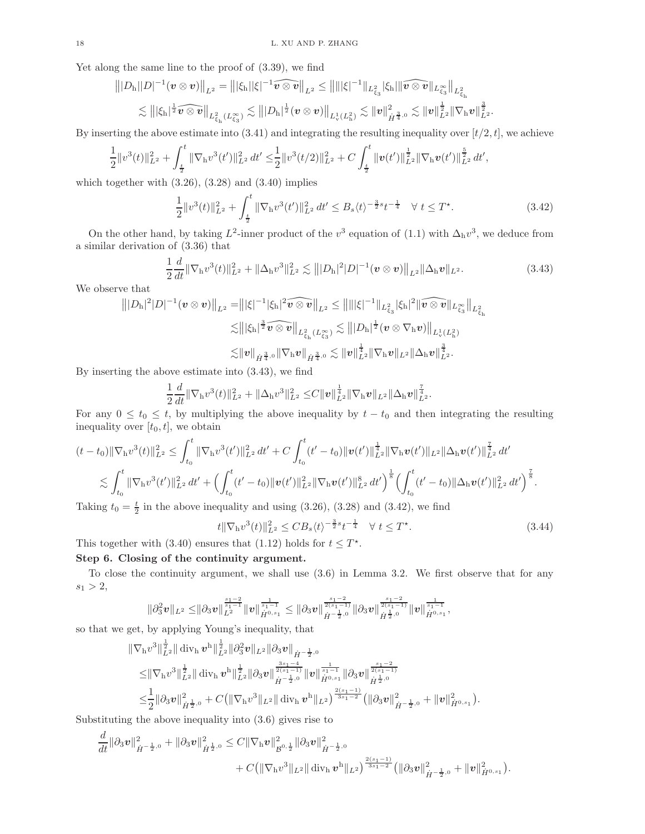Yet along the same line to the proof of (3.39), we find

$$
|||D_{\rm h}||D|^{-1}(\boldsymbol{v}\otimes\boldsymbol{v})||_{L^2}=|||\xi_{\rm h}||\xi|^{-1}\widehat{\boldsymbol{v}\otimes\boldsymbol{v}}||_{L^2}\leq ||\||\xi|^{-1}\|_{L^2_{\xi_3}}|\xi_{\rm h}||\widehat{\boldsymbol{v}\otimes\boldsymbol{v}}||_{L^2_{\xi_3}}\|_{L^2_{\xi_{\rm h}}}\\ \lesssim |||\xi_{\rm h}|^{\frac{1}{2}}\widehat{\boldsymbol{v}\otimes\boldsymbol{v}}||_{L^2_{\xi_{\rm h}}(L^\infty_{\xi_3})}\lesssim |||D_{\rm h}|^{\frac{1}{2}}(\boldsymbol{v}\otimes\boldsymbol{v})||_{L^1_{\nu}(L^2_{\rm h})}\lesssim \|\boldsymbol{v}\|^2_{\dot{H}^{\frac{3}{4},0}}\lesssim \|\boldsymbol{v}\|^{\frac{1}{2}}_{L^2}||\nabla_{\rm h}\boldsymbol{v}||^{\frac{3}{2}}_{L^2}.
$$

By inserting the above estimate into  $(3.41)$  and integrating the resulting inequality over  $[t/2, t]$ , we achieve

$$
\frac{1}{2}||v^{3}(t)||^{2}_{L^{2}}+\int_{\frac{t}{2}}^{t}||\nabla_{\mathbf{h}}v^{3}(t')||^{2}_{L^{2}} dt' \leq \frac{1}{2}||v^{3}(t/2)||^{2}_{L^{2}}+C\int_{\frac{t}{2}}^{t}||\mathbf{v}(t')||_{L^{2}}^{\frac{1}{2}}||\nabla_{\mathbf{h}}\mathbf{v}(t')||_{L^{2}}^{\frac{5}{2}} dt',
$$

which together with  $(3.26)$ ,  $(3.28)$  and  $(3.40)$  implies

$$
\frac{1}{2}||v^{3}(t)||_{L^{2}}^{2} + \int_{\frac{t}{2}}^{t} ||\nabla_{h}v^{3}(t')||_{L^{2}}^{2} dt' \leq B_{s} \langle t \rangle^{-\frac{3}{2}s} t^{-\frac{1}{4}} \quad \forall \ t \leq T^{\star}.
$$
\n(3.42)

On the other hand, by taking  $L^2$ -inner product of the  $v^3$  equation of (1.1) with  $\Delta_h v^3$ , we deduce from a similar derivation of (3.36) that

$$
\frac{1}{2}\frac{d}{dt}\|\nabla_{\mathbf{h}}v^{3}(t)\|_{L^{2}}^{2}+\|\Delta_{\mathbf{h}}v^{3}\|_{L^{2}}^{2}\lesssim\||D_{\mathbf{h}}|^{2}|D|^{-1}(\mathbf{v}\otimes\mathbf{v})\|_{L^{2}}\|\Delta_{\mathbf{h}}\mathbf{v}\|_{L^{2}}.
$$
\n(3.43)

We observe that

$$
\begin{aligned}\n|||D_{\rm h}|^2|D|^{-1}(\boldsymbol{v}\otimes\boldsymbol{v})\|_{L^2} &= |||\xi|^{-1}|\xi_{\rm h}|^2\widehat{\boldsymbol{v}\otimes\boldsymbol{v}}\|_{L^2} \le ||\||\xi|^{-1}\|_{L^2_{\xi_3}}|\xi_{\rm h}|^2\|\widehat{\boldsymbol{v}\otimes\boldsymbol{v}}\|_{L^2_{\xi_1}}\|_{L^2_{\xi_1}} \\
&\lesssim \||\xi_{\rm h}|^{\frac{3}{2}}\widehat{\boldsymbol{v}\otimes\boldsymbol{v}}\|_{L^2_{\xi_{\rm h}}(L^\infty_{\xi_3})} \lesssim |||D_{\rm h}|^{\frac{1}{2}}(\boldsymbol{v}\otimes\nabla_{\rm h}\boldsymbol{v})\|_{L^1_v(L^2_{\rm h})} \\
&\lesssim \|\boldsymbol{v}\|_{\dot{H}^{\frac{3}{4},0}}\|\nabla_{\rm h}\boldsymbol{v}\|_{\dot{H}^{\frac{3}{4},0}} \lesssim \|\boldsymbol{v}\|_{L^2}^{\frac{1}{4}}\|\nabla_{\rm h}\boldsymbol{v}\|_{L^2}\|\Delta_{\rm h}\boldsymbol{v}\|_{L^2}^{\frac{3}{4}}.\n\end{aligned}
$$

By inserting the above estimate into (3.43), we find

$$
\frac{1}{2}\frac{d}{dt}\|\nabla_{\mathrm{h}}v^{3}(t)\|_{L^{2}}^{2}+\|\Delta_{\mathrm{h}}v^{3}\|_{L^{2}}^{2}\leq C\|v\|_{L^{2}}^{\frac{1}{4}}\|\nabla_{\mathrm{h}}v\|_{L^{2}}\|\Delta_{\mathrm{h}}v\|_{L^{2}}^{\frac{7}{4}}.
$$

For any  $0 \le t_0 \le t$ , by multiplying the above inequality by  $t - t_0$  and then integrating the resulting inequality over  $[t_0, t]$ , we obtain

$$
(t-t_0) \|\nabla_h v^3(t)\|_{L^2}^2 \leq \int_{t_0}^t \|\nabla_h v^3(t')\|_{L^2}^2 dt' + C \int_{t_0}^t (t'-t_0) \|v(t')\|_{L^2}^{\frac{1}{4}} \|\nabla_h v(t')\|_{L^2}^2 \|\Delta_h v(t')\|_{L^2}^{\frac{7}{4}} dt'
$$
  

$$
\lesssim \int_{t_0}^t \|\nabla_h v^3(t')\|_{L^2}^2 dt' + \Big(\int_{t_0}^t (t'-t_0) \|v(t')\|_{L^2}^2 \|\nabla_h v(t')\|_{L^2}^8 dt'\Big)^{\frac{1}{8}} \Big(\int_{t_0}^t (t'-t_0) \|\Delta_h v(t')\|_{L^2}^2 dt'\Big)^{\frac{7}{8}}.
$$

Taking  $t_0 = \frac{t}{2}$  in the above inequality and using (3.26), (3.28) and (3.42), we find

$$
t \|\nabla_{\mathbf{h}} v^3(t)\|_{L^2}^2 \leq C B_s \langle t \rangle^{-\frac{3}{2}s} t^{-\frac{1}{4}} \quad \forall \ t \leq T^*.
$$
 (3.44)

This together with (3.40) ensures that (1.12) holds for  $t \leq T^*$ .

## Step 6. Closing of the continuity argument.

To close the continuity argument, we shall use (3.6) in Lemma 3.2. We first observe that for any  $s_1 > 2,$ 

$$
\|\partial_3^2 v\|_{L^2} \leq \!\|\partial_3 v\|_{\dot H^{0, s_1}}^{\frac{s_1-2}{s_1-1}} \|v\|_{\dot H^{0, s_1}}^{\frac{1}{s_1-1}} \leq \|\partial_3 v\|_{\dot H^{-\frac{1}{2}, 0}}^{\frac{s_1-2}{2(s_1-1)}} \|\partial_3 v\|_{\dot H^{\frac{1}{2}, 0}}^{\frac{s_1-2}{2(s_1-1)}} \|v\|_{\dot H^{0, s_1}}^{\frac{1}{s_1-1}},
$$

so that we get, by applying Young's inequality, that

$$
\begin{split} & \left\| \nabla_{\mathrm{h}} v^3 \right\|_{L^2}^{\frac{1}{2}} \|\operatorname{div}_{\mathrm{h}} v^{\mathrm{h}} \|_{L^2}^{\frac{1}{2}} \| \partial_3^2 v \|_{L^2} \| \partial_3 v \|_{\dot{H}^{-\frac{1}{2},0}} \\ & \leq & \left\| \nabla_{\mathrm{h}} v^3 \right\|_{L^2}^{\frac{1}{2}} \|\operatorname{div}_{\mathrm{h}} v^{\mathrm{h}} \|_{L^2}^{\frac{1}{2}} \| \partial_3 v \|_{\dot{H}^{-\frac{1}{2},0}}^{\frac{3s_1-4}{2(s_1-1)}} \| v \|_{\dot{H}^{0,s_1}}^{\frac{1}{s_1-1}} \| \partial_3 v \|_{\dot{H}^{\frac{1}{2},0}}^{\frac{s_1-2}{s_1-2}} \\ & \leq & \frac{1}{2} \| \partial_3 v \|_{\dot{H}^{\frac{1}{2},0}}^2 + C \big( \| \nabla_{\mathrm{h}} v^3 \|_{L^2} \| \operatorname{div}_{\mathrm{h}} v^{\mathrm{h}} \|_{L^2} \big)^{\frac{2(s_1-1)}{3s_1-2}} \big( \| \partial_3 v \|_{\dot{H}^{-\frac{1}{2},0}}^2 + \| v \|_{\dot{H}^{0,s_1}}^2 \big). \end{split}
$$

Substituting the above inequality into (3.6) gives rise to

$$
\begin{aligned}\n\frac{d}{dt}\|\partial_3 v\|^2_{\dot{H}^{-\frac{1}{2},0}} + \|\partial_3 v\|^2_{\dot{H}^{\frac{1}{2},0}} &\leq C\|\nabla_\mathrm{h} v\|^2_{\mathcal{B}^{0,\frac{1}{2}}}\|\partial_3 v\|^2_{\dot{H}^{-\frac{1}{2},0}} \\
&+ C\big(\|\nabla_\mathrm{h} v^3\|_{L^2}\|\operatorname{div}_\mathrm{h} v^{\mathrm{h}}\|_{L^2}\big)^{\frac{2(s_1-1)}{3s_1-2}}\big(\|\partial_3 v\|^2_{\dot{H}^{-\frac{1}{2},0}} + \|v\|^2_{\dot{H}^{0,s_1}}\big).\n\end{aligned}
$$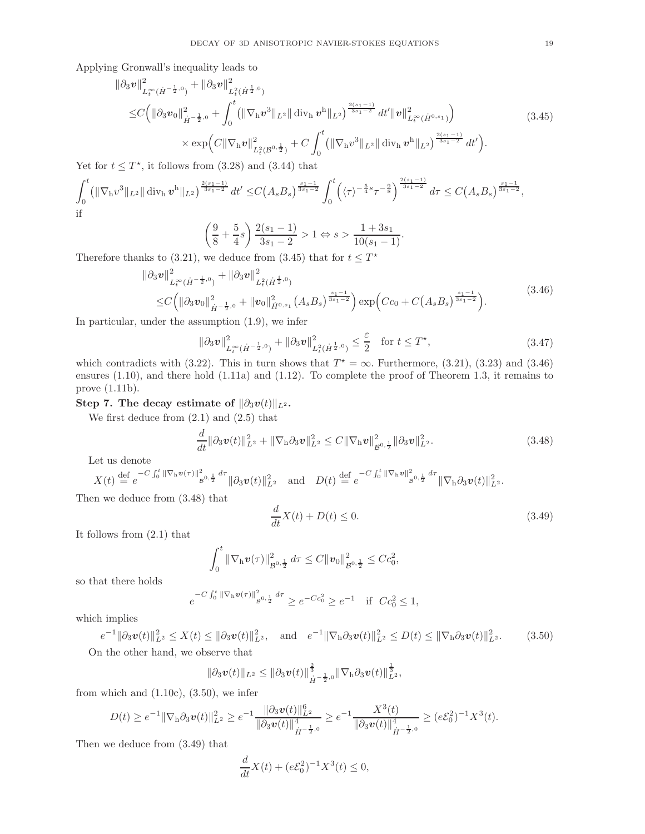Applying Gronwall's inequality leads to

$$
\|\partial_3 \mathbf{v}\|_{L_t^\infty(\dot{H}^{-\frac{1}{2},0})}^2 + \|\partial_3 \mathbf{v}\|_{L_t^2(\dot{H}^{\frac{1}{2},0})}^2 \n\leq C \Big( \|\partial_3 \mathbf{v}_0\|_{\dot{H}^{-\frac{1}{2},0}}^2 + \int_0^t \big( \|\nabla_\mathbf{h} \mathbf{v}^3\|_{L^2} \|\operatorname{div}_\mathbf{h} \mathbf{v}^\mathbf{h}\|_{L^2} \big)^{\frac{2(s_1-1)}{3s_1-2}} dt' \|\mathbf{v}\|_{L_t^\infty(\dot{H}^{0,s_1})}^2 \Big) \n\times \exp \Big( C \|\nabla_\mathbf{h} \mathbf{v}\|_{L_t^2(\mathcal{B}^{0,\frac{1}{2}})}^2 + C \int_0^t \big( \|\nabla_\mathbf{h} \mathbf{v}^3\|_{L^2} \|\operatorname{div}_\mathbf{h} \mathbf{v}^\mathbf{h}\|_{L^2} \big)^{\frac{2(s_1-1)}{3s_1-2}} dt' \Big).
$$
\n(3.45)

Yet for  $t \leq T^*$ , it follows from (3.28) and (3.44) that

$$
\int_0^t \left( \|\nabla_h v^3\|_{L^2} \|\operatorname{div}_h \boldsymbol{v}^h\|_{L^2} \right)^{\frac{2(s_1-1)}{3s_1-2}} dt' \leq C(A_s B_s)^{\frac{s_1-1}{3s_1-2}} \int_0^t \left( \langle \tau \rangle^{-\frac{5}{4}s} \tau^{-\frac{9}{8}} \right)^{\frac{2(s_1-1)}{3s_1-2}} d\tau \leq C(A_s B_s)^{\frac{s_1-1}{3s_1-2}},
$$
 if

$$
\left(\frac{9}{8} + \frac{5}{4}s\right) \frac{2(s_1 - 1)}{3s_1 - 2} > 1 \Leftrightarrow s > \frac{1 + 3s_1}{10(s_1 - 1)}.
$$

Therefore thanks to (3.21), we deduce from (3.45) that for  $t \leq T^*$ 

$$
\|\partial_3 \boldsymbol{v}\|_{L_t^{\infty}(\dot{H}^{-\frac{1}{2},0})}^2 + \|\partial_3 \boldsymbol{v}\|_{L_t^2(\dot{H}^{\frac{1}{2},0})}^2 \leq C \Big( \|\partial_3 \boldsymbol{v}_0\|_{\dot{H}^{-\frac{1}{2},0}}^2 + \|\boldsymbol{v}_0\|_{\dot{H}^{0,s_1}}^2 (A_s B_s)^{\frac{s_1-1}{3s_1-2}} \Big) \exp\Big(Cc_0 + C(A_s B_s)^{\frac{s_1-1}{3s_1-2}}\Big).
$$
\n(3.46)

In particular, under the assumption (1.9), we infer

$$
\|\partial_3 v\|_{L_t^\infty(\dot{H}^{-\frac{1}{2},0})}^2 + \|\partial_3 v\|_{L_t^2(\dot{H}^{\frac{1}{2},0})}^2 \le \frac{\varepsilon}{2} \quad \text{for } t \le T^\star,
$$
\n(3.47)

which contradicts with (3.22). This in turn shows that  $T^* = \infty$ . Furthermore, (3.21), (3.23) and (3.46) ensures (1.10), and there hold (1.11a) and (1.12). To complete the proof of Theorem 1.3, it remains to prove (1.11b).

## Step 7. The decay estimate of  $\|\partial_3v(t)\|_{L^2}$ .

We first deduce from  $(2.1)$  and  $(2.5)$  that

$$
\frac{d}{dt} \|\partial_3 v(t)\|_{L^2}^2 + \|\nabla_{\mathbf{h}} \partial_3 v\|_{L^2}^2 \le C \|\nabla_{\mathbf{h}} v\|_{\mathcal{B}^{0,\frac{1}{2}}}^2 \|\partial_3 v\|_{L^2}^2.
$$
\n(3.48)

Let us denote

$$
X(t) \stackrel{\text{def}}{=} e^{-C \int_0^t \|\nabla_{\mathbf{h}} \mathbf{v}(\tau)\|_{\mathcal{B}^{0,\frac{1}{2}}}^2 d\tau} \|\partial_3 \mathbf{v}(t)\|_{L^2}^2 \quad \text{and} \quad D(t) \stackrel{\text{def}}{=} e^{-C \int_0^t \|\nabla_{\mathbf{h}} \mathbf{v}\|_{\mathcal{B}^{0,\frac{1}{2}}}^2 d\tau} \|\nabla_{\mathbf{h}} \partial_3 \mathbf{v}(t)\|_{L^2}^2.
$$

Then we deduce from (3.48) that

$$
\frac{d}{dt}X(t) + D(t) \le 0.
$$
\n(3.49)

It follows from (2.1) that

$$
\int_0^t \|\nabla_{\mathrm{h}} v(\tau)\|_{\mathcal{B}^{0,\frac{1}{2}}}^2 d\tau \leq C \|v_0\|_{\mathcal{B}^{0,\frac{1}{2}}}^2 \leq C c_0^2,
$$

so that there holds

$$
e^{-C\int_0^t \|\nabla_{\mathbf{h}} \mathbf{v}(\tau)\|^2_{\mathcal{B}^{0,\frac{1}{2}}} d\tau} \ge e^{-Cc_0^2} \ge e^{-1} \quad \text{if} \ \ Cc_0^2 \le 1,
$$

which implies

$$
e^{-1} \|\partial_3 \boldsymbol{v}(t)\|_{L^2}^2 \le X(t) \le \|\partial_3 \boldsymbol{v}(t)\|_{L^2}^2, \quad \text{and} \quad e^{-1} \|\nabla_{\mathbf{h}} \partial_3 \boldsymbol{v}(t)\|_{L^2}^2 \le D(t) \le \|\nabla_{\mathbf{h}} \partial_3 \boldsymbol{v}(t)\|_{L^2}^2. \tag{3.50}
$$

On the other hand, we observe that

$$
\|\partial_3\bm{v}(t)\|_{L^2}\leq \|\partial_3\bm{v}(t)\|_{\dot{H}^{-\frac{1}{2},0}}^{\frac{2}{3}}\|\nabla_{\mathrm{h}}\partial_3\bm{v}(t)\|_{L^2}^{\frac{1}{3}},
$$

from which and  $(1.10c)$ ,  $(3.50)$ , we infer

$$
D(t) \geq e^{-1} \|\nabla_{\mathbf{h}} \partial_3 \mathbf{v}(t)\|_{L^2}^2 \geq e^{-1} \frac{\|\partial_3 \mathbf{v}(t)\|_{L^2}^6}{\|\partial_3 \mathbf{v}(t)\|_{\dot{H}^{-\frac{1}{2},0}}^4} \geq e^{-1} \frac{X^3(t)}{\|\partial_3 \mathbf{v}(t)\|_{\dot{H}^{-\frac{1}{2},0}}^4} \geq (e\mathcal{E}_0^2)^{-1} X^3(t).
$$

Then we deduce from (3.49) that

$$
\frac{d}{dt}X(t) + (e\mathcal{E}_0^2)^{-1}X^3(t) \le 0,
$$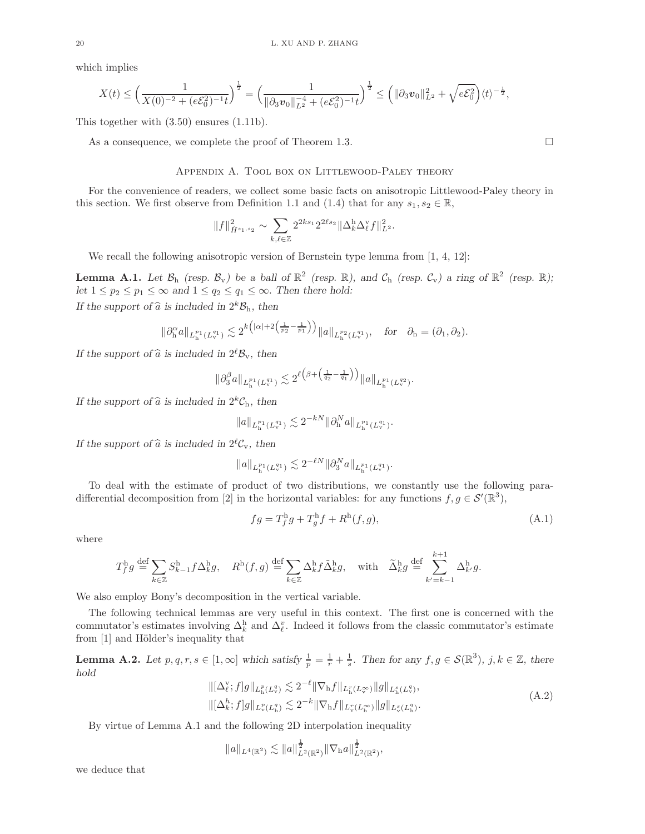which implies

$$
X(t) \leq \left(\frac{1}{X(0)^{-2} + (e\mathcal{E}_0^2)^{-1}t}\right)^{\frac{1}{2}} = \left(\frac{1}{\|\partial_3 v_0\|_{L^2}^{-4} + (e\mathcal{E}_0^2)^{-1}t}\right)^{\frac{1}{2}} \leq \left(\|\partial_3 v_0\|_{L^2}^2 + \sqrt{e\mathcal{E}_0^2}\right) \langle t \rangle^{-\frac{1}{2}},
$$

This together with (3.50) ensures (1.11b).

As a consequence, we complete the proof of Theorem 1.3.

### Appendix A. Tool box on Littlewood-Paley theory

For the convenience of readers, we collect some basic facts on anisotropic Littlewood-Paley theory in this section. We first observe from Definition 1.1 and (1.4) that for any  $s_1, s_2 \in \mathbb{R}$ ,

$$
\|f\|^2_{\dot{H}^{s_1,s_2}}\sim \sum_{k,\ell\in\mathbb{Z}} 2^{2ks_1} 2^{2\ell s_2} \|\Delta_k^{\mathrm{h}} \Delta_\ell^\mathrm{v} f\|^2_{L^2}.
$$

We recall the following anisotropic version of Bernstein type lemma from [1, 4, 12]:

**Lemma A.1.** Let  $\mathcal{B}_{h}$  (resp.  $\mathcal{B}_{v}$ ) be a ball of  $\mathbb{R}^{2}$  (resp.  $\mathbb{R}$ ), and  $\mathcal{C}_{h}$  (resp.  $\mathcal{C}_{v}$ ) a ring of  $\mathbb{R}^{2}$  (resp.  $\mathbb{R}$ ); let  $1 \leq p_2 \leq p_1 \leq \infty$  and  $1 \leq q_2 \leq q_1 \leq \infty$ . Then there hold: If the support of  $\widehat{a}$  is included in  $2^k \mathcal{B}_h$ , then

$$
\|\partial_h^{\alpha}a\|_{L_h^{p_1}(L_v^{q_1})}\lesssim 2^{k\big(|\alpha|+2\big(\frac{1}{p_2}-\frac{1}{p_1}\big)\big)}\|a\|_{L_h^{p_2}(L_v^{q_1})},\quad \text{for}\quad \partial_h=(\partial_1,\partial_2).
$$

If the support of  $\hat{a}$  is included in  $2^{\ell} \mathcal{B}_{v}$ , then

$$
\|\partial_3^{\beta} a\|_{L_{\mathbf{h}}^{p_1}(L_{\mathbf{v}}^{q_1})} \lesssim 2^{\ell(\beta + \left(\frac{1}{q_2} - \frac{1}{q_1}\right))} \|a\|_{L_{\mathbf{h}}^{p_1}(L_{\mathbf{v}}^{q_2})}.
$$

If the support of  $\hat{a}$  is included in  $2^kC_h$ , then

$$
||a||_{L_{\mathbf{h}}^{p_1}(L_{\mathbf{v}}^{q_1})} \lesssim 2^{-kN} ||\partial_{\mathbf{h}}^N a||_{L_{\mathbf{h}}^{p_1}(L_{\mathbf{v}}^{q_1})}.
$$

If the support of  $\hat{a}$  is included in  $2^{\ell}C_v$ , then

$$
||a||_{L_{\mathbf{h}}^{p_1}(L_{\mathbf{v}}^{q_1})} \lesssim 2^{-\ell N} ||\partial_3^N a||_{L_{\mathbf{h}}^{p_1}(L_{\mathbf{v}}^{q_1})}.
$$

To deal with the estimate of product of two distributions, we constantly use the following paradifferential decomposition from [2] in the horizontal variables: for any functions  $f, g \in \mathcal{S}'(\mathbb{R}^3)$ ,

$$
fg = T_f^{\mathrm{h}}g + T_g^{\mathrm{h}}f + R^{\mathrm{h}}(f,g),\tag{A.1}
$$

where

$$
T_f^{\rm h}g \stackrel{\text{def}}{=} \sum_{k \in \mathbb{Z}} S_{k-1}^{\rm h}f \Delta_k^{\rm h}g, \quad R^{\rm h}(f,g) \stackrel{\text{def}}{=} \sum_{k \in \mathbb{Z}} \Delta_k^{\rm h}f \tilde{\Delta}_k^{\rm h}g, \quad \text{with} \quad \tilde{\Delta}_k^{\rm h}g \stackrel{\text{def}}{=} \sum_{k'=k-1}^{k+1} \Delta_{k'}^{\rm h}g.
$$

We also employ Bony's decomposition in the vertical variable.

The following technical lemmas are very useful in this context. The first one is concerned with the commutator's estimates involving  $\Delta_k^{\text{h}}$  and  $\Delta_{\ell}^{\text{v}}$ . Indeed it follows from the classic commutator's estimate from [1] and Hölder's inequality that

**Lemma A.2.** Let  $p, q, r, s \in [1, \infty]$  which satisfy  $\frac{1}{p} = \frac{1}{r} + \frac{1}{s}$ . Then for any  $f, g \in \mathcal{S}(\mathbb{R}^3)$ ,  $j, k \in \mathbb{Z}$ , there hold

$$
\begin{aligned} &\|[\Delta_{\ell}^{\mathbf{v}};f]g\|_{L_{\mathbf{h}}^{p}(L_{\mathbf{v}}^{q})} \lesssim 2^{-\ell} \|\nabla_{\mathbf{h}}f\|_{L_{\mathbf{h}}^{r}(L_{\mathbf{v}}^{\infty})} \|g\|_{L_{\mathbf{h}}^{s}(L_{\mathbf{v}}^{q})},\\ &\|[\Delta_{k}^{h};f]g\|_{L_{\mathbf{v}}^{p}(L_{\mathbf{h}}^{q})} \lesssim 2^{-k} \|\nabla_{\mathbf{h}}f\|_{L_{\mathbf{v}}^{r}(L_{\mathbf{h}}^{\infty})} \|g\|_{L_{\mathbf{v}}^{s}(L_{\mathbf{h}}^{q})}. \end{aligned} \tag{A.2}
$$

By virtue of Lemma A.1 and the following 2D interpolation inequality

$$
||a||_{L^{4}(\mathbb{R}^2)} \lesssim ||a||_{L^{2}(\mathbb{R}^2)}^{\frac{1}{2}} ||\nabla_{h}a||_{L^{2}(\mathbb{R}^2)}^{\frac{1}{2}},
$$

we deduce that

$$
\Box
$$